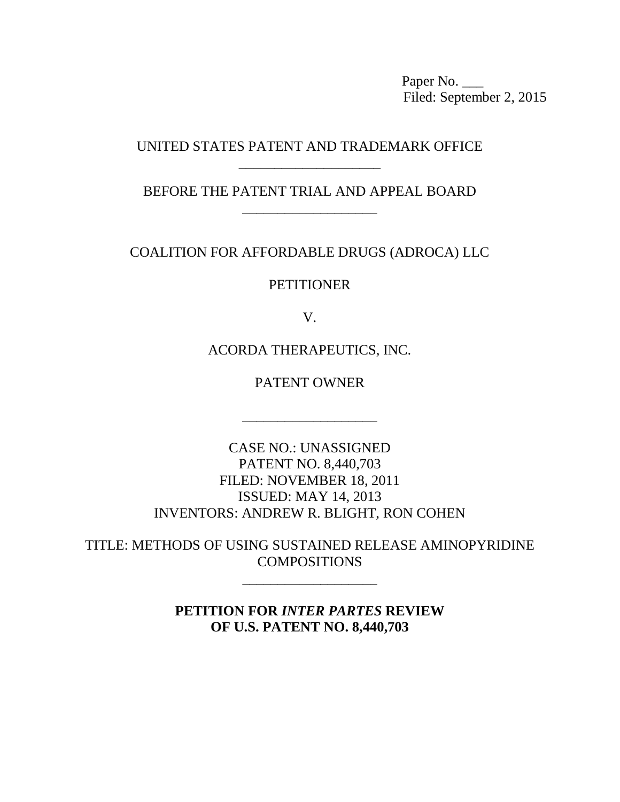Paper No. Filed: September 2, 2015

# UNITED STATES PATENT AND TRADEMARK OFFICE \_\_\_\_\_\_\_\_\_\_\_\_\_\_\_\_\_\_\_\_

BEFORE THE PATENT TRIAL AND APPEAL BOARD \_\_\_\_\_\_\_\_\_\_\_\_\_\_\_\_\_\_\_

COALITION FOR AFFORDABLE DRUGS (ADROCA) LLC

**PETITIONER** 

V.

ACORDA THERAPEUTICS, INC.

PATENT OWNER

\_\_\_\_\_\_\_\_\_\_\_\_\_\_\_\_\_\_\_

CASE NO.: UNASSIGNED PATENT NO. 8,440,703 FILED: NOVEMBER 18, 2011 ISSUED: MAY 14, 2013 INVENTORS: ANDREW R. BLIGHT, RON COHEN

TITLE: METHODS OF USING SUSTAINED RELEASE AMINOPYRIDINE COMPOSITIONS

\_\_\_\_\_\_\_\_\_\_\_\_\_\_\_\_\_\_\_

**PETITION FOR** *INTER PARTES* **REVIEW OF U.S. PATENT NO. 8,440,703**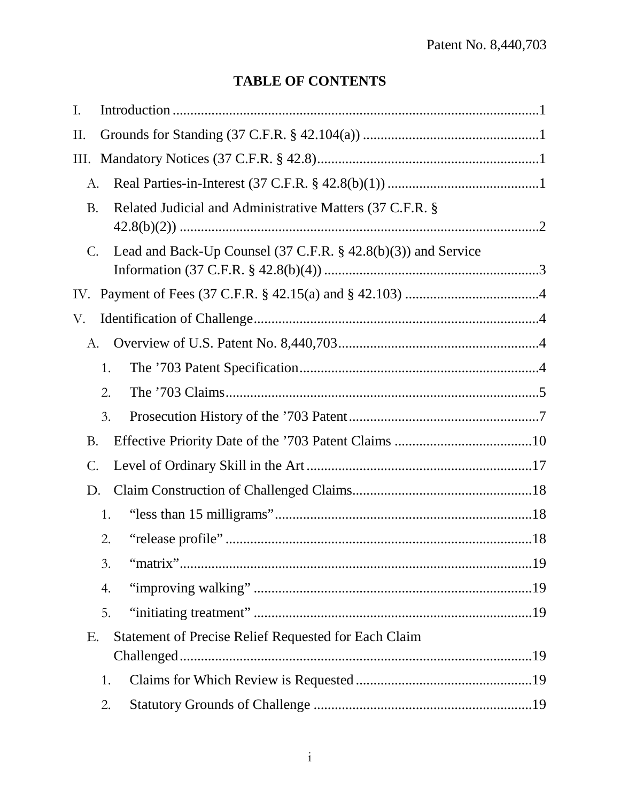# **TABLE OF CONTENTS**

| Ι.        |                                                               |
|-----------|---------------------------------------------------------------|
| П.        |                                                               |
| Ш.        |                                                               |
| А.        |                                                               |
| <b>B.</b> | Related Judicial and Administrative Matters (37 C.F.R. §      |
|           |                                                               |
| C.        | Lead and Back-Up Counsel (37 C.F.R. § 42.8(b)(3)) and Service |
|           |                                                               |
| V.        |                                                               |
| А.        |                                                               |
|           | 1.                                                            |
|           | 2.                                                            |
|           | 3.                                                            |
| B.        |                                                               |
| С.        |                                                               |
| D.        |                                                               |
|           | 1.                                                            |
|           | 2.                                                            |
|           | 3.                                                            |
|           | 4.                                                            |
|           | 5.                                                            |
| Ε.        | <b>Statement of Precise Relief Requested for Each Claim</b>   |
|           | 1.                                                            |
|           | 2.                                                            |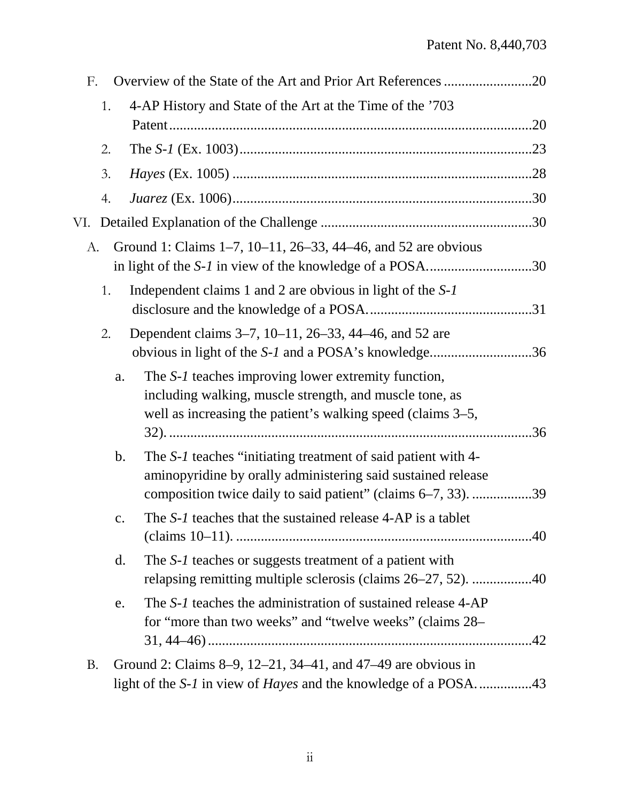| F.        |    | Overview of the State of the Art and Prior Art References 20                                                                                                                                                     |  |
|-----------|----|------------------------------------------------------------------------------------------------------------------------------------------------------------------------------------------------------------------|--|
|           | 1. | 4-AP History and State of the Art at the Time of the '703                                                                                                                                                        |  |
|           |    |                                                                                                                                                                                                                  |  |
|           | 2. |                                                                                                                                                                                                                  |  |
|           | 3. |                                                                                                                                                                                                                  |  |
|           | 4. |                                                                                                                                                                                                                  |  |
|           |    |                                                                                                                                                                                                                  |  |
| А.        |    | Ground 1: Claims 1–7, 10–11, 26–33, 44–46, and 52 are obvious                                                                                                                                                    |  |
|           | 1. | Independent claims 1 and 2 are obvious in light of the S-1                                                                                                                                                       |  |
|           | 2. | Dependent claims 3–7, 10–11, 26–33, 44–46, and 52 are<br>obvious in light of the S-1 and a POSA's knowledge36                                                                                                    |  |
|           |    | The S-1 teaches improving lower extremity function,<br>a.<br>including walking, muscle strength, and muscle tone, as<br>well as increasing the patient's walking speed (claims 3–5,                              |  |
|           |    | The S-1 teaches "initiating treatment of said patient with 4-<br>$\mathbf{b}$ .<br>aminopyridine by orally administering said sustained release<br>composition twice daily to said patient" (claims 6–7, 33). 39 |  |
|           |    | The S-1 teaches that the sustained release 4-AP is a tablet<br>c.                                                                                                                                                |  |
|           |    | The S-1 teaches or suggests treatment of a patient with<br>$\mathbf{d}$ .<br>relapsing remitting multiple sclerosis (claims 26–27, 52). 40                                                                       |  |
|           |    | The S-1 teaches the administration of sustained release 4-AP<br>e.<br>for "more than two weeks" and "twelve weeks" (claims 28–                                                                                   |  |
| <b>B.</b> |    | Ground 2: Claims 8–9, 12–21, 34–41, and 47–49 are obvious in                                                                                                                                                     |  |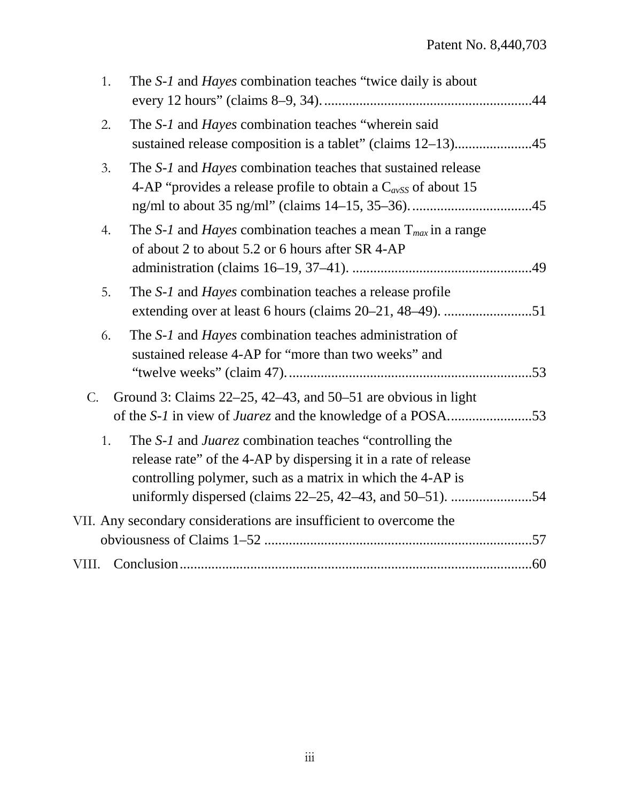| 1.          | The S-1 and Hayes combination teaches "twice daily is about                                                                                                                                                                                          |  |
|-------------|------------------------------------------------------------------------------------------------------------------------------------------------------------------------------------------------------------------------------------------------------|--|
| 2.          | The S-1 and Hayes combination teaches "wherein said                                                                                                                                                                                                  |  |
| 3.          | The S-1 and Hayes combination teaches that sustained release<br>4-AP "provides a release profile to obtain a $C_{avSS}$ of about 15                                                                                                                  |  |
| 4.          | The S-1 and Hayes combination teaches a mean $T_{max}$ in a range<br>of about 2 to about 5.2 or 6 hours after SR 4-AP                                                                                                                                |  |
| 5.          | The S-1 and <i>Hayes</i> combination teaches a release profile                                                                                                                                                                                       |  |
| 6.          | The S-1 and Hayes combination teaches administration of<br>sustained release 4-AP for "more than two weeks" and                                                                                                                                      |  |
| $C_{\cdot}$ | Ground 3: Claims $22-25$ , $42-43$ , and $50-51$ are obvious in light                                                                                                                                                                                |  |
| 1.          | The S-1 and Juarez combination teaches "controlling the<br>release rate" of the 4-AP by dispersing it in a rate of release<br>controlling polymer, such as a matrix in which the 4-AP is<br>uniformly dispersed (claims 22–25, 42–43, and 50–51). 54 |  |
|             | VII. Any secondary considerations are insufficient to overcome the                                                                                                                                                                                   |  |
| VIII.       |                                                                                                                                                                                                                                                      |  |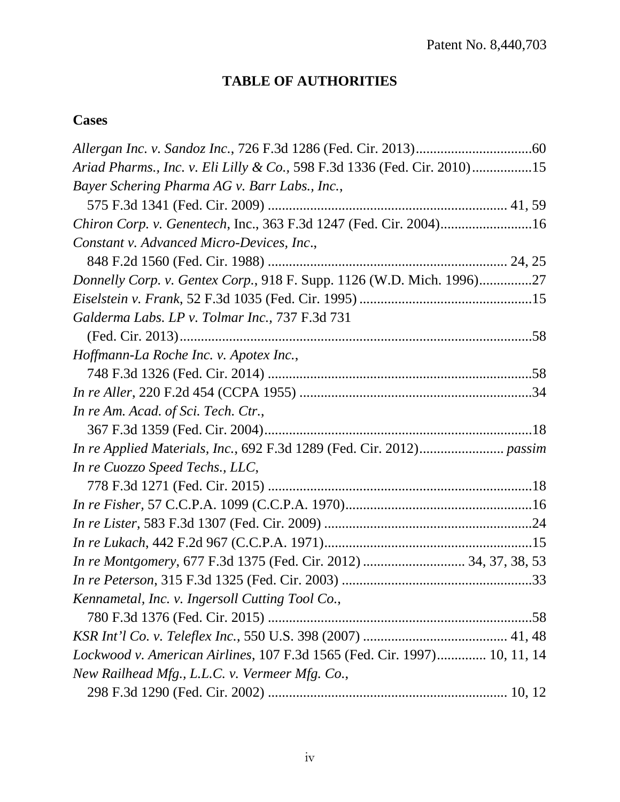# **TABLE OF AUTHORITIES**

# **Cases**

| Ariad Pharms., Inc. v. Eli Lilly & Co., 598 F.3d 1336 (Fed. Cir. 2010)15 |
|--------------------------------------------------------------------------|
| Bayer Schering Pharma AG v. Barr Labs., Inc.,                            |
|                                                                          |
| Chiron Corp. v. Genentech, Inc., 363 F.3d 1247 (Fed. Cir. 2004)16        |
| Constant v. Advanced Micro-Devices, Inc.,                                |
|                                                                          |
| Donnelly Corp. v. Gentex Corp., 918 F. Supp. 1126 (W.D. Mich. 1996)27    |
|                                                                          |
| Galderma Labs. LP v. Tolmar Inc., 737 F.3d 731                           |
|                                                                          |
| Hoffmann-La Roche Inc. v. Apotex Inc.,                                   |
|                                                                          |
|                                                                          |
| In re Am. Acad. of Sci. Tech. Ctr.,                                      |
|                                                                          |
|                                                                          |
| In re Cuozzo Speed Techs., LLC,                                          |
|                                                                          |
|                                                                          |
|                                                                          |
|                                                                          |
| In re Montgomery, 677 F.3d 1375 (Fed. Cir. 2012)  34, 37, 38, 53         |
|                                                                          |
| Kennametal, Inc. v. Ingersoll Cutting Tool Co.,                          |
|                                                                          |
|                                                                          |
| Lockwood v. American Airlines, 107 F.3d 1565 (Fed. Cir. 1997) 10, 11, 14 |
| New Railhead Mfg., L.L.C. v. Vermeer Mfg. Co.,                           |
|                                                                          |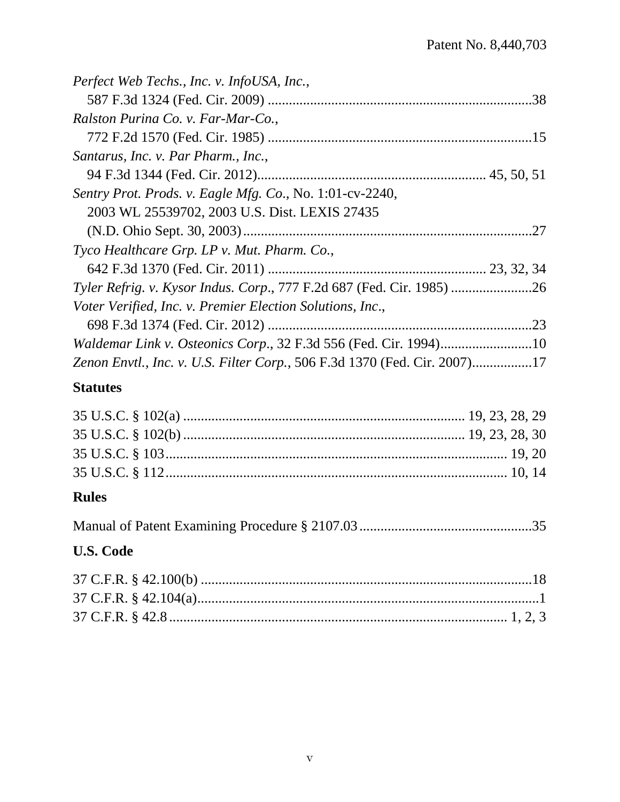# **Statutes**

# **Rules**

|--|--|

# **U.S. Code**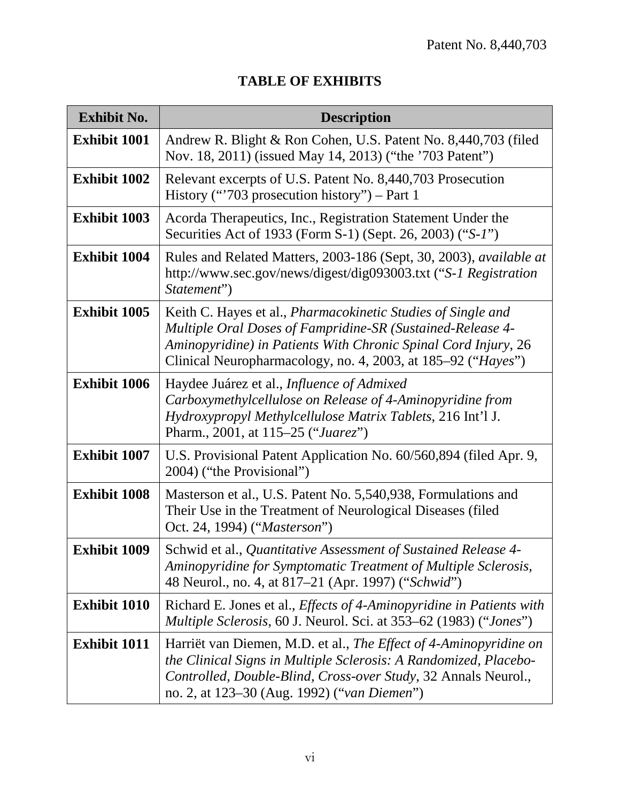| <b>Exhibit No.</b>  | <b>Description</b>                                                                                                                                                                                                                                           |
|---------------------|--------------------------------------------------------------------------------------------------------------------------------------------------------------------------------------------------------------------------------------------------------------|
| Exhibit 1001        | Andrew R. Blight & Ron Cohen, U.S. Patent No. 8,440,703 (filed<br>Nov. 18, 2011) (issued May 14, 2013) ("the '703 Patent")                                                                                                                                   |
| <b>Exhibit 1002</b> | Relevant excerpts of U.S. Patent No. 8,440,703 Prosecution<br>History ("703 prosecution history") – Part 1                                                                                                                                                   |
| <b>Exhibit 1003</b> | Acorda Therapeutics, Inc., Registration Statement Under the<br>Securities Act of 1933 (Form S-1) (Sept. 26, 2003) ("S-1")                                                                                                                                    |
| <b>Exhibit 1004</b> | Rules and Related Matters, 2003-186 (Sept, 30, 2003), available at<br>http://www.sec.gov/news/digest/dig093003.txt ("S-1 Registration<br>Statement")                                                                                                         |
| <b>Exhibit 1005</b> | Keith C. Hayes et al., Pharmacokinetic Studies of Single and<br>Multiple Oral Doses of Fampridine-SR (Sustained-Release 4-<br>Aminopyridine) in Patients With Chronic Spinal Cord Injury, 26<br>Clinical Neuropharmacology, no. 4, 2003, at 185–92 ("Hayes") |
| <b>Exhibit 1006</b> | Haydee Juárez et al., Influence of Admixed<br>Carboxymethylcellulose on Release of 4-Aminopyridine from<br>Hydroxypropyl Methylcellulose Matrix Tablets, 216 Int'l J.<br>Pharm., 2001, at 115–25 ("Juarez")                                                  |
| <b>Exhibit 1007</b> | U.S. Provisional Patent Application No. 60/560,894 (filed Apr. 9,<br>2004) ("the Provisional")                                                                                                                                                               |
| <b>Exhibit 1008</b> | Masterson et al., U.S. Patent No. 5,540,938, Formulations and<br>Their Use in the Treatment of Neurological Diseases (filed<br>Oct. 24, 1994) ("Masterson")                                                                                                  |
| <b>Exhibit 1009</b> | Schwid et al., Quantitative Assessment of Sustained Release 4-<br>Aminopyridine for Symptomatic Treatment of Multiple Sclerosis,<br>48 Neurol., no. 4, at 817–21 (Apr. 1997) ("Schwid")                                                                      |
| <b>Exhibit 1010</b> | Richard E. Jones et al., <i>Effects of 4-Aminopyridine in Patients with</i>                                                                                                                                                                                  |

# **TABLE OF EXHIBITS**

|                     | <i>Multiple Sclerosis,</i> 60 J. Neurol. Sci. at 353–62 (1983) (" <i>Jones</i> ")                                                                                                                                                                      |
|---------------------|--------------------------------------------------------------------------------------------------------------------------------------------------------------------------------------------------------------------------------------------------------|
| <b>Exhibit 1011</b> | Harriët van Diemen, M.D. et al., The Effect of 4-Aminopyridine on<br>the Clinical Signs in Multiple Sclerosis: A Randomized, Placebo-<br>Controlled, Double-Blind, Cross-over Study, 32 Annals Neurol.,<br>no. 2, at 123–30 (Aug. 1992) ("van Diemen") |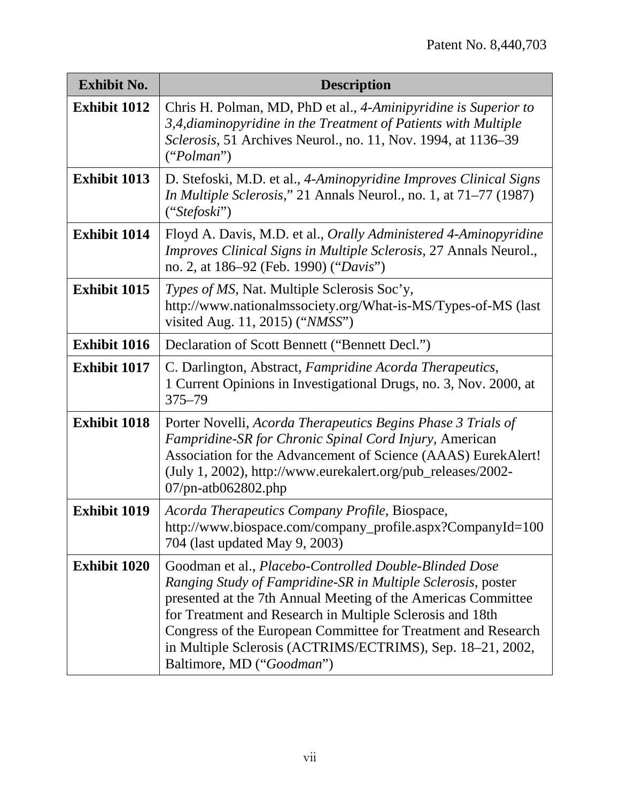| <b>Exhibit No.</b>  | <b>Description</b>                                                                                                                                                                                                                                                                                                                                                                                               |
|---------------------|------------------------------------------------------------------------------------------------------------------------------------------------------------------------------------------------------------------------------------------------------------------------------------------------------------------------------------------------------------------------------------------------------------------|
| <b>Exhibit 1012</b> | Chris H. Polman, MD, PhD et al., 4-Aminipyridine is Superior to<br>3,4, diaminopyridine in the Treatment of Patients with Multiple<br>Sclerosis, 51 Archives Neurol., no. 11, Nov. 1994, at 1136–39<br>("Polman")                                                                                                                                                                                                |
| <b>Exhibit 1013</b> | D. Stefoski, M.D. et al., 4-Aminopyridine Improves Clinical Signs<br>In Multiple Sclerosis," 21 Annals Neurol., no. 1, at 71-77 (1987)<br>("Stefoski")                                                                                                                                                                                                                                                           |
| <b>Exhibit 1014</b> | Floyd A. Davis, M.D. et al., <i>Orally Administered 4-Aminopyridine</i><br>Improves Clinical Signs in Multiple Sclerosis, 27 Annals Neurol.,<br>no. 2, at 186–92 (Feb. 1990) ("Davis")                                                                                                                                                                                                                           |
| <b>Exhibit 1015</b> | Types of MS, Nat. Multiple Sclerosis Soc'y,<br>http://www.nationalmssociety.org/What-is-MS/Types-of-MS (last<br>visited Aug. 11, 2015) ("NMSS")                                                                                                                                                                                                                                                                  |
| <b>Exhibit 1016</b> | Declaration of Scott Bennett ("Bennett Decl.")                                                                                                                                                                                                                                                                                                                                                                   |
| <b>Exhibit 1017</b> | C. Darlington, Abstract, Fampridine Acorda Therapeutics,<br>1 Current Opinions in Investigational Drugs, no. 3, Nov. 2000, at<br>$375 - 79$                                                                                                                                                                                                                                                                      |
| <b>Exhibit 1018</b> | Porter Novelli, Acorda Therapeutics Begins Phase 3 Trials of<br>Fampridine-SR for Chronic Spinal Cord Injury, American<br>Association for the Advancement of Science (AAAS) EurekAlert!<br>(July 1, 2002), http://www.eurekalert.org/pub_releases/2002-<br>$07$ /pn-atb $062802$ .php                                                                                                                            |
| <b>Exhibit 1019</b> | Acorda Therapeutics Company Profile, Biospace,<br>http://www.biospace.com/company_profile.aspx?CompanyId=100<br>704 (last updated May 9, 2003)                                                                                                                                                                                                                                                                   |
| <b>Exhibit 1020</b> | Goodman et al., Placebo-Controlled Double-Blinded Dose<br>Ranging Study of Fampridine-SR in Multiple Sclerosis, poster<br>presented at the 7th Annual Meeting of the Americas Committee<br>for Treatment and Research in Multiple Sclerosis and 18th<br>Congress of the European Committee for Treatment and Research<br>in Multiple Sclerosis (ACTRIMS/ECTRIMS), Sep. 18–21, 2002,<br>Baltimore, MD ("Goodman") |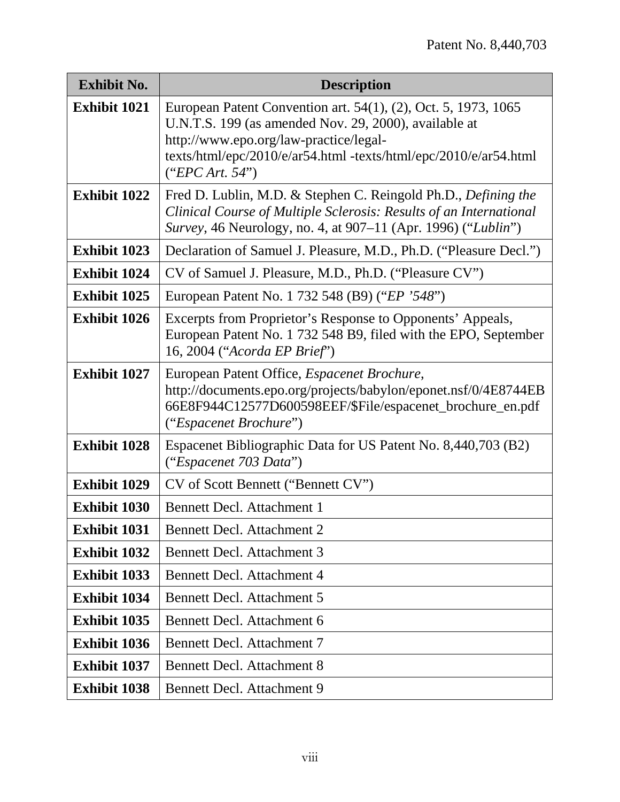| <b>Exhibit No.</b>  | <b>Description</b>                                                                                                                                                                                                                                       |
|---------------------|----------------------------------------------------------------------------------------------------------------------------------------------------------------------------------------------------------------------------------------------------------|
| <b>Exhibit 1021</b> | European Patent Convention art. 54(1), (2), Oct. 5, 1973, 1065<br>U.N.T.S. 199 (as amended Nov. 29, 2000), available at<br>http://www.epo.org/law-practice/legal-<br>texts/html/epc/2010/e/ar54.html -texts/html/epc/2010/e/ar54.html<br>("EPC Art. 54") |
| <b>Exhibit 1022</b> | Fred D. Lublin, M.D. & Stephen C. Reingold Ph.D., Defining the<br>Clinical Course of Multiple Sclerosis: Results of an International<br>Survey, 46 Neurology, no. 4, at 907-11 (Apr. 1996) ("Lublin")                                                    |
| <b>Exhibit 1023</b> | Declaration of Samuel J. Pleasure, M.D., Ph.D. ("Pleasure Decl.")                                                                                                                                                                                        |
| <b>Exhibit 1024</b> | CV of Samuel J. Pleasure, M.D., Ph.D. ("Pleasure CV")                                                                                                                                                                                                    |
| <b>Exhibit 1025</b> | European Patent No. 1 732 548 (B9) ("EP '548")                                                                                                                                                                                                           |
| <b>Exhibit 1026</b> | Excerpts from Proprietor's Response to Opponents' Appeals,<br>European Patent No. 1 732 548 B9, filed with the EPO, September<br>16, 2004 ("Acorda EP Brief")                                                                                            |
| <b>Exhibit 1027</b> | European Patent Office, <i>Espacenet Brochure</i> ,<br>http://documents.epo.org/projects/babylon/eponet.nsf/0/4E8744EB<br>66E8F944C12577D600598EEF/\$File/espacenet_brochure_en.pdf<br>("Espacenet Brochure")                                            |
| <b>Exhibit 1028</b> | Espacenet Bibliographic Data for US Patent No. 8,440,703 (B2)<br>("Espacenet 703 Data")                                                                                                                                                                  |
| <b>Exhibit 1029</b> | CV of Scott Bennett ("Bennett CV")                                                                                                                                                                                                                       |
| <b>Exhibit 1030</b> | <b>Bennett Decl. Attachment 1</b>                                                                                                                                                                                                                        |
| <b>Exhibit 1031</b> | <b>Bennett Decl. Attachment 2</b>                                                                                                                                                                                                                        |
| <b>Exhibit 1032</b> | <b>Bennett Decl. Attachment 3</b>                                                                                                                                                                                                                        |
| <b>Exhibit 1033</b> | <b>Bennett Decl. Attachment 4</b>                                                                                                                                                                                                                        |
| <b>Exhibit 1034</b> | <b>Bennett Decl. Attachment 5</b>                                                                                                                                                                                                                        |
| <b>Exhibit 1035</b> | Bennett Decl. Attachment 6                                                                                                                                                                                                                               |
| <b>Exhibit 1036</b> | <b>Bennett Decl. Attachment 7</b>                                                                                                                                                                                                                        |
| <b>Exhibit 1037</b> | <b>Bennett Decl. Attachment 8</b>                                                                                                                                                                                                                        |
| <b>Exhibit 1038</b> | <b>Bennett Decl. Attachment 9</b>                                                                                                                                                                                                                        |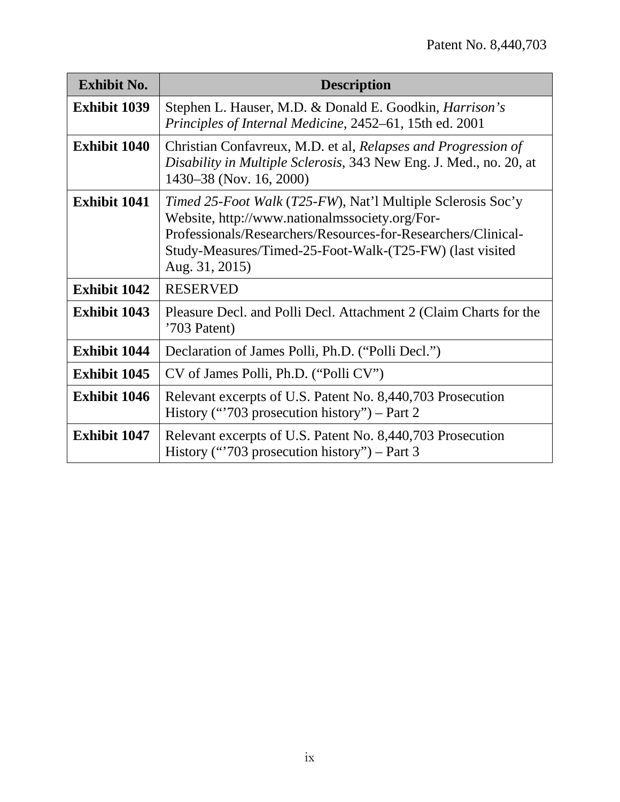| <b>Exhibit No.</b>  | <b>Description</b>                                                                                                                                                                                                                                           |  |  |  |
|---------------------|--------------------------------------------------------------------------------------------------------------------------------------------------------------------------------------------------------------------------------------------------------------|--|--|--|
| <b>Exhibit 1039</b> | Stephen L. Hauser, M.D. & Donald E. Goodkin, <i>Harrison's</i><br>Principles of Internal Medicine, 2452–61, 15th ed. 2001                                                                                                                                    |  |  |  |
| <b>Exhibit 1040</b> | Christian Confavreux, M.D. et al, Relapses and Progression of<br>Disability in Multiple Sclerosis, 343 New Eng. J. Med., no. 20, at<br>1430–38 (Nov. 16, 2000)                                                                                               |  |  |  |
| <b>Exhibit 1041</b> | Timed 25-Foot Walk (T25-FW), Nat'l Multiple Sclerosis Soc'y<br>Website, http://www.nationalmssociety.org/For-<br>Professionals/Researchers/Resources-for-Researchers/Clinical-<br>Study-Measures/Timed-25-Foot-Walk-(T25-FW) (last visited<br>Aug. 31, 2015) |  |  |  |
| <b>Exhibit 1042</b> | <b>RESERVED</b>                                                                                                                                                                                                                                              |  |  |  |
| <b>Exhibit 1043</b> | Pleasure Decl. and Polli Decl. Attachment 2 (Claim Charts for the<br>'703 Patent)                                                                                                                                                                            |  |  |  |
| <b>Exhibit 1044</b> | Declaration of James Polli, Ph.D. ("Polli Decl.")                                                                                                                                                                                                            |  |  |  |
| <b>Exhibit 1045</b> | CV of James Polli, Ph.D. ("Polli CV")                                                                                                                                                                                                                        |  |  |  |
| <b>Exhibit 1046</b> | Relevant excerpts of U.S. Patent No. 8,440,703 Prosecution<br>History ("703 prosecution history") – Part 2                                                                                                                                                   |  |  |  |
| <b>Exhibit 1047</b> | Relevant excerpts of U.S. Patent No. 8,440,703 Prosecution<br>History ("703 prosecution history") – Part 3                                                                                                                                                   |  |  |  |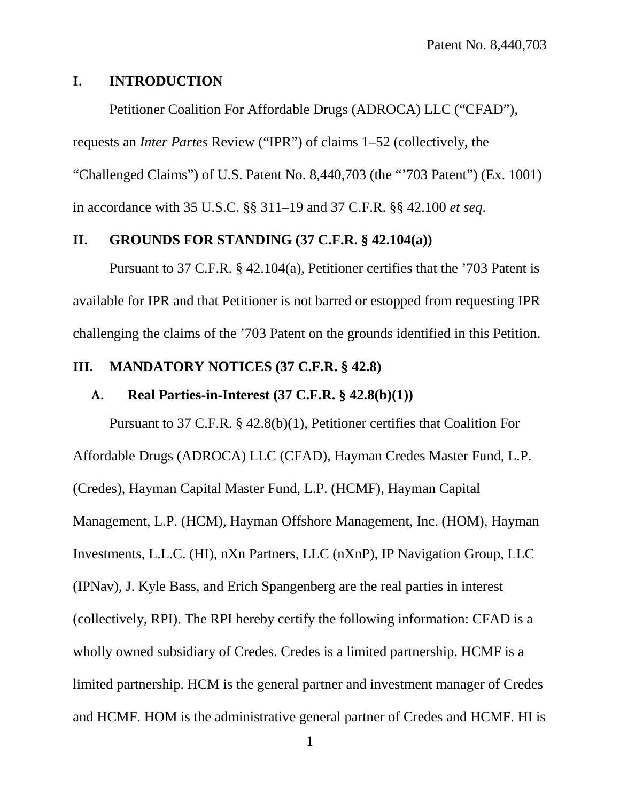#### <span id="page-10-0"></span>**I. INTRODUCTION**

Petitioner Coalition For Affordable Drugs (ADROCA) LLC ("CFAD"), requests an *Inter Partes* Review ("IPR") of claims 1–52 (collectively, the "Challenged Claims") of U.S. Patent No. 8,440,703 (the "'703 Patent") (Ex. 1001) in accordance with 35 U.S.C. §§ 311–19 and 37 C.F.R. §§ 42.100 *et seq*.

## <span id="page-10-1"></span>**II. GROUNDS FOR STANDING (37 C.F.R. § 42.104(a))**

Pursuant to 37 C.F.R. § 42.104(a), Petitioner certifies that the '703 Patent is available for IPR and that Petitioner is not barred or estopped from requesting IPR challenging the claims of the '703 Patent on the grounds identified in this Petition.

### <span id="page-10-2"></span>**III. MANDATORY NOTICES (37 C.F.R. § 42.8)**

#### <span id="page-10-3"></span>**A. Real Parties-in-Interest (37 C.F.R. § 42.8(b)(1))**

Pursuant to 37 C.F.R. § 42.8(b)(1), Petitioner certifies that Coalition For Affordable Drugs (ADROCA) LLC (CFAD), Hayman Credes Master Fund, L.P. (Credes), Hayman Capital Master Fund, L.P. (HCMF), Hayman Capital Management, L.P. (HCM), Hayman Offshore Management, Inc. (HOM), Hayman Investments, L.L.C. (HI), nXn Partners, LLC (nXnP), IP Navigation Group, LLC (IPNav), J. Kyle Bass, and Erich Spangenberg are the real parties in interest (collectively, RPI). The RPI hereby certify the following information: CFAD is a wholly owned subsidiary of Credes. Credes is a limited partnership. HCMF is a limited partnership. HCM is the general partner and investment manager of Credes and HCMF. HOM is the administrative general partner of Credes and HCMF. HI is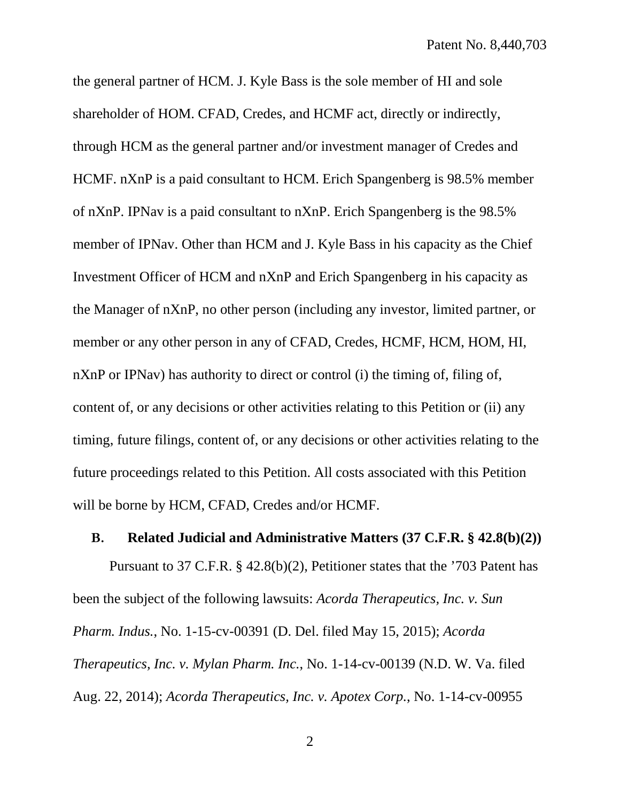the general partner of HCM. J. Kyle Bass is the sole member of HI and sole shareholder of HOM. CFAD, Credes, and HCMF act, directly or indirectly, through HCM as the general partner and/or investment manager of Credes and HCMF. nXnP is a paid consultant to HCM. Erich Spangenberg is 98.5% member of nXnP. IPNav is a paid consultant to nXnP. Erich Spangenberg is the 98.5% member of IPNav. Other than HCM and J. Kyle Bass in his capacity as the Chief Investment Officer of HCM and nXnP and Erich Spangenberg in his capacity as the Manager of nXnP, no other person (including any investor, limited partner, or member or any other person in any of CFAD, Credes, HCMF, HCM, HOM, HI, nXnP or IPNav) has authority to direct or control (i) the timing of, filing of, content of, or any decisions or other activities relating to this Petition or (ii) any timing, future filings, content of, or any decisions or other activities relating to the future proceedings related to this Petition. All costs associated with this Petition will be borne by HCM, CFAD, Credes and/or HCMF.

#### <span id="page-11-0"></span>**B. Related Judicial and Administrative Matters (37 C.F.R. § 42.8(b)(2))**

Pursuant to 37 C.F.R. § 42.8(b)(2), Petitioner states that the '703 Patent has been the subject of the following lawsuits: *Acorda Therapeutics, Inc. v. Sun Pharm. Indus.*, No. 1-15-cv-00391 (D. Del. filed May 15, 2015); *Acorda Therapeutics, Inc. v. Mylan Pharm. Inc.*, No. 1-14-cv-00139 (N.D. W. Va. filed Aug. 22, 2014); *Acorda Therapeutics, Inc. v. Apotex Corp.*, No. 1-14-cv-00955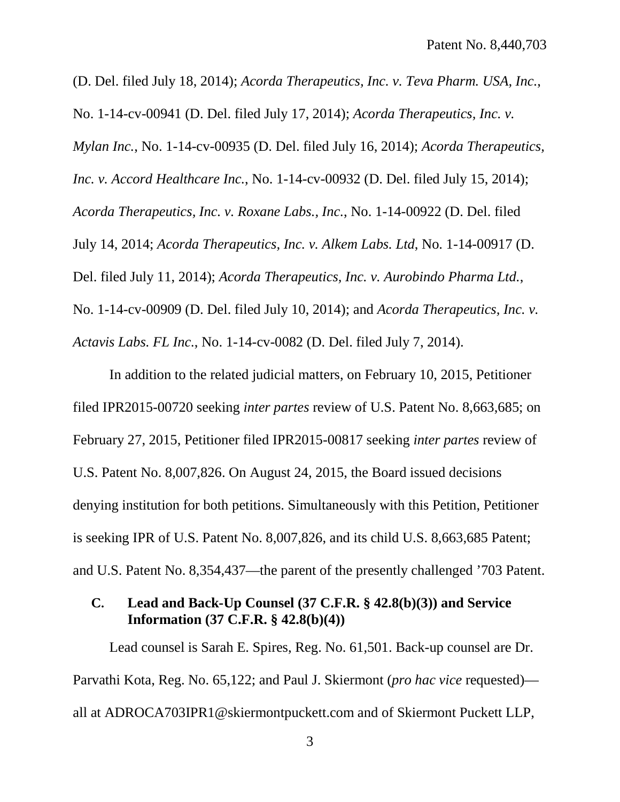(D. Del. filed July 18, 2014); *Acorda Therapeutics, Inc. v. Teva Pharm. USA, Inc.*, No. 1-14-cv-00941 (D. Del. filed July 17, 2014); *Acorda Therapeutics, Inc. v. Mylan Inc.*, No. 1-14-cv-00935 (D. Del. filed July 16, 2014); *Acorda Therapeutics, Inc. v. Accord Healthcare Inc.*, No. 1-14-cv-00932 (D. Del. filed July 15, 2014); *Acorda Therapeutics, Inc. v. Roxane Labs., Inc.*, No. 1-14-00922 (D. Del. filed July 14, 2014; *Acorda Therapeutics, Inc. v. Alkem Labs. Ltd*, No. 1-14-00917 (D. Del. filed July 11, 2014); *Acorda Therapeutics, Inc. v. Aurobindo Pharma Ltd.*, No. 1-14-cv-00909 (D. Del. filed July 10, 2014); and *Acorda Therapeutics, Inc. v. Actavis Labs. FL Inc.*, No. 1-14-cv-0082 (D. Del. filed July 7, 2014).

In addition to the related judicial matters, on February 10, 2015, Petitioner filed IPR2015-00720 seeking *inter partes* review of U.S. Patent No. 8,663,685; on February 27, 2015, Petitioner filed IPR2015-00817 seeking *inter partes* review of U.S. Patent No. 8,007,826. On August 24, 2015, the Board issued decisions denying institution for both petitions. Simultaneously with this Petition, Petitioner is seeking IPR of U.S. Patent No. 8,007,826, and its child U.S. 8,663,685 Patent; and U.S. Patent No. 8,354,437—the parent of the presently challenged '703 Patent.

## <span id="page-12-0"></span>**C. Lead and Back-Up Counsel (37 C.F.R. § 42.8(b)(3)) and Service Information (37 C.F.R. § 42.8(b)(4))**

Lead counsel is Sarah E. Spires, Reg. No. 61,501. Back-up counsel are Dr. Parvathi Kota, Reg. No. 65,122; and Paul J. Skiermont (*pro hac vice* requested) all at ADROCA703IPR1@skiermontpuckett.com and of Skiermont Puckett LLP,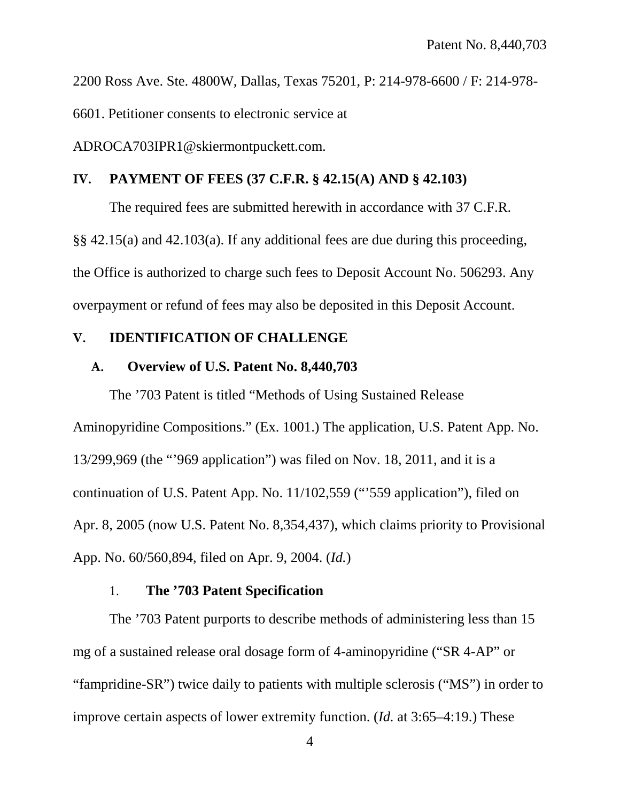2200 Ross Ave. Ste. 4800W, Dallas, Texas 75201, P: 214-978-6600 / F: 214-978-

6601. Petitioner consents to electronic service at

ADROCA703IPR1@skiermontpuckett.com.

#### <span id="page-13-0"></span>**IV. PAYMENT OF FEES (37 C.F.R. § 42.15(A) AND § 42.103)**

The required fees are submitted herewith in accordance with 37 C.F.R.

§§ 42.15(a) and 42.103(a). If any additional fees are due during this proceeding, the Office is authorized to charge such fees to Deposit Account No. 506293. Any overpayment or refund of fees may also be deposited in this Deposit Account.

#### <span id="page-13-1"></span>**V. IDENTIFICATION OF CHALLENGE**

#### <span id="page-13-2"></span>**A. Overview of U.S. Patent No. 8,440,703**

The '703 Patent is titled "Methods of Using Sustained Release Aminopyridine Compositions." (Ex. 1001.) The application, U.S. Patent App. No. 13/299,969 (the "'969 application") was filed on Nov. 18, 2011, and it is a continuation of U.S. Patent App. No. 11/102,559 ("'559 application"), filed on Apr. 8, 2005 (now U.S. Patent No. 8,354,437), which claims priority to Provisional App. No. 60/560,894, filed on Apr. 9, 2004. (*Id.*)

## 1. **The '703 Patent Specification**

<span id="page-13-3"></span>The '703 Patent purports to describe methods of administering less than 15 mg of a sustained release oral dosage form of 4-aminopyridine ("SR 4-AP" or "fampridine-SR") twice daily to patients with multiple sclerosis ("MS") in order to improve certain aspects of lower extremity function. (*Id.* at 3:65–4:19.) These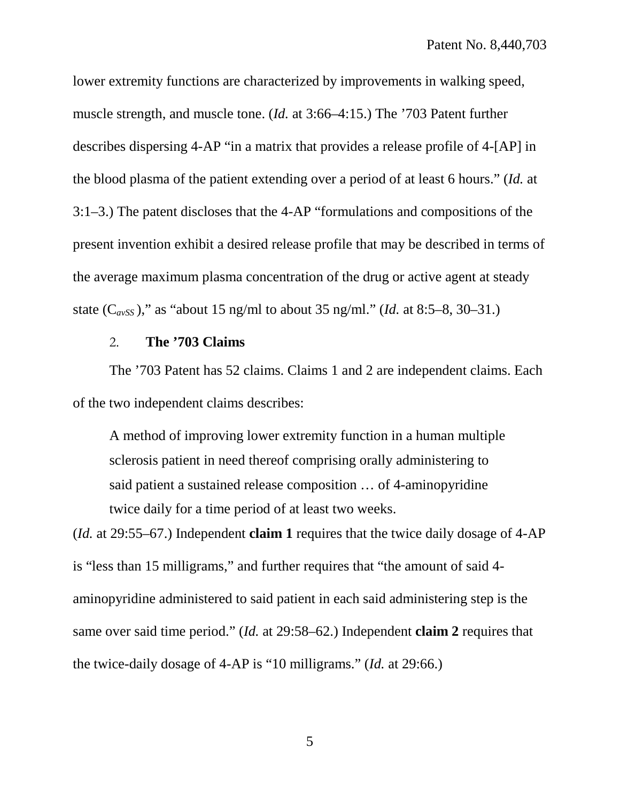lower extremity functions are characterized by improvements in walking speed, muscle strength, and muscle tone. (*Id.* at 3:66–4:15.) The '703 Patent further describes dispersing 4-AP "in a matrix that provides a release profile of 4-[AP] in the blood plasma of the patient extending over a period of at least 6 hours." (*Id.* at 3:1–3.) The patent discloses that the 4-AP "formulations and compositions of the present invention exhibit a desired release profile that may be described in terms of the average maximum plasma concentration of the drug or active agent at steady state (C*avSS* )," as "about 15 ng/ml to about 35 ng/ml." (*Id.* at 8:5–8, 30–31.)

## 2. **The '703 Claims**

<span id="page-14-0"></span>The '703 Patent has 52 claims. Claims 1 and 2 are independent claims. Each of the two independent claims describes:

A method of improving lower extremity function in a human multiple sclerosis patient in need thereof comprising orally administering to said patient a sustained release composition … of 4-aminopyridine twice daily for a time period of at least two weeks.

(*Id.* at 29:55–67.) Independent **claim 1** requires that the twice daily dosage of 4-AP is "less than 15 milligrams," and further requires that "the amount of said 4 aminopyridine administered to said patient in each said administering step is the same over said time period." (*Id.* at 29:58–62.) Independent **claim 2** requires that the twice-daily dosage of 4-AP is "10 milligrams." (*Id.* at 29:66.)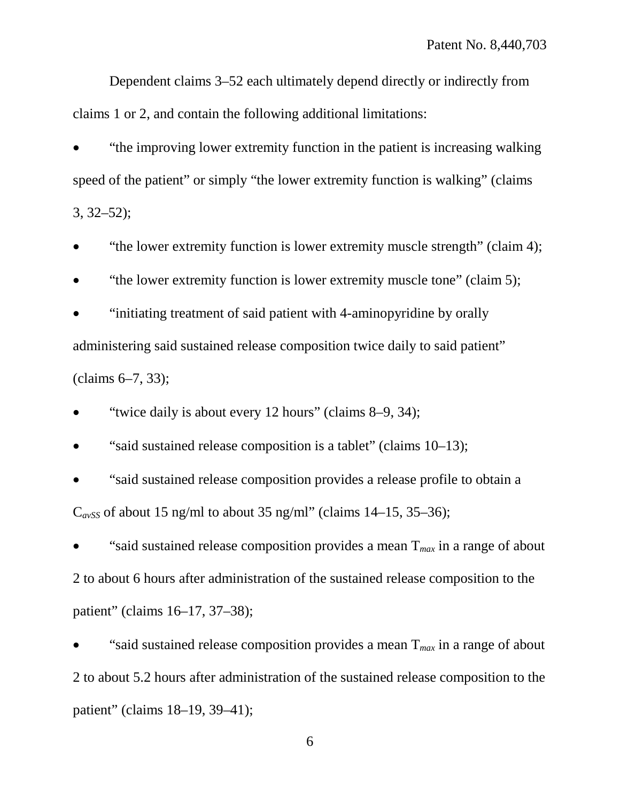Dependent claims 3–52 each ultimately depend directly or indirectly from claims 1 or 2, and contain the following additional limitations:

• "the improving lower extremity function in the patient is increasing walking speed of the patient" or simply "the lower extremity function is walking" (claims 3, 32–52);

• "the lower extremity function is lower extremity muscle strength" (claim 4);

• "the lower extremity function is lower extremity muscle tone" (claim 5);

• "initiating treatment of said patient with 4-aminopyridine by orally administering said sustained release composition twice daily to said patient" (claims 6–7, 33);

• "twice daily is about every 12 hours" (claims 8–9, 34);

• "said sustained release composition is a tablet" (claims 10–13);

• "said sustained release composition provides a release profile to obtain a  $C<sub>avSS</sub>$  of about 15 ng/ml to about 35 ng/ml" (claims 14–15, 35–36);

"said sustained release composition provides a mean  $T_{max}$  in a range of about 2 to about 6 hours after administration of the sustained release composition to the patient" (claims 16–17, 37–38);

"said sustained release composition provides a mean  $T_{max}$  in a range of about 2 to about 5.2 hours after administration of the sustained release composition to the patient" (claims 18–19, 39–41);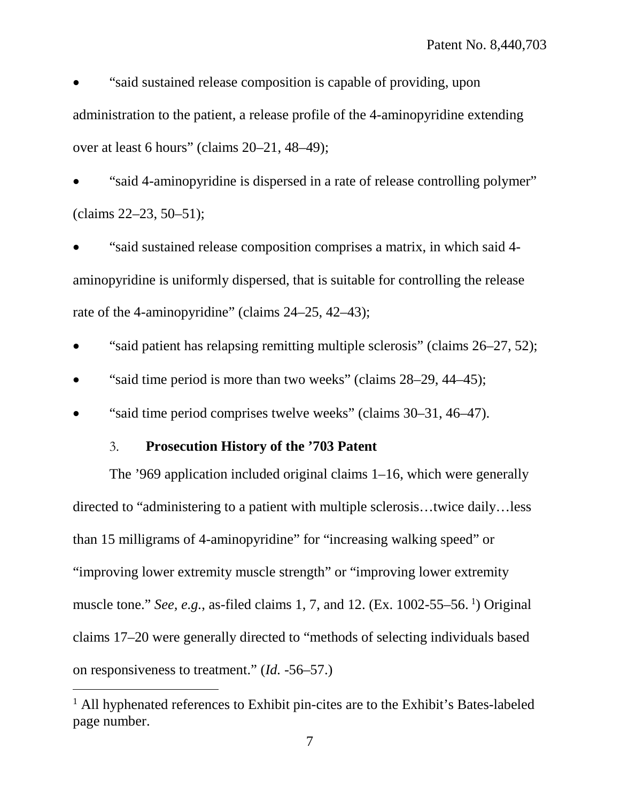• "said sustained release composition is capable of providing, upon administration to the patient, a release profile of the 4-aminopyridine extending over at least 6 hours" (claims 20–21, 48–49);

• "said 4-aminopyridine is dispersed in a rate of release controlling polymer" (claims 22–23, 50–51);

• "said sustained release composition comprises a matrix, in which said 4 aminopyridine is uniformly dispersed, that is suitable for controlling the release rate of the 4-aminopyridine" (claims 24–25, 42–43);

- "said patient has relapsing remitting multiple sclerosis" (claims 26–27, 52);
- "said time period is more than two weeks" (claims 28–29, 44–45);
- <span id="page-16-0"></span>• "said time period comprises twelve weeks" (claims 30–31, 46–47).

## 3. **Prosecution History of the '703 Patent**

 $\overline{a}$ 

The '969 application included original claims 1–16, which were generally directed to "administering to a patient with multiple sclerosis…twice daily…less than 15 milligrams of 4-aminopyridine" for "increasing walking speed" or "improving lower extremity muscle strength" or "improving lower extremity muscle tone." *See, e.g.*, as-filed claims [1](#page-16-1), 7, and 12. (Ex. 1002-55–56.<sup>1</sup>) Original claims 17–20 were generally directed to "methods of selecting individuals based on responsiveness to treatment." (*Id.* -56–57.)

<span id="page-16-1"></span><sup>&</sup>lt;sup>1</sup> All hyphenated references to Exhibit pin-cites are to the Exhibit's Bates-labeled page number.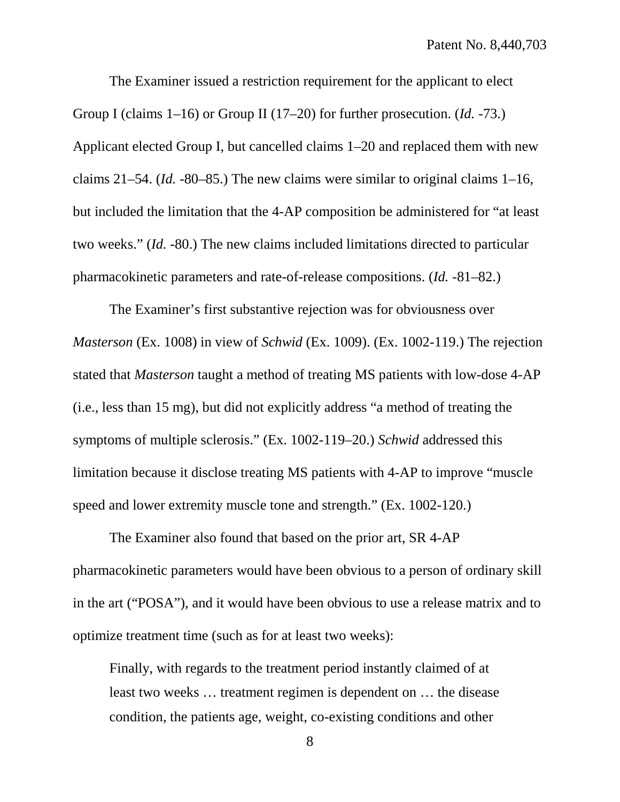The Examiner issued a restriction requirement for the applicant to elect Group I (claims 1–16) or Group II (17–20) for further prosecution. (*Id.* -73.) Applicant elected Group I, but cancelled claims 1–20 and replaced them with new claims 21–54. (*Id.* -80–85.) The new claims were similar to original claims 1–16, but included the limitation that the 4-AP composition be administered for "at least two weeks." (*Id. -*80.) The new claims included limitations directed to particular pharmacokinetic parameters and rate-of-release compositions. (*Id.* -81–82.)

The Examiner's first substantive rejection was for obviousness over *Masterson* (Ex. 1008) in view of *Schwid* (Ex. 1009). (Ex. 1002-119.) The rejection stated that *Masterson* taught a method of treating MS patients with low-dose 4-AP (i.e., less than 15 mg), but did not explicitly address "a method of treating the symptoms of multiple sclerosis." (Ex. 1002-119–20.) *Schwid* addressed this limitation because it disclose treating MS patients with 4-AP to improve "muscle speed and lower extremity muscle tone and strength." (Ex. 1002-120.)

The Examiner also found that based on the prior art, SR 4-AP pharmacokinetic parameters would have been obvious to a person of ordinary skill in the art ("POSA"), and it would have been obvious to use a release matrix and to optimize treatment time (such as for at least two weeks):

Finally, with regards to the treatment period instantly claimed of at least two weeks … treatment regimen is dependent on … the disease condition, the patients age, weight, co-existing conditions and other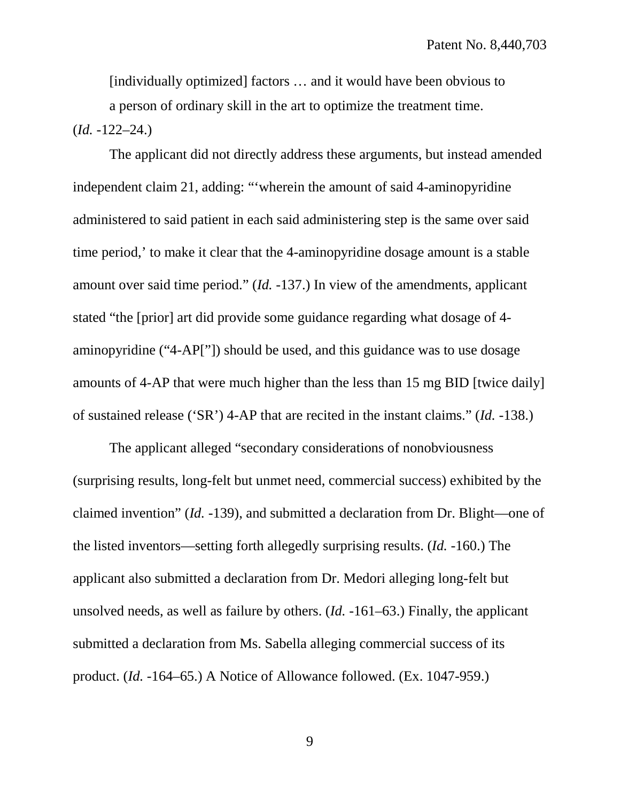[individually optimized] factors … and it would have been obvious to a person of ordinary skill in the art to optimize the treatment time. (*Id.* -122–24.)

The applicant did not directly address these arguments, but instead amended independent claim 21, adding: "'wherein the amount of said 4-aminopyridine administered to said patient in each said administering step is the same over said time period,' to make it clear that the 4-aminopyridine dosage amount is a stable amount over said time period." (*Id.* -137.) In view of the amendments, applicant stated "the [prior] art did provide some guidance regarding what dosage of 4 aminopyridine ("4-AP["]) should be used, and this guidance was to use dosage amounts of 4-AP that were much higher than the less than 15 mg BID [twice daily] of sustained release ('SR') 4-AP that are recited in the instant claims." (*Id.* -138.)

The applicant alleged "secondary considerations of nonobviousness (surprising results, long-felt but unmet need, commercial success) exhibited by the claimed invention" (*Id.* -139), and submitted a declaration from Dr. Blight—one of the listed inventors—setting forth allegedly surprising results. (*Id.* -160.) The applicant also submitted a declaration from Dr. Medori alleging long-felt but unsolved needs, as well as failure by others. (*Id.* -161–63.) Finally, the applicant submitted a declaration from Ms. Sabella alleging commercial success of its product. (*Id.* -164–65.) A Notice of Allowance followed. (Ex. 1047-959.)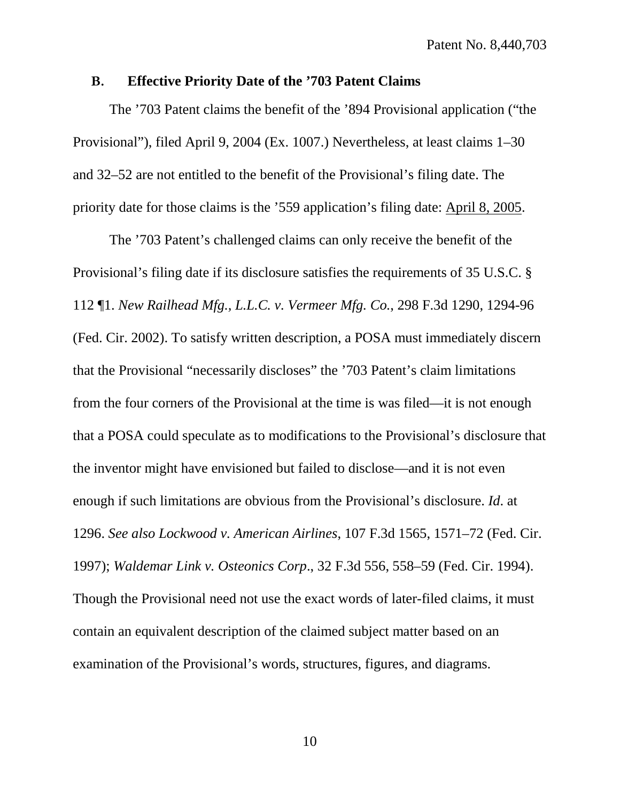#### <span id="page-19-0"></span>**B. Effective Priority Date of the '703 Patent Claims**

The '703 Patent claims the benefit of the '894 Provisional application ("the Provisional"), filed April 9, 2004 (Ex. 1007.) Nevertheless, at least claims 1–30 and 32–52 are not entitled to the benefit of the Provisional's filing date. The priority date for those claims is the '559 application's filing date: April 8, 2005.

The '703 Patent's challenged claims can only receive the benefit of the Provisional's filing date if its disclosure satisfies the requirements of 35 U.S.C. § 112 ¶1. *New Railhead Mfg., L.L.C. v. Vermeer Mfg. Co.*, 298 F.3d 1290, 1294-96 (Fed. Cir. 2002). To satisfy written description, a POSA must immediately discern that the Provisional "necessarily discloses" the '703 Patent's claim limitations from the four corners of the Provisional at the time is was filed—it is not enough that a POSA could speculate as to modifications to the Provisional's disclosure that the inventor might have envisioned but failed to disclose—and it is not even enough if such limitations are obvious from the Provisional's disclosure. *Id*. at 1296. *See also Lockwood v. American Airlines*, 107 F.3d 1565, 1571–72 (Fed. Cir. 1997); *Waldemar Link v. Osteonics Corp*., 32 F.3d 556, 558–59 (Fed. Cir. 1994). Though the Provisional need not use the exact words of later-filed claims, it must contain an equivalent description of the claimed subject matter based on an examination of the Provisional's words, structures, figures, and diagrams.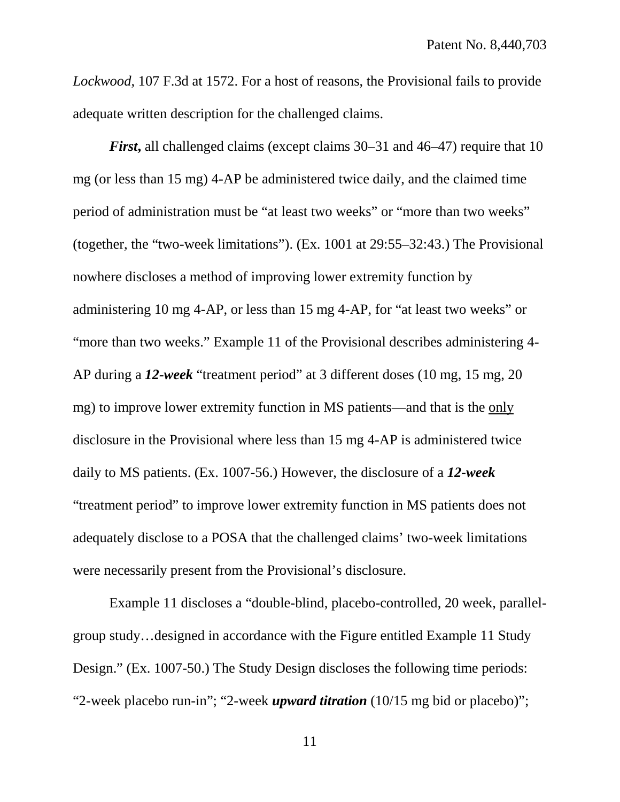*Lockwood*, 107 F.3d at 1572. For a host of reasons, the Provisional fails to provide adequate written description for the challenged claims.

*First*, all challenged claims (except claims 30–31 and 46–47) require that 10 mg (or less than 15 mg) 4-AP be administered twice daily, and the claimed time period of administration must be "at least two weeks" or "more than two weeks" (together, the "two-week limitations"). (Ex. 1001 at 29:55–32:43.) The Provisional nowhere discloses a method of improving lower extremity function by administering 10 mg 4-AP, or less than 15 mg 4-AP, for "at least two weeks" or "more than two weeks." Example 11 of the Provisional describes administering 4- AP during a *12-week* "treatment period" at 3 different doses (10 mg, 15 mg, 20 mg) to improve lower extremity function in MS patients—and that is the only disclosure in the Provisional where less than 15 mg 4-AP is administered twice daily to MS patients. (Ex. 1007-56.) However, the disclosure of a *12-week* "treatment period" to improve lower extremity function in MS patients does not adequately disclose to a POSA that the challenged claims' two-week limitations were necessarily present from the Provisional's disclosure.

Example 11 discloses a "double-blind, placebo-controlled, 20 week, parallelgroup study…designed in accordance with the Figure entitled Example 11 Study Design." (Ex. 1007-50.) The Study Design discloses the following time periods: "2-week placebo run-in"; "2-week *upward titration* (10/15 mg bid or placebo)";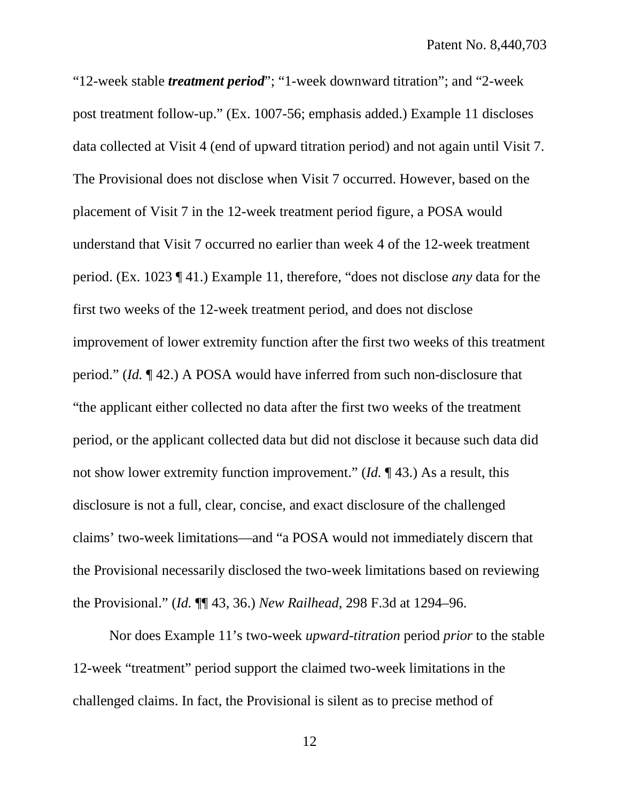"12-week stable *treatment period*"; "1-week downward titration"; and "2-week post treatment follow-up." (Ex. 1007-56; emphasis added.) Example 11 discloses data collected at Visit 4 (end of upward titration period) and not again until Visit 7. The Provisional does not disclose when Visit 7 occurred. However, based on the placement of Visit 7 in the 12-week treatment period figure, a POSA would understand that Visit 7 occurred no earlier than week 4 of the 12-week treatment period. (Ex. 1023 ¶ 41.) Example 11, therefore, "does not disclose *any* data for the first two weeks of the 12-week treatment period, and does not disclose improvement of lower extremity function after the first two weeks of this treatment period." (*Id.* ¶ 42.) A POSA would have inferred from such non-disclosure that "the applicant either collected no data after the first two weeks of the treatment period, or the applicant collected data but did not disclose it because such data did not show lower extremity function improvement." (*Id.* ¶ 43.) As a result, this disclosure is not a full, clear, concise, and exact disclosure of the challenged claims' two-week limitations—and "a POSA would not immediately discern that the Provisional necessarily disclosed the two-week limitations based on reviewing the Provisional." (*Id.* ¶¶ 43, 36.) *New Railhead*, 298 F.3d at 1294–96.

Nor does Example 11's two-week *upward-titration* period *prior* to the stable 12-week "treatment" period support the claimed two-week limitations in the challenged claims. In fact, the Provisional is silent as to precise method of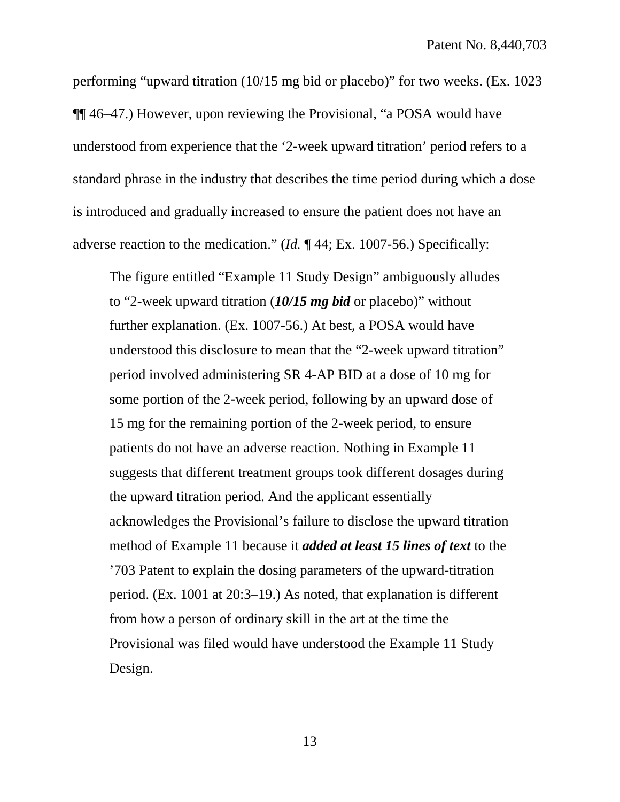performing "upward titration (10/15 mg bid or placebo)" for two weeks. (Ex. 1023 ¶¶ 46–47.) However, upon reviewing the Provisional, "a POSA would have understood from experience that the '2-week upward titration' period refers to a standard phrase in the industry that describes the time period during which a dose is introduced and gradually increased to ensure the patient does not have an adverse reaction to the medication." (*Id.* ¶ 44; Ex. 1007-56.) Specifically:

The figure entitled "Example 11 Study Design" ambiguously alludes to "2-week upward titration (*10/15 mg bid* or placebo)" without further explanation. (Ex. 1007-56.) At best, a POSA would have understood this disclosure to mean that the "2-week upward titration" period involved administering SR 4-AP BID at a dose of 10 mg for some portion of the 2-week period, following by an upward dose of 15 mg for the remaining portion of the 2-week period, to ensure patients do not have an adverse reaction. Nothing in Example 11 suggests that different treatment groups took different dosages during the upward titration period. And the applicant essentially acknowledges the Provisional's failure to disclose the upward titration method of Example 11 because it *added at least 15 lines of text* to the '703 Patent to explain the dosing parameters of the upward-titration period. (Ex. 1001 at 20:3–19.) As noted, that explanation is different from how a person of ordinary skill in the art at the time the Provisional was filed would have understood the Example 11 Study Design.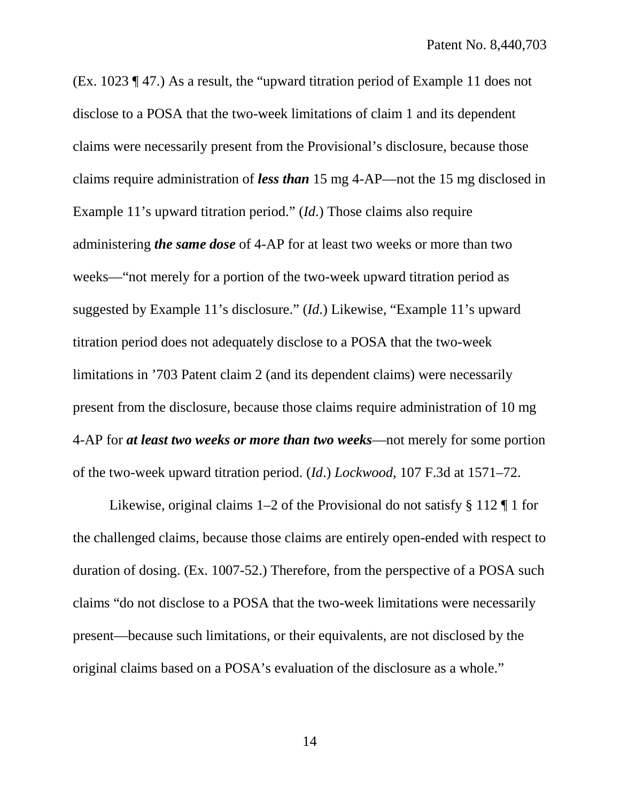(Ex. 1023 ¶ 47.) As a result, the "upward titration period of Example 11 does not disclose to a POSA that the two-week limitations of claim 1 and its dependent claims were necessarily present from the Provisional's disclosure, because those claims require administration of *less than* 15 mg 4-AP—not the 15 mg disclosed in Example 11's upward titration period." (*Id*.) Those claims also require administering *the same dose* of 4-AP for at least two weeks or more than two weeks—"not merely for a portion of the two-week upward titration period as suggested by Example 11's disclosure." (*Id*.) Likewise, "Example 11's upward titration period does not adequately disclose to a POSA that the two-week limitations in '703 Patent claim 2 (and its dependent claims) were necessarily present from the disclosure, because those claims require administration of 10 mg 4-AP for *at least two weeks or more than two weeks*—not merely for some portion of the two-week upward titration period. (*Id*.) *Lockwood*, 107 F.3d at 1571–72.

Likewise, original claims  $1-2$  of the Provisional do not satisfy § 112  $\P$  1 for the challenged claims, because those claims are entirely open-ended with respect to duration of dosing. (Ex. 1007-52.) Therefore, from the perspective of a POSA such claims "do not disclose to a POSA that the two-week limitations were necessarily present—because such limitations, or their equivalents, are not disclosed by the original claims based on a POSA's evaluation of the disclosure as a whole."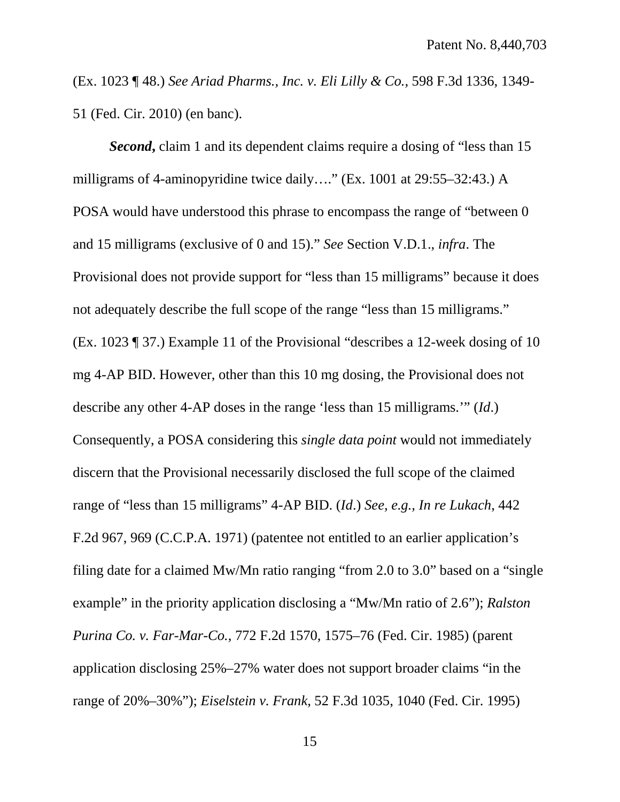(Ex. 1023 ¶ 48.) *See Ariad Pharms., Inc. v. Eli Lilly & Co.,* 598 F.3d 1336, 1349- 51 (Fed. Cir. 2010) (en banc).

*Second***,** claim 1 and its dependent claims require a dosing of "less than 15 milligrams of 4-aminopyridine twice daily…." (Ex. 1001 at 29:55–32:43.) A POSA would have understood this phrase to encompass the range of "between 0 and 15 milligrams (exclusive of 0 and 15)." *See* Section V.D.1., *infra*. The Provisional does not provide support for "less than 15 milligrams" because it does not adequately describe the full scope of the range "less than 15 milligrams." (Ex. 1023 ¶ 37.) Example 11 of the Provisional "describes a 12-week dosing of 10 mg 4-AP BID. However, other than this 10 mg dosing, the Provisional does not describe any other 4-AP doses in the range 'less than 15 milligrams.'" (*Id*.) Consequently, a POSA considering this *single data point* would not immediately discern that the Provisional necessarily disclosed the full scope of the claimed range of "less than 15 milligrams" 4-AP BID. (*Id*.) *See, e.g., In re Lukach*, 442 F.2d 967, 969 (C.C.P.A. 1971) (patentee not entitled to an earlier application's filing date for a claimed Mw/Mn ratio ranging "from 2.0 to 3.0" based on a "single example" in the priority application disclosing a "Mw/Mn ratio of 2.6"); *Ralston Purina Co. v. Far-Mar-Co.*, 772 F.2d 1570, 1575–76 (Fed. Cir. 1985) (parent application disclosing 25%–27% water does not support broader claims "in the range of 20%–30%"); *Eiselstein v. Frank*, 52 F.3d 1035, 1040 (Fed. Cir. 1995)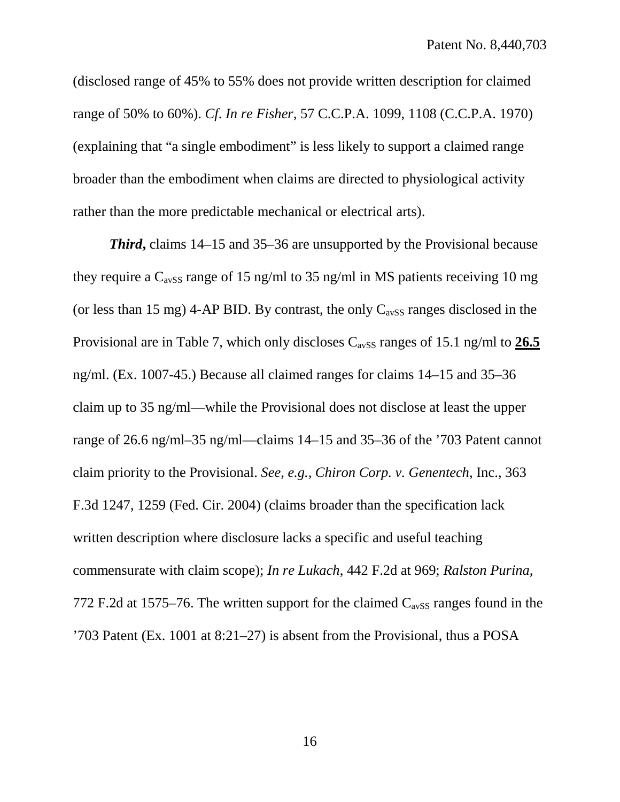(disclosed range of 45% to 55% does not provide written description for claimed range of 50% to 60%). *Cf*. *In re Fisher,* 57 C.C.P.A. 1099, 1108 (C.C.P.A. 1970) (explaining that "a single embodiment" is less likely to support a claimed range broader than the embodiment when claims are directed to physiological activity rather than the more predictable mechanical or electrical arts).

*Third***,** claims 14–15 and 35–36 are unsupported by the Provisional because they require a  $C_{avSS}$  range of 15 ng/ml to 35 ng/ml in MS patients receiving 10 mg (or less than 15 mg) 4-AP BID. By contrast, the only  $C_{avSS}$  ranges disclosed in the Provisional are in Table 7, which only discloses  $C_{avSS}$  ranges of 15.1 ng/ml to 26.5 ng/ml. (Ex. 1007-45.) Because all claimed ranges for claims 14–15 and 35–36 claim up to 35 ng/ml—while the Provisional does not disclose at least the upper range of 26.6 ng/ml–35 ng/ml—claims 14–15 and 35–36 of the '703 Patent cannot claim priority to the Provisional. *See, e.g., Chiron Corp. v. Genentech*, Inc., 363 F.3d 1247, 1259 (Fed. Cir. 2004) (claims broader than the specification lack written description where disclosure lacks a specific and useful teaching commensurate with claim scope); *In re Lukach*, 442 F.2d at 969; *Ralston Purina*, 772 F.2d at 1575–76. The written support for the claimed  $C_{avSS}$  ranges found in the '703 Patent (Ex. 1001 at 8:21–27) is absent from the Provisional, thus a POSA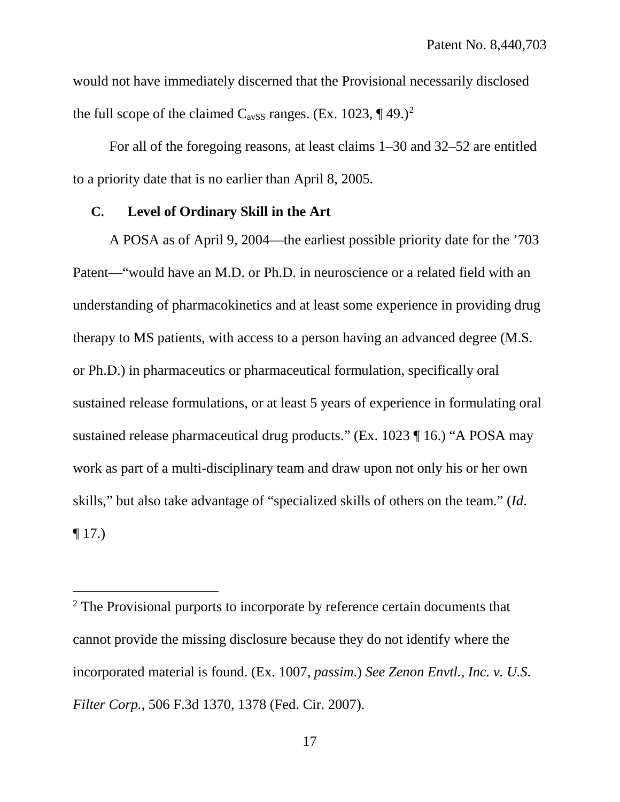would not have immediately discerned that the Provisional necessarily disclosed the full scope of the claimed  $C_{avSS}$  ranges. (Ex. 10[2](#page-26-1)3, ¶ 49.)<sup>2</sup>

For all of the foregoing reasons, at least claims 1–30 and 32–52 are entitled to a priority date that is no earlier than April 8, 2005.

#### <span id="page-26-0"></span>**C. Level of Ordinary Skill in the Art**

 $\overline{a}$ 

A POSA as of April 9, 2004—the earliest possible priority date for the '703 Patent—"would have an M.D. or Ph.D. in neuroscience or a related field with an understanding of pharmacokinetics and at least some experience in providing drug therapy to MS patients, with access to a person having an advanced degree (M.S. or Ph.D.) in pharmaceutics or pharmaceutical formulation, specifically oral sustained release formulations, or at least 5 years of experience in formulating oral sustained release pharmaceutical drug products." (Ex. 1023 ¶ 16.) "A POSA may work as part of a multi-disciplinary team and draw upon not only his or her own skills," but also take advantage of "specialized skills of others on the team." (*Id*. ¶ 17.)

<span id="page-26-1"></span><sup>&</sup>lt;sup>2</sup> The Provisional purports to incorporate by reference certain documents that cannot provide the missing disclosure because they do not identify where the incorporated material is found. (Ex. 1007, *passim*.) *See Zenon Envtl., Inc. v. U.S. Filter Corp.*, 506 F.3d 1370, 1378 (Fed. Cir. 2007).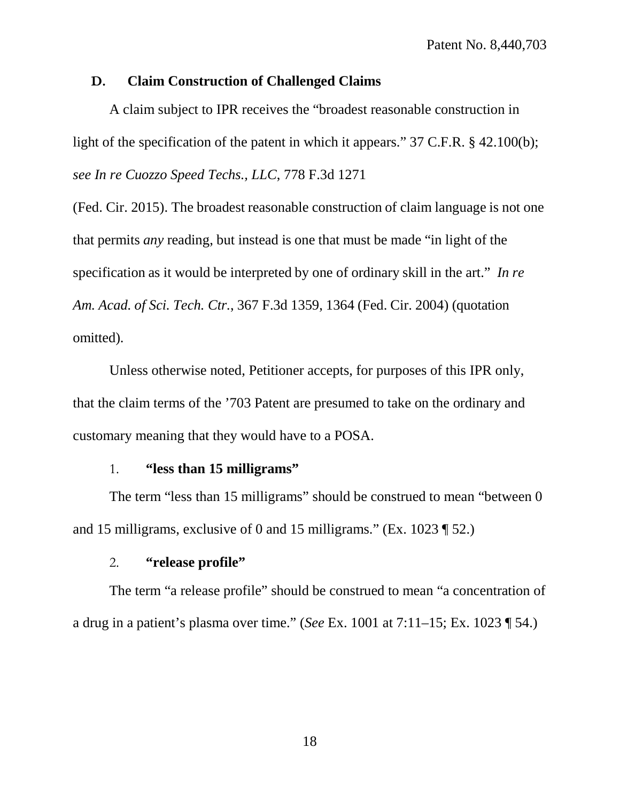#### <span id="page-27-0"></span>**D. Claim Construction of Challenged Claims**

A claim subject to IPR receives the "broadest reasonable construction in light of the specification of the patent in which it appears." 37 C.F.R. § 42.100(b); *see In re Cuozzo Speed Techs., LLC*, 778 F.3d 1271

(Fed. Cir. 2015). The broadest reasonable construction of claim language is not one that permits *any* reading, but instead is one that must be made "in light of the specification as it would be interpreted by one of ordinary skill in the art." *In re Am. Acad. of Sci. Tech. Ctr.*, 367 F.3d 1359, 1364 (Fed. Cir. 2004) (quotation omitted).

Unless otherwise noted, Petitioner accepts, for purposes of this IPR only, that the claim terms of the '703 Patent are presumed to take on the ordinary and customary meaning that they would have to a POSA.

### 1. **"less than 15 milligrams"**

<span id="page-27-1"></span>The term "less than 15 milligrams" should be construed to mean "between 0 and 15 milligrams, exclusive of 0 and 15 milligrams." (Ex. 1023 ¶ 52.)

## 2. **"release profile"**

<span id="page-27-2"></span>The term "a release profile" should be construed to mean "a concentration of a drug in a patient's plasma over time." (*See* Ex. 1001 at 7:11–15; Ex. 1023 ¶ 54.)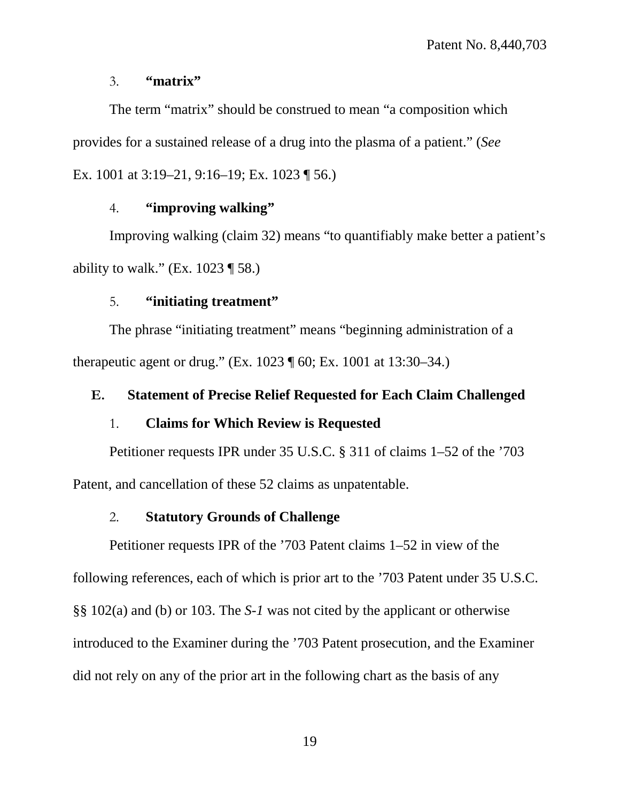#### 3. **"matrix"**

<span id="page-28-0"></span>The term "matrix" should be construed to mean "a composition which provides for a sustained release of a drug into the plasma of a patient." (*See* Ex. 1001 at 3:19–21, 9:16–19; Ex. 1023 ¶ 56.)

## 4. **"improving walking"**

<span id="page-28-1"></span>Improving walking (claim 32) means "to quantifiably make better a patient's ability to walk." (Ex.  $1023 \text{ } \text{\degree}58$ .)

### 5. **"initiating treatment"**

<span id="page-28-2"></span>The phrase "initiating treatment" means "beginning administration of a therapeutic agent or drug." (Ex. 1023 ¶ 60; Ex. 1001 at 13:30–34.)

## <span id="page-28-3"></span>**E. Statement of Precise Relief Requested for Each Claim Challenged**

#### 1. **Claims for Which Review is Requested**

<span id="page-28-4"></span>Petitioner requests IPR under 35 U.S.C. § 311 of claims 1–52 of the '703 Patent, and cancellation of these 52 claims as unpatentable.

#### 2. **Statutory Grounds of Challenge**

<span id="page-28-5"></span>Petitioner requests IPR of the '703 Patent claims 1–52 in view of the following references, each of which is prior art to the '703 Patent under 35 U.S.C. §§ 102(a) and (b) or 103. The *S-1* was not cited by the applicant or otherwise introduced to the Examiner during the '703 Patent prosecution, and the Examiner did not rely on any of the prior art in the following chart as the basis of any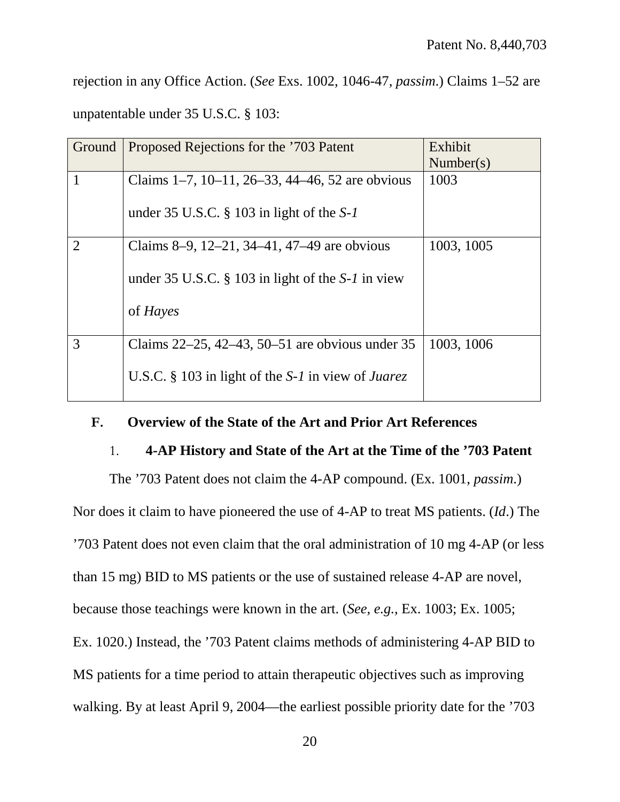rejection in any Office Action. (*See* Exs. 1002, 1046-47, *passim*.) Claims 1–52 are unpatentable under 35 U.S.C. § 103:

| Ground         | Proposed Rejections for the '703 Patent                     | Exhibit<br>Number(s) |
|----------------|-------------------------------------------------------------|----------------------|
| $\mathbf{1}$   | Claims $1-7$ , $10-11$ , $26-33$ , $44-46$ , 52 are obvious | 1003                 |
|                | under 35 U.S.C. $\S$ 103 in light of the S-1                |                      |
| $\overline{2}$ | Claims 8–9, 12–21, 34–41, 47–49 are obvious                 | 1003, 1005           |
|                | under 35 U.S.C. $\S$ 103 in light of the S-1 in view        |                      |
|                | of <i>Hayes</i>                                             |                      |
| 3              | Claims 22–25, 42–43, 50–51 are obvious under 35             | 1003, 1006           |
|                | U.S.C. § 103 in light of the S-1 in view of Juarez          |                      |

## <span id="page-29-1"></span><span id="page-29-0"></span>**F. Overview of the State of the Art and Prior Art References**

#### 1. **4-AP History and State of the Art at the Time of the '703 Patent**

The '703 Patent does not claim the 4-AP compound. (Ex. 1001, *passim*.)

Nor does it claim to have pioneered the use of 4-AP to treat MS patients. (*Id*.) The '703 Patent does not even claim that the oral administration of 10 mg 4-AP (or less than 15 mg) BID to MS patients or the use of sustained release 4-AP are novel, because those teachings were known in the art. (*See, e.g.*, Ex. 1003; Ex. 1005; Ex. 1020.) Instead, the '703 Patent claims methods of administering 4-AP BID to MS patients for a time period to attain therapeutic objectives such as improving walking. By at least April 9, 2004—the earliest possible priority date for the '703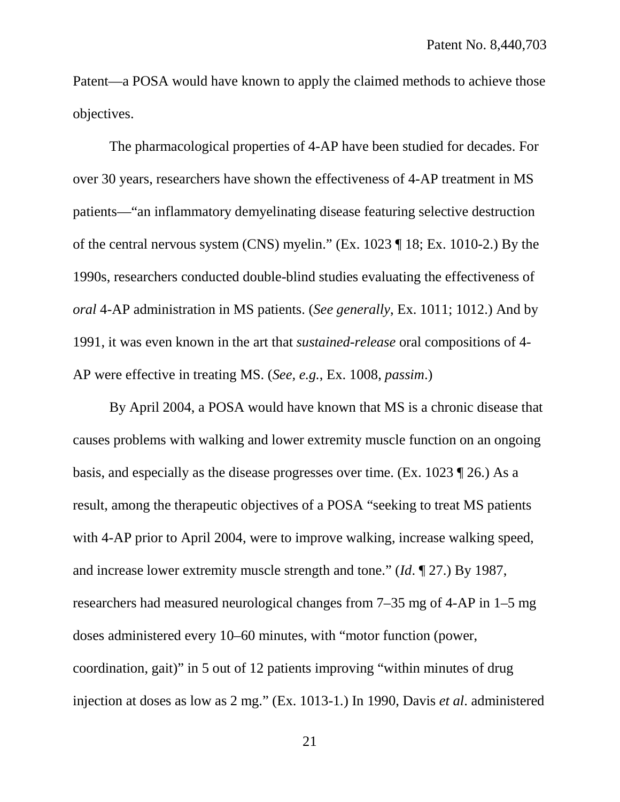Patent—a POSA would have known to apply the claimed methods to achieve those objectives.

The pharmacological properties of 4-AP have been studied for decades. For over 30 years, researchers have shown the effectiveness of 4-AP treatment in MS patients—"an inflammatory demyelinating disease featuring selective destruction of the central nervous system (CNS) myelin." (Ex. 1023 ¶ 18; Ex. 1010-2.) By the 1990s, researchers conducted double-blind studies evaluating the effectiveness of *oral* 4-AP administration in MS patients. (*See generally*, Ex. 1011; 1012.) And by 1991, it was even known in the art that *sustained-release* oral compositions of 4- AP were effective in treating MS. (*See, e.g.*, Ex. 1008, *passim*.)

By April 2004, a POSA would have known that MS is a chronic disease that causes problems with walking and lower extremity muscle function on an ongoing basis, and especially as the disease progresses over time. (Ex. 1023 ¶ 26.) As a result, among the therapeutic objectives of a POSA "seeking to treat MS patients with 4-AP prior to April 2004, were to improve walking, increase walking speed, and increase lower extremity muscle strength and tone." (*Id*. ¶ 27.) By 1987, researchers had measured neurological changes from 7–35 mg of 4-AP in 1–5 mg doses administered every 10–60 minutes, with "motor function (power, coordination, gait)" in 5 out of 12 patients improving "within minutes of drug injection at doses as low as 2 mg." (Ex. 1013-1*.*) In 1990, Davis *et al*. administered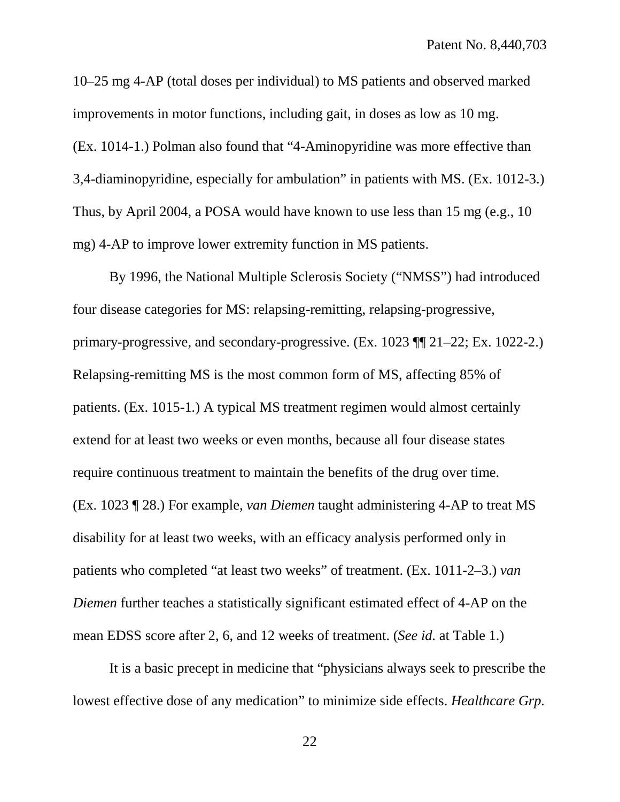10–25 mg 4-AP (total doses per individual) to MS patients and observed marked improvements in motor functions, including gait, in doses as low as 10 mg. (Ex. 1014-1.) Polman also found that "4-Aminopyridine was more effective than 3,4-diaminopyridine, especially for ambulation" in patients with MS. (Ex. 1012-3.) Thus, by April 2004, a POSA would have known to use less than 15 mg (e.g., 10 mg) 4-AP to improve lower extremity function in MS patients.

By 1996, the National Multiple Sclerosis Society ("NMSS") had introduced four disease categories for MS: relapsing-remitting, relapsing-progressive, primary-progressive, and secondary-progressive. (Ex. 1023 ¶¶ 21–22; Ex. 1022-2.) Relapsing-remitting MS is the most common form of MS, affecting 85% of patients. (Ex. 1015-1*.*) A typical MS treatment regimen would almost certainly extend for at least two weeks or even months, because all four disease states require continuous treatment to maintain the benefits of the drug over time. (Ex. 1023 ¶ 28.) For example, *van Diemen* taught administering 4-AP to treat MS disability for at least two weeks, with an efficacy analysis performed only in patients who completed "at least two weeks" of treatment. (Ex. 1011-2–3.) *van Diemen* further teaches a statistically significant estimated effect of 4-AP on the mean EDSS score after 2, 6, and 12 weeks of treatment. (*See id.* at Table 1.)

It is a basic precept in medicine that "physicians always seek to prescribe the lowest effective dose of any medication" to minimize side effects. *Healthcare Grp.*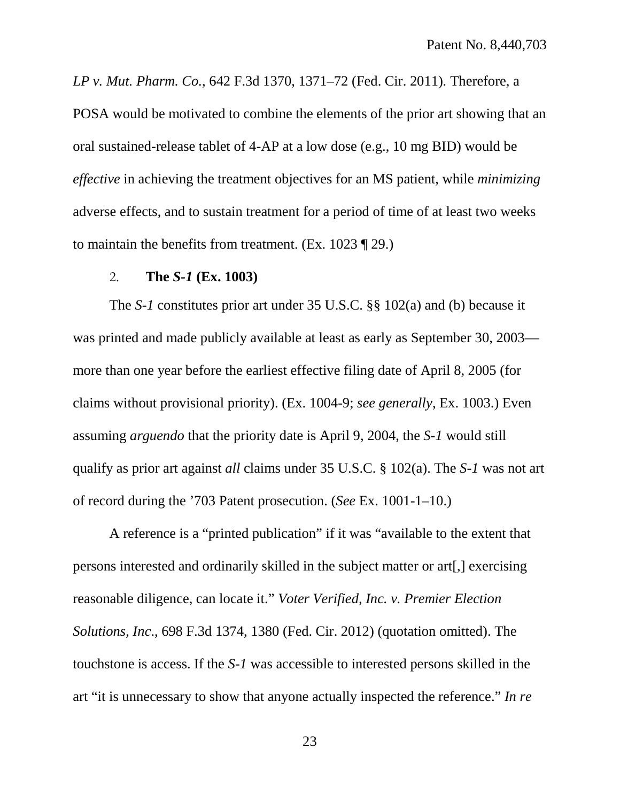*LP v. Mut. Pharm. Co.*, 642 F.3d 1370, 1371–72 (Fed. Cir. 2011)*.* Therefore, a POSA would be motivated to combine the elements of the prior art showing that an oral sustained-release tablet of 4-AP at a low dose (e.g., 10 mg BID) would be *effective* in achieving the treatment objectives for an MS patient, while *minimizing* adverse effects, and to sustain treatment for a period of time of at least two weeks to maintain the benefits from treatment. (Ex. 1023 ¶ 29.)

#### 2. **The** *S-1* **(Ex. 1003)**

<span id="page-32-0"></span>The *S-1* constitutes prior art under 35 U.S.C. §§ 102(a) and (b) because it was printed and made publicly available at least as early as September 30, 2003 more than one year before the earliest effective filing date of April 8, 2005 (for claims without provisional priority). (Ex. 1004-9; *see generally*, Ex. 1003.) Even assuming *arguendo* that the priority date is April 9, 2004, the *S-1* would still qualify as prior art against *all* claims under 35 U.S.C. § 102(a). The *S-1* was not art of record during the '703 Patent prosecution. (*See* Ex. 1001-1–10.)

A reference is a "printed publication" if it was "available to the extent that persons interested and ordinarily skilled in the subject matter or art[,] exercising reasonable diligence, can locate it." *Voter Verified, Inc. v. Premier Election Solutions, Inc*., 698 F.3d 1374, 1380 (Fed. Cir. 2012) (quotation omitted). The touchstone is access. If the *S-1* was accessible to interested persons skilled in the art "it is unnecessary to show that anyone actually inspected the reference." *In re*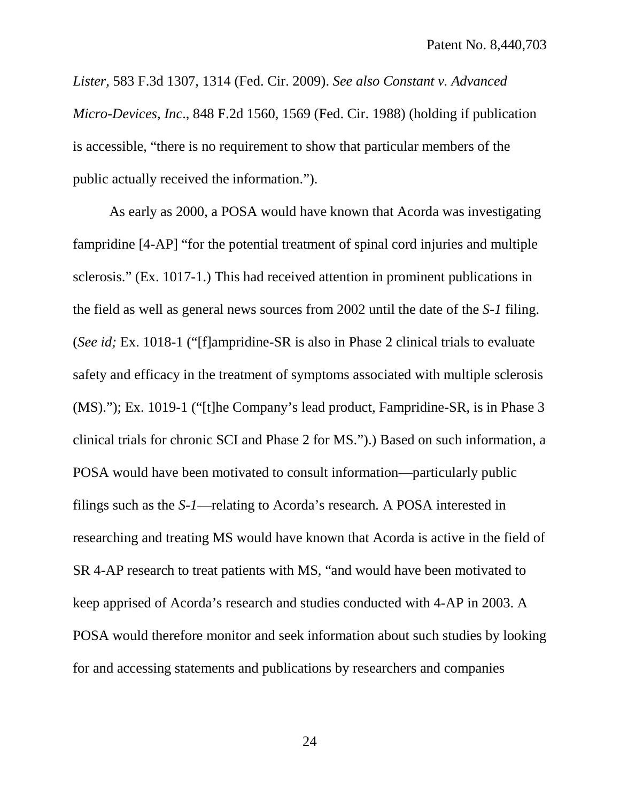*Lister*, 583 F.3d 1307, 1314 (Fed. Cir. 2009). *See also Constant v. Advanced Micro-Devices, Inc*., 848 F.2d 1560, 1569 (Fed. Cir. 1988) (holding if publication is accessible, "there is no requirement to show that particular members of the public actually received the information.").

As early as 2000, a POSA would have known that Acorda was investigating fampridine [4-AP] "for the potential treatment of spinal cord injuries and multiple sclerosis." (Ex. 1017-1.) This had received attention in prominent publications in the field as well as general news sources from 2002 until the date of the *S-1* filing. (*See id;* Ex. 1018-1 ("[f]ampridine-SR is also in Phase 2 clinical trials to evaluate safety and efficacy in the treatment of symptoms associated with multiple sclerosis (MS)."); Ex. 1019-1 ("[t]he Company's lead product, Fampridine-SR, is in Phase 3 clinical trials for chronic SCI and Phase 2 for MS.").) Based on such information, a POSA would have been motivated to consult information—particularly public filings such as the *S-1*—relating to Acorda's research*.* A POSA interested in researching and treating MS would have known that Acorda is active in the field of SR 4-AP research to treat patients with MS, "and would have been motivated to keep apprised of Acorda's research and studies conducted with 4-AP in 2003. A POSA would therefore monitor and seek information about such studies by looking for and accessing statements and publications by researchers and companies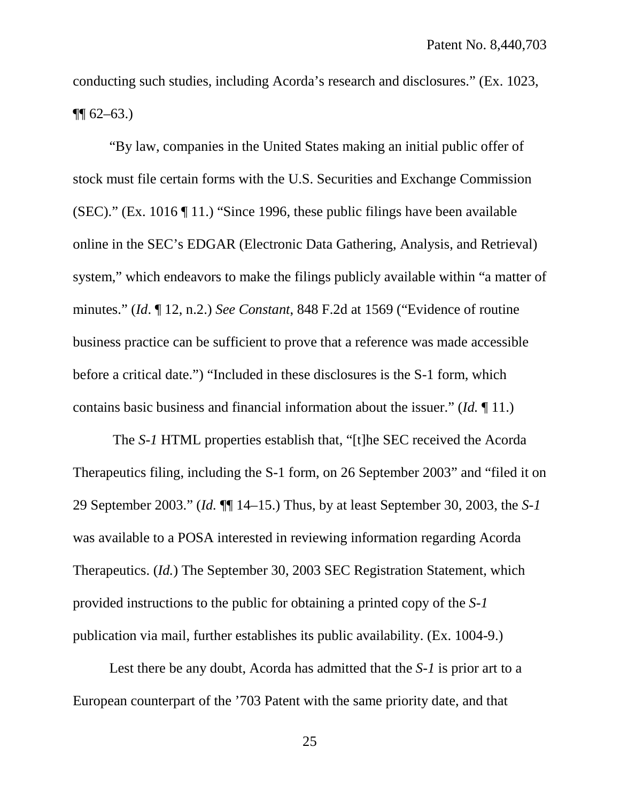conducting such studies, including Acorda's research and disclosures." (Ex. 1023,  $\P\P$  62–63.)

"By law, companies in the United States making an initial public offer of stock must file certain forms with the U.S. Securities and Exchange Commission (SEC)." (Ex. 1016 ¶ 11.) "Since 1996, these public filings have been available online in the SEC's EDGAR (Electronic Data Gathering, Analysis, and Retrieval) system," which endeavors to make the filings publicly available within "a matter of minutes." (*Id*. ¶ 12, n.2.) *See Constant*, 848 F.2d at 1569 ("Evidence of routine business practice can be sufficient to prove that a reference was made accessible before a critical date.") "Included in these disclosures is the S-1 form, which contains basic business and financial information about the issuer." (*Id.* ¶ 11.)

The *S-1* HTML properties establish that, "[t]he SEC received the Acorda Therapeutics filing, including the S-1 form, on 26 September 2003" and "filed it on 29 September 2003." (*Id.* ¶¶ 14–15.) Thus, by at least September 30, 2003, the *S-1*  was available to a POSA interested in reviewing information regarding Acorda Therapeutics. (*Id.*) The September 30, 2003 SEC Registration Statement, which provided instructions to the public for obtaining a printed copy of the *S-1* publication via mail, further establishes its public availability. (Ex. 1004-9.)

Lest there be any doubt, Acorda has admitted that the *S-1* is prior art to a European counterpart of the '703 Patent with the same priority date, and that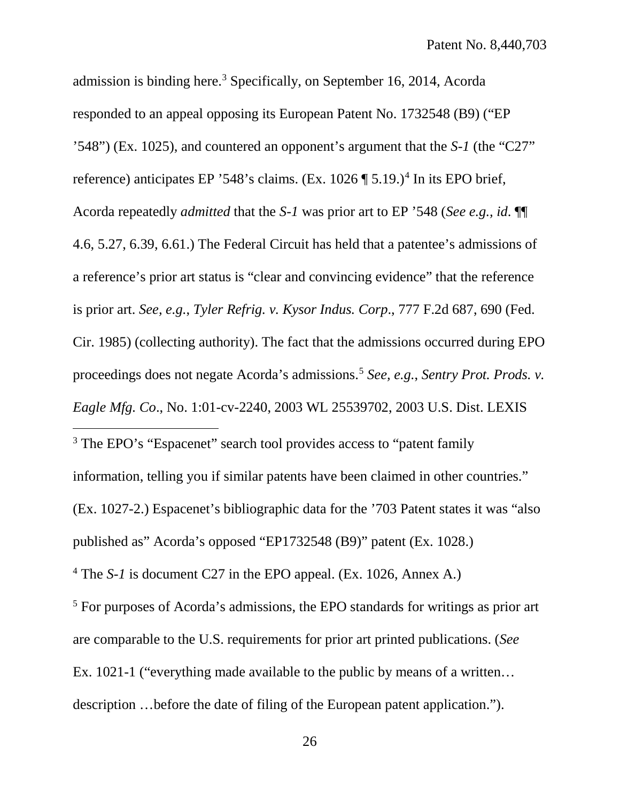admission is binding here. [3](#page-35-0) Specifically, on September 16, 2014, Acorda responded to an appeal opposing its European Patent No. 1732548 (B9) ("EP '548") (Ex. 1025), and countered an opponent's argument that the *S-1* (the "C27" reference) anticipates EP '5[4](#page-35-1)8's claims. (Ex.  $1026 \text{ }\mathcal{F}$  5.19.)<sup>4</sup> In its EPO brief, Acorda repeatedly *admitted* that the *S-1* was prior art to EP '548 (*See e.g., id*. ¶¶ 4.6, 5.27, 6.39, 6.61.) The Federal Circuit has held that a patentee's admissions of a reference's prior art status is "clear and convincing evidence" that the reference is prior art. *See, e.g.*, *Tyler Refrig. v. Kysor Indus. Corp*., 777 F.2d 687, 690 (Fed. Cir. 1985) (collecting authority). The fact that the admissions occurred during EPO proceedings does not negate Acorda's admissions.[5](#page-35-2) *See, e.g.*, *Sentry Prot. Prods. v. Eagle Mfg. Co*., No. 1:01-cv-2240, 2003 WL 25539702, 2003 U.S. Dist. LEXIS

<span id="page-35-0"></span><sup>3</sup> The EPO's "Espacenet" search tool provides access to "patent family" information, telling you if similar patents have been claimed in other countries." (Ex. 1027-2.) Espacenet's bibliographic data for the '703 Patent states it was "also published as" Acorda's opposed "EP1732548 (B9)" patent (Ex. 1028.) <sup>4</sup> The *S-1* is document C27 in the EPO appeal. (Ex. 1026, Annex A.)

 $\overline{a}$ 

<span id="page-35-2"></span><span id="page-35-1"></span><sup>5</sup> For purposes of Acorda's admissions, the EPO standards for writings as prior art are comparable to the U.S. requirements for prior art printed publications. (*See* Ex. 1021-1 ("everything made available to the public by means of a written… description …before the date of filing of the European patent application.").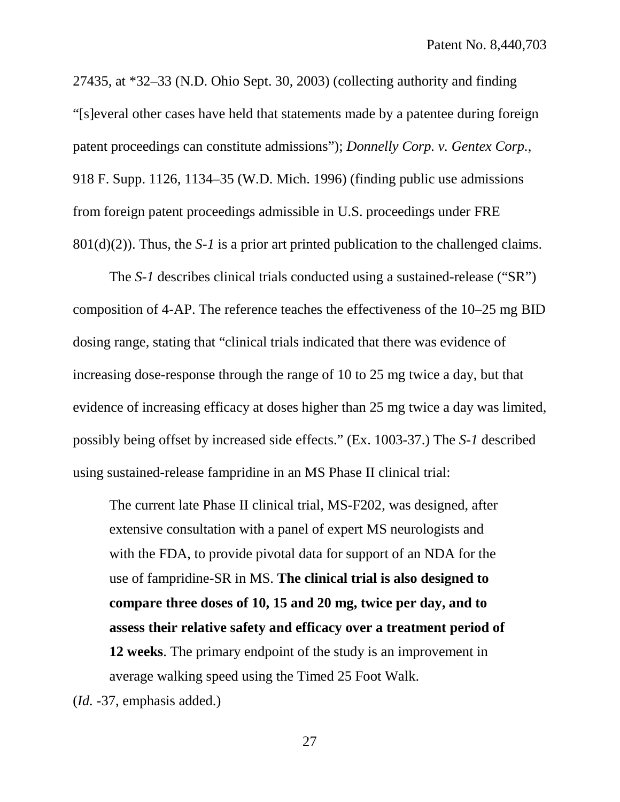27435, at \*32–33 (N.D. Ohio Sept. 30, 2003) (collecting authority and finding "[s]everal other cases have held that statements made by a patentee during foreign patent proceedings can constitute admissions"); *Donnelly Corp. v. Gentex Corp.*, 918 F. Supp. 1126, 1134–35 (W.D. Mich. 1996) (finding public use admissions from foreign patent proceedings admissible in U.S. proceedings under FRE 801(d)(2)). Thus, the *S-1* is a prior art printed publication to the challenged claims.

The *S-1* describes clinical trials conducted using a sustained-release ("SR") composition of 4-AP. The reference teaches the effectiveness of the 10–25 mg BID dosing range, stating that "clinical trials indicated that there was evidence of increasing dose-response through the range of 10 to 25 mg twice a day, but that evidence of increasing efficacy at doses higher than 25 mg twice a day was limited, possibly being offset by increased side effects." (Ex. 1003-37.) The *S-1* described using sustained-release fampridine in an MS Phase II clinical trial:

The current late Phase II clinical trial, MS-F202, was designed, after extensive consultation with a panel of expert MS neurologists and with the FDA, to provide pivotal data for support of an NDA for the use of fampridine-SR in MS. **The clinical trial is also designed to compare three doses of 10, 15 and 20 mg, twice per day, and to assess their relative safety and efficacy over a treatment period of 12 weeks**. The primary endpoint of the study is an improvement in average walking speed using the Timed 25 Foot Walk.

(*Id.* -37, emphasis added.)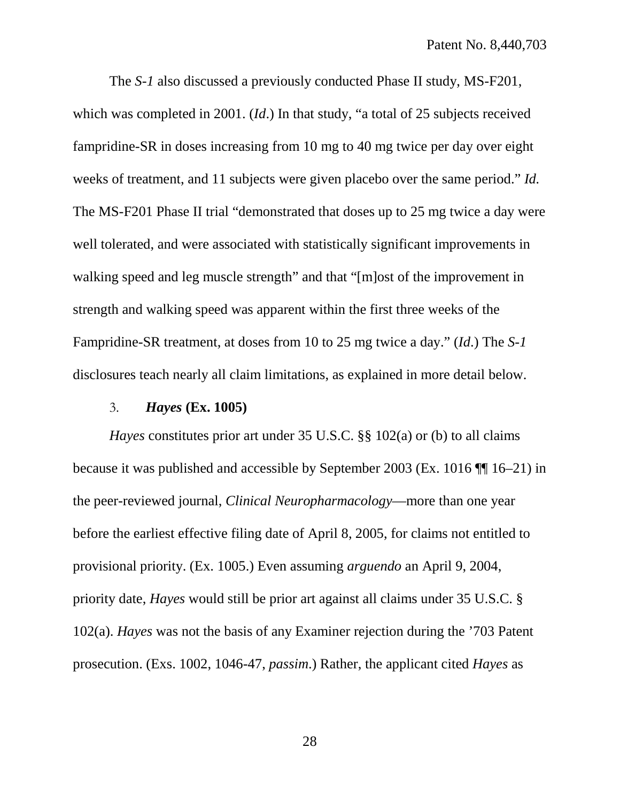The *S-1* also discussed a previously conducted Phase II study, MS-F201, which was completed in 2001. (*Id*.) In that study, "a total of 25 subjects received fampridine-SR in doses increasing from 10 mg to 40 mg twice per day over eight weeks of treatment, and 11 subjects were given placebo over the same period." *Id.* The MS-F201 Phase II trial "demonstrated that doses up to 25 mg twice a day were well tolerated, and were associated with statistically significant improvements in walking speed and leg muscle strength" and that "[m]ost of the improvement in strength and walking speed was apparent within the first three weeks of the Fampridine-SR treatment, at doses from 10 to 25 mg twice a day." (*Id*.) The *S-1* disclosures teach nearly all claim limitations, as explained in more detail below.

#### 3. *Hayes* **(Ex. 1005)**

<span id="page-37-0"></span>*Hayes* constitutes prior art under 35 U.S.C. §§ 102(a) or (b) to all claims because it was published and accessible by September 2003 (Ex. 1016 ¶¶ 16–21) in the peer-reviewed journal, *Clinical Neuropharmacology*—more than one year before the earliest effective filing date of April 8, 2005, for claims not entitled to provisional priority. (Ex. 1005.) Even assuming *arguendo* an April 9, 2004, priority date, *Hayes* would still be prior art against all claims under 35 U.S.C. § 102(a). *Hayes* was not the basis of any Examiner rejection during the '703 Patent prosecution. (Exs. 1002, 1046-47, *passim*.) Rather, the applicant cited *Hayes* as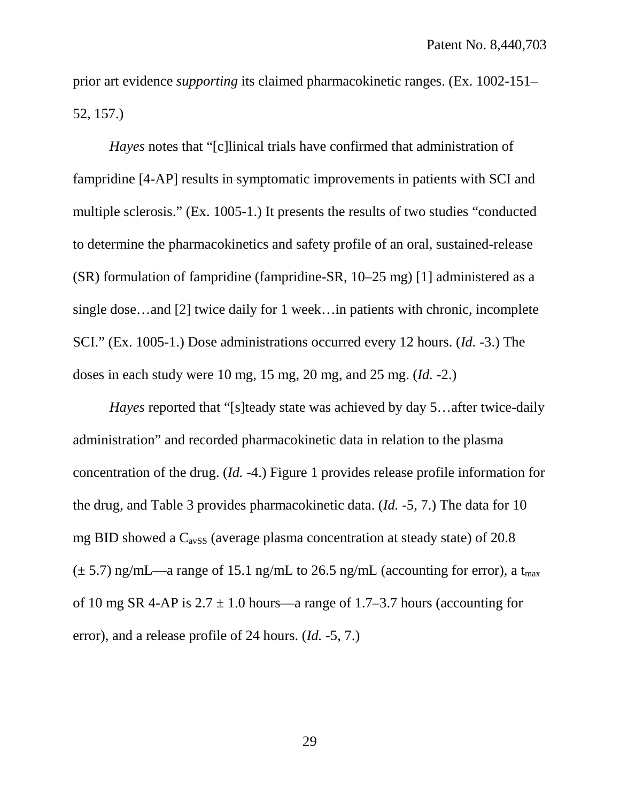prior art evidence *supporting* its claimed pharmacokinetic ranges. (Ex. 1002-151– 52, 157.)

*Hayes* notes that "[c]linical trials have confirmed that administration of fampridine [4-AP] results in symptomatic improvements in patients with SCI and multiple sclerosis." (Ex. 1005-1.) It presents the results of two studies "conducted to determine the pharmacokinetics and safety profile of an oral, sustained-release (SR) formulation of fampridine (fampridine-SR, 10–25 mg) [1] administered as a single dose…and [2] twice daily for 1 week…in patients with chronic, incomplete SCI." (Ex. 1005-1.) Dose administrations occurred every 12 hours. (*Id.* -3.) The doses in each study were 10 mg, 15 mg, 20 mg, and 25 mg. (*Id.* -2.)

*Hayes* reported that "[s]teady state was achieved by day 5…after twice-daily administration" and recorded pharmacokinetic data in relation to the plasma concentration of the drug. (*Id.* -4.) Figure 1 provides release profile information for the drug, and Table 3 provides pharmacokinetic data. (*Id.* -5, 7.) The data for 10 mg BID showed a  $C_{avSS}$  (average plasma concentration at steady state) of 20.8  $(\pm 5.7)$  ng/mL—a range of 15.1 ng/mL to 26.5 ng/mL (accounting for error), a t<sub>max</sub> of 10 mg SR 4-AP is  $2.7 \pm 1.0$  hours—a range of 1.7–3.7 hours (accounting for error), and a release profile of 24 hours. (*Id.* -5, 7.)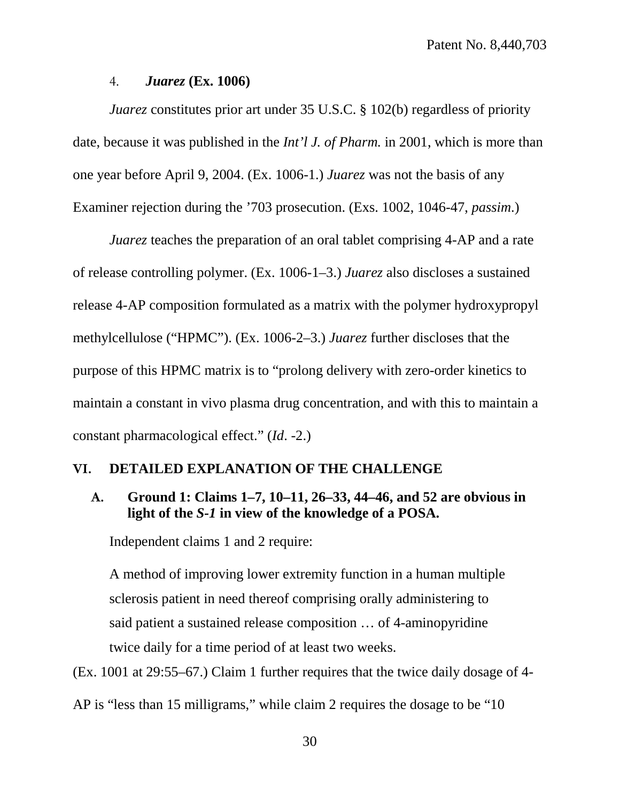#### 4. *Juarez* **(Ex. 1006)**

<span id="page-39-0"></span>*Juarez* constitutes prior art under 35 U.S.C. § 102(b) regardless of priority date, because it was published in the *Int'l J. of Pharm.* in 2001, which is more than one year before April 9, 2004. (Ex. 1006-1.) *Juarez* was not the basis of any Examiner rejection during the '703 prosecution. (Exs. 1002, 1046-47, *passim*.)

*Juarez* teaches the preparation of an oral tablet comprising 4-AP and a rate of release controlling polymer. (Ex. 1006-1–3.) *Juarez* also discloses a sustained release 4-AP composition formulated as a matrix with the polymer hydroxypropyl methylcellulose ("HPMC"). (Ex. 1006-2–3.) *Juarez* further discloses that the purpose of this HPMC matrix is to "prolong delivery with zero-order kinetics to maintain a constant in vivo plasma drug concentration, and with this to maintain a constant pharmacological effect." (*Id*. -2.)

### <span id="page-39-1"></span>**VI. DETAILED EXPLANATION OF THE CHALLENGE**

# <span id="page-39-2"></span>**A. Ground 1: Claims 1–7, 10–11, 26–33, 44–46, and 52 are obvious in light of the** *S-1* **in view of the knowledge of a POSA.**

Independent claims 1 and 2 require:

A method of improving lower extremity function in a human multiple sclerosis patient in need thereof comprising orally administering to said patient a sustained release composition … of 4-aminopyridine twice daily for a time period of at least two weeks.

(Ex. 1001 at 29:55–67.) Claim 1 further requires that the twice daily dosage of 4-

AP is "less than 15 milligrams," while claim 2 requires the dosage to be "10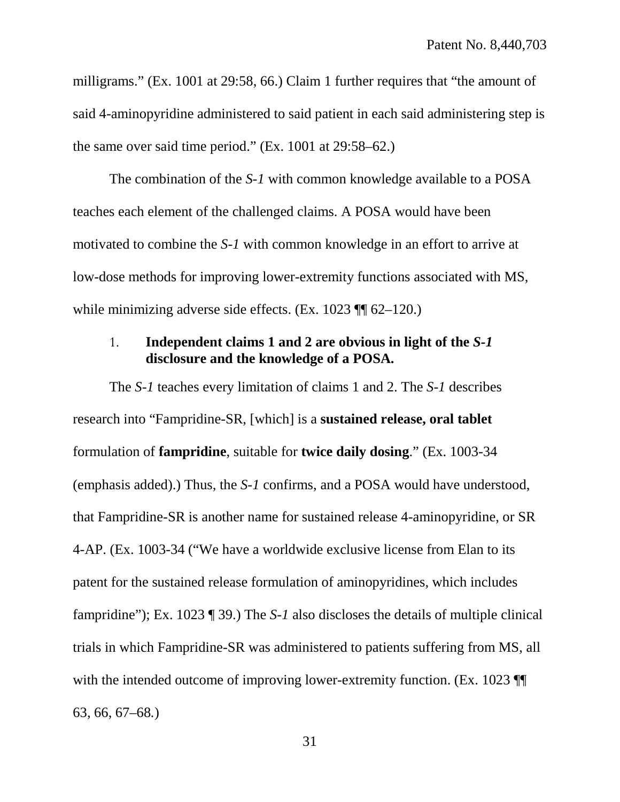milligrams." (Ex. 1001 at 29:58, 66.) Claim 1 further requires that "the amount of said 4-aminopyridine administered to said patient in each said administering step is the same over said time period." (Ex. 1001 at 29:58–62.)

The combination of the *S-1* with common knowledge available to a POSA teaches each element of the challenged claims. A POSA would have been motivated to combine the *S-1* with common knowledge in an effort to arrive at low-dose methods for improving lower-extremity functions associated with MS, while minimizing adverse side effects. (Ex. 1023 ¶ 62–120.)

## <span id="page-40-0"></span>1. **Independent claims 1 and 2 are obvious in light of the** *S-1* **disclosure and the knowledge of a POSA.**

The *S-1* teaches every limitation of claims 1 and 2. The *S-1* describes research into "Fampridine-SR, [which] is a **sustained release, oral tablet** formulation of **fampridine**, suitable for **twice daily dosing**." (Ex. 1003-34 (emphasis added).) Thus, the *S-1* confirms, and a POSA would have understood, that Fampridine-SR is another name for sustained release 4-aminopyridine, or SR 4-AP. (Ex. 1003-34 ("We have a worldwide exclusive license from Elan to its patent for the sustained release formulation of aminopyridines, which includes fampridine"); Ex. 1023 ¶ 39.) The *S-1* also discloses the details of multiple clinical trials in which Fampridine-SR was administered to patients suffering from MS, all with the intended outcome of improving lower-extremity function. (Ex. 1023  $\P$ 63, 66, 67–68*.*)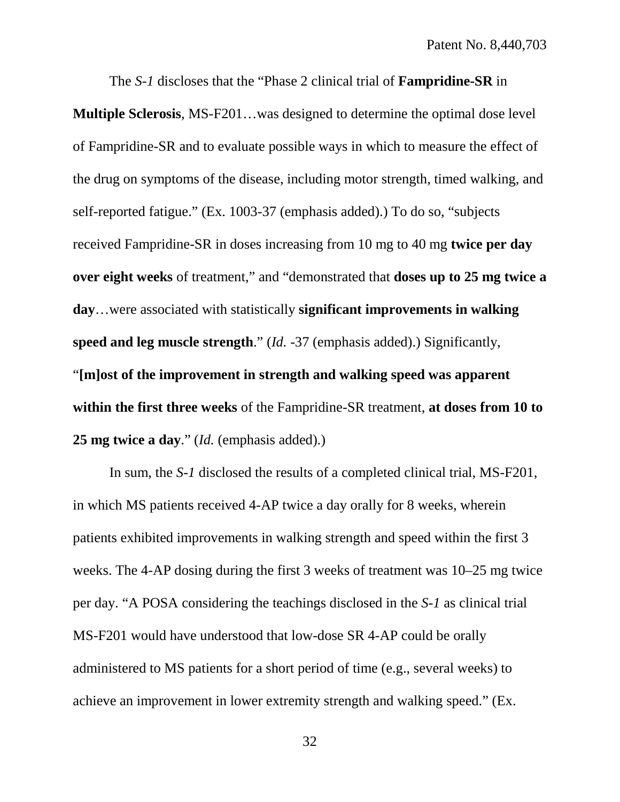The *S-1* discloses that the "Phase 2 clinical trial of **Fampridine-SR** in

**Multiple Sclerosis**, MS-F201…was designed to determine the optimal dose level of Fampridine-SR and to evaluate possible ways in which to measure the effect of the drug on symptoms of the disease, including motor strength, timed walking, and self-reported fatigue." (Ex. 1003-37 (emphasis added).) To do so, "subjects received Fampridine-SR in doses increasing from 10 mg to 40 mg **twice per day over eight weeks** of treatment," and "demonstrated that **doses up to 25 mg twice a day**…were associated with statistically **significant improvements in walking speed and leg muscle strength**." (*Id.* -37 (emphasis added).) Significantly, "**[m]ost of the improvement in strength and walking speed was apparent within the first three weeks** of the Fampridine-SR treatment, **at doses from 10 to 25 mg twice a day**." (*Id.* (emphasis added).)

In sum, the *S-1* disclosed the results of a completed clinical trial, MS-F201, in which MS patients received 4-AP twice a day orally for 8 weeks, wherein patients exhibited improvements in walking strength and speed within the first 3 weeks. The 4-AP dosing during the first 3 weeks of treatment was 10–25 mg twice per day. "A POSA considering the teachings disclosed in the *S-1* as clinical trial MS-F201 would have understood that low-dose SR 4-AP could be orally administered to MS patients for a short period of time (e.g., several weeks) to achieve an improvement in lower extremity strength and walking speed." (Ex.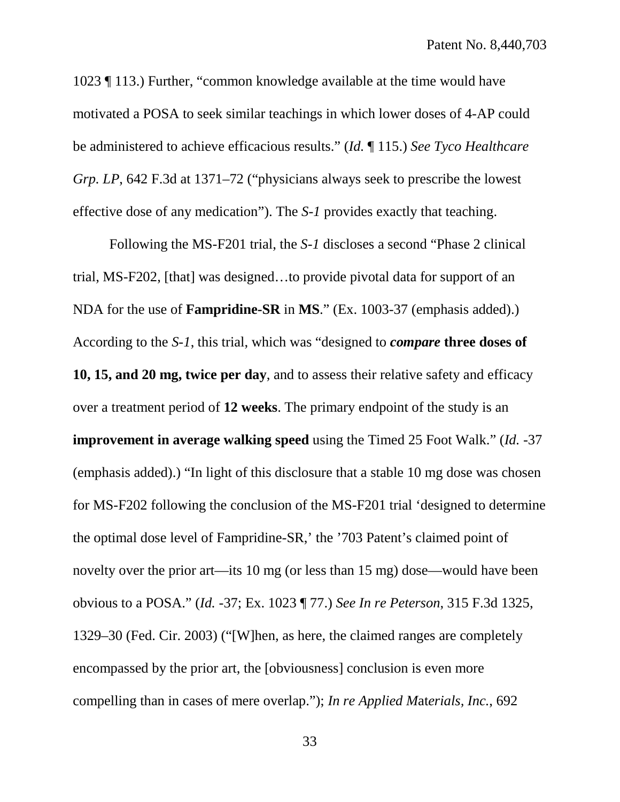1023 ¶ 113.) Further, "common knowledge available at the time would have motivated a POSA to seek similar teachings in which lower doses of 4-AP could be administered to achieve efficacious results." (*Id.* ¶ 115.) *See Tyco Healthcare Grp. LP*, 642 F.3d at 1371–72 ("physicians always seek to prescribe the lowest effective dose of any medication"). The *S-1* provides exactly that teaching.

Following the MS-F201 trial, the *S-1* discloses a second "Phase 2 clinical trial, MS-F202, [that] was designed…to provide pivotal data for support of an NDA for the use of **Fampridine-SR** in **MS**." (Ex. 1003-37 (emphasis added).) According to the *S-1*, this trial, which was "designed to *compare* **three doses of 10, 15, and 20 mg, twice per day**, and to assess their relative safety and efficacy over a treatment period of **12 weeks**. The primary endpoint of the study is an **improvement in average walking speed** using the Timed 25 Foot Walk." (*Id.* -37 (emphasis added).) "In light of this disclosure that a stable 10 mg dose was chosen for MS-F202 following the conclusion of the MS-F201 trial 'designed to determine the optimal dose level of Fampridine-SR,' the '703 Patent's claimed point of novelty over the prior art—its 10 mg (or less than 15 mg) dose—would have been obvious to a POSA." (*Id.* -37; Ex. 1023 ¶ 77.) *See In re Peterson*, 315 F.3d 1325, 1329–30 (Fed. Cir. 2003) ("[W]hen, as here, the claimed ranges are completely encompassed by the prior art, the [obviousness] conclusion is even more compelling than in cases of mere overlap."); *In re Applied M*at*erials, Inc.*, 692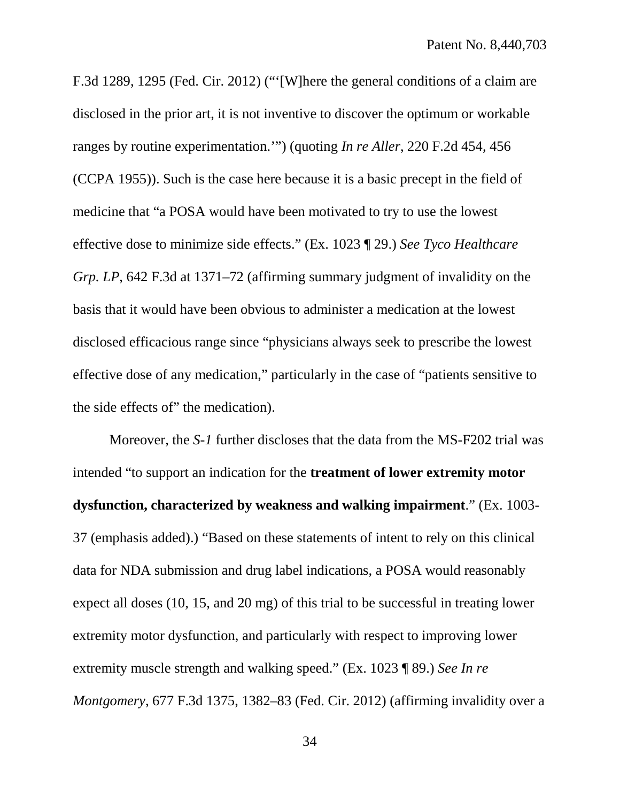F.3d 1289, 1295 (Fed. Cir. 2012) ("'[W]here the general conditions of a claim are disclosed in the prior art, it is not inventive to discover the optimum or workable ranges by routine experimentation.'") (quoting *In re Aller*, 220 F.2d 454, 456 (CCPA 1955)). Such is the case here because it is a basic precept in the field of medicine that "a POSA would have been motivated to try to use the lowest effective dose to minimize side effects." (Ex. 1023 ¶ 29.) *See Tyco Healthcare Grp. LP*, 642 F.3d at 1371–72 (affirming summary judgment of invalidity on the basis that it would have been obvious to administer a medication at the lowest disclosed efficacious range since "physicians always seek to prescribe the lowest effective dose of any medication," particularly in the case of "patients sensitive to the side effects of" the medication).

Moreover, the *S-1* further discloses that the data from the MS-F202 trial was intended "to support an indication for the **treatment of lower extremity motor dysfunction, characterized by weakness and walking impairment**." (Ex. 1003- 37 (emphasis added).) "Based on these statements of intent to rely on this clinical data for NDA submission and drug label indications, a POSA would reasonably expect all doses (10, 15, and 20 mg) of this trial to be successful in treating lower extremity motor dysfunction, and particularly with respect to improving lower extremity muscle strength and walking speed." (Ex. 1023 ¶ 89.) *See In re Montgomery*, 677 F.3d 1375, 1382–83 (Fed. Cir. 2012) (affirming invalidity over a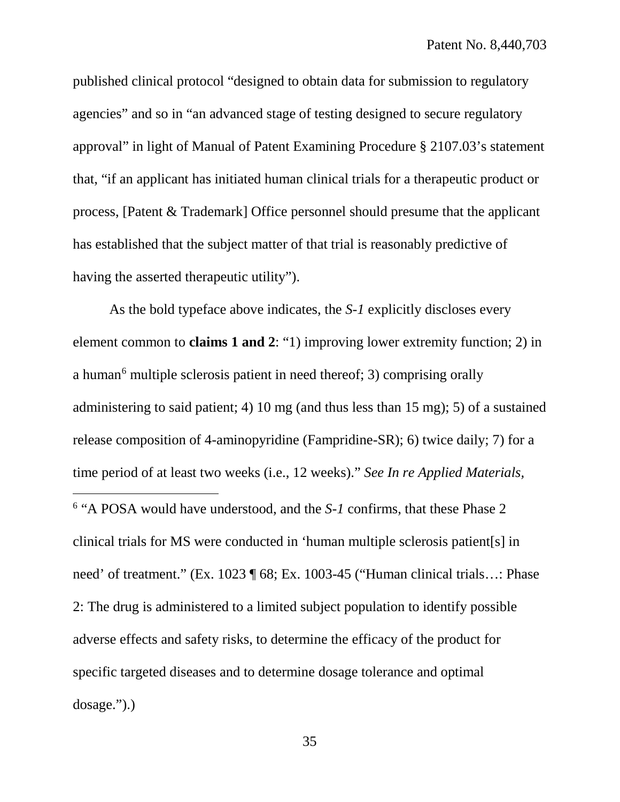published clinical protocol "designed to obtain data for submission to regulatory agencies" and so in "an advanced stage of testing designed to secure regulatory approval" in light of Manual of Patent Examining Procedure § 2107.03's statement that, "if an applicant has initiated human clinical trials for a therapeutic product or process, [Patent & Trademark] Office personnel should presume that the applicant has established that the subject matter of that trial is reasonably predictive of having the asserted therapeutic utility").

<span id="page-44-0"></span>As the bold typeface above indicates, the *S-1* explicitly discloses every element common to **claims 1 and 2**: "1) improving lower extremity function; 2) in a human<sup>[6](#page-44-0)</sup> multiple sclerosis patient in need thereof; 3) comprising orally administering to said patient; 4) 10 mg (and thus less than 15 mg); 5) of a sustained release composition of 4-aminopyridine (Fampridine-SR); 6) twice daily; 7) for a time period of at least two weeks (i.e., 12 weeks)." *See In re Applied Materials,*  <sup>6</sup> "A POSA would have understood, and the *S-1* confirms, that these Phase 2 clinical trials for MS were conducted in 'human multiple sclerosis patient[s] in need' of treatment." (Ex. 1023 ¶ 68; Ex. 1003-45 ("Human clinical trials…: Phase 2: The drug is administered to a limited subject population to identify possible adverse effects and safety risks, to determine the efficacy of the product for specific targeted diseases and to determine dosage tolerance and optimal dosage.").)  $\overline{a}$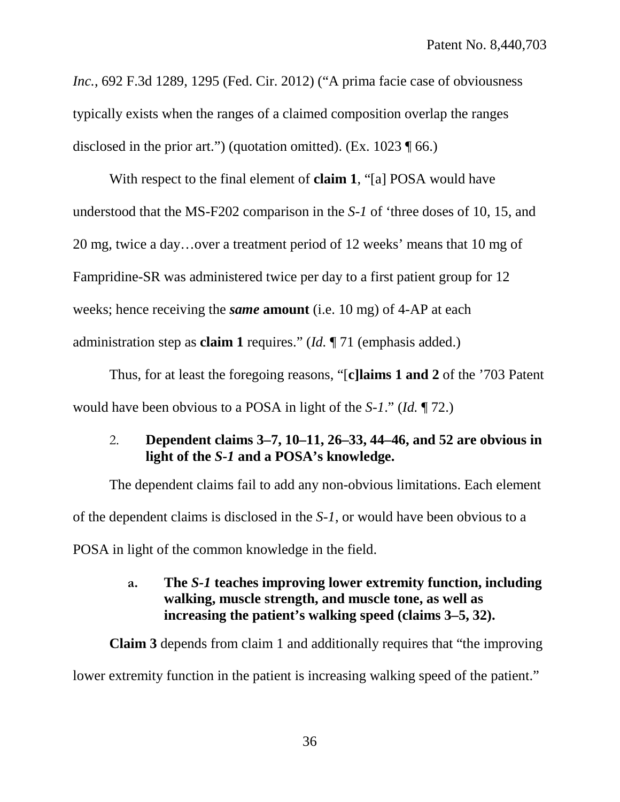*Inc.*, 692 F.3d 1289, 1295 (Fed. Cir. 2012) ("A prima facie case of obviousness typically exists when the ranges of a claimed composition overlap the ranges disclosed in the prior art.") (quotation omitted). (Ex. 1023 ¶ 66.)

With respect to the final element of **claim 1**, "[a] POSA would have understood that the MS-F202 comparison in the *S-1* of 'three doses of 10, 15, and 20 mg, twice a day…over a treatment period of 12 weeks' means that 10 mg of Fampridine-SR was administered twice per day to a first patient group for 12 weeks; hence receiving the *same* **amount** (i.e. 10 mg) of 4-AP at each administration step as **claim 1** requires." (*Id.* ¶ 71 (emphasis added.)

Thus, for at least the foregoing reasons, "[**c]laims 1 and 2** of the '703 Patent would have been obvious to a POSA in light of the *S-1*." (*Id.* ¶ 72.)

# <span id="page-45-0"></span>2. **Dependent claims 3–7, 10–11, 26–33, 44–46, and 52 are obvious in light of the** *S-1* **and a POSA's knowledge.**

The dependent claims fail to add any non-obvious limitations. Each element of the dependent claims is disclosed in the *S-1*, or would have been obvious to a POSA in light of the common knowledge in the field.

# <span id="page-45-1"></span>**a. The** *S-1* **teaches improving lower extremity function, including walking, muscle strength, and muscle tone, as well as increasing the patient's walking speed (claims 3–5, 32).**

**Claim 3** depends from claim 1 and additionally requires that "the improving lower extremity function in the patient is increasing walking speed of the patient."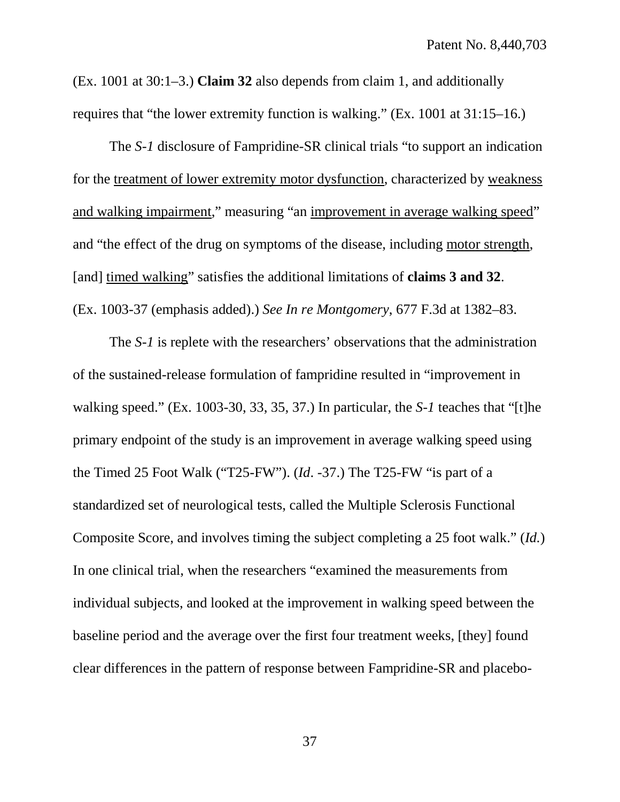(Ex. 1001 at 30:1–3.) **Claim 32** also depends from claim 1, and additionally requires that "the lower extremity function is walking." (Ex. 1001 at 31:15–16.)

The *S-1* disclosure of Fampridine-SR clinical trials "to support an indication for the treatment of lower extremity motor dysfunction, characterized by weakness and walking impairment," measuring "an improvement in average walking speed" and "the effect of the drug on symptoms of the disease, including motor strength, [and] timed walking" satisfies the additional limitations of **claims 3 and 32**. (Ex. 1003-37 (emphasis added).) *See In re Montgomery*, 677 F.3d at 1382–83.

The *S-1* is replete with the researchers' observations that the administration of the sustained-release formulation of fampridine resulted in "improvement in walking speed." (Ex. 1003-30, 33, 35, 37.) In particular, the *S-1* teaches that "[t]he primary endpoint of the study is an improvement in average walking speed using the Timed 25 Foot Walk ("T25-FW"). (*Id*. -37.) The T25-FW "is part of a standardized set of neurological tests, called the Multiple Sclerosis Functional Composite Score, and involves timing the subject completing a 25 foot walk." (*Id.*) In one clinical trial, when the researchers "examined the measurements from individual subjects, and looked at the improvement in walking speed between the baseline period and the average over the first four treatment weeks, [they] found clear differences in the pattern of response between Fampridine-SR and placebo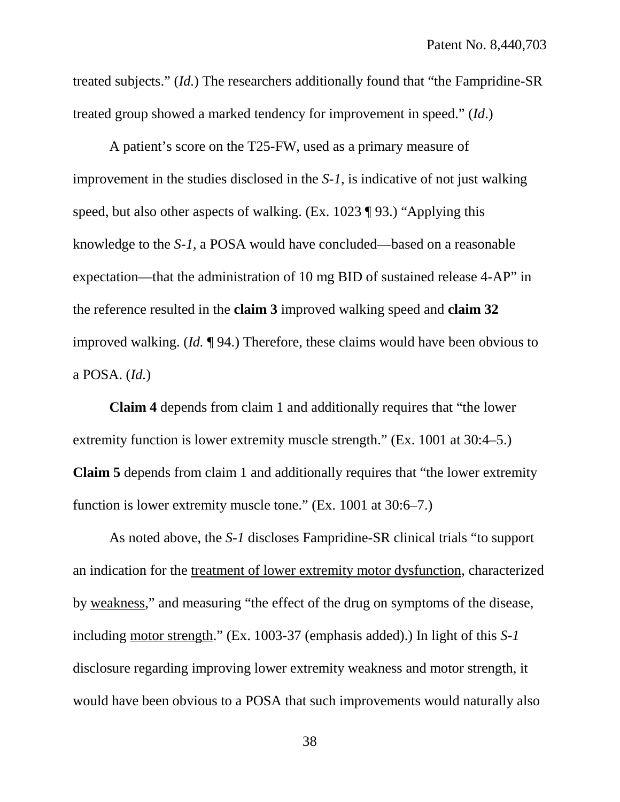treated subjects." (*Id.*) The researchers additionally found that "the Fampridine-SR treated group showed a marked tendency for improvement in speed." (*Id*.)

A patient's score on the T25-FW, used as a primary measure of improvement in the studies disclosed in the *S-1*, is indicative of not just walking speed, but also other aspects of walking. (Ex. 1023 ¶ 93.) "Applying this knowledge to the *S-1*, a POSA would have concluded—based on a reasonable expectation—that the administration of 10 mg BID of sustained release 4-AP" in the reference resulted in the **claim 3** improved walking speed and **claim 32** improved walking. (*Id.* ¶ 94.) Therefore, these claims would have been obvious to a POSA. (*Id.*)

**Claim 4** depends from claim 1 and additionally requires that "the lower extremity function is lower extremity muscle strength." (Ex. 1001 at 30:4–5.) **Claim 5** depends from claim 1 and additionally requires that "the lower extremity function is lower extremity muscle tone." (Ex. 1001 at 30:6–7.)

As noted above, the *S-1* discloses Fampridine-SR clinical trials "to support an indication for the treatment of lower extremity motor dysfunction, characterized by weakness," and measuring "the effect of the drug on symptoms of the disease, including motor strength." (Ex. 1003-37 (emphasis added).) In light of this *S-1* disclosure regarding improving lower extremity weakness and motor strength, it would have been obvious to a POSA that such improvements would naturally also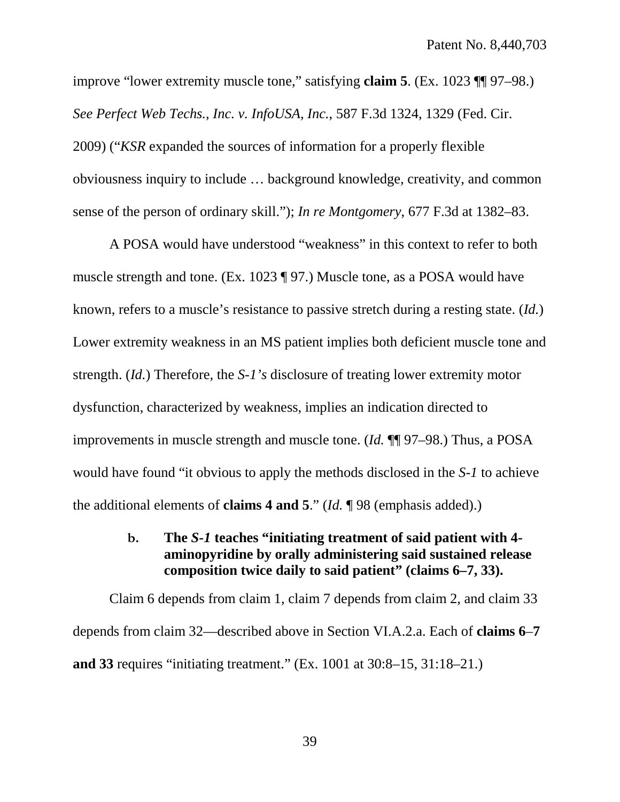improve "lower extremity muscle tone," satisfying **claim 5**. (Ex. 1023 ¶¶ 97–98.) *See Perfect Web Techs., Inc. v. InfoUSA, Inc.*, 587 F.3d 1324, 1329 (Fed. Cir. 2009) ("*KSR* expanded the sources of information for a properly flexible obviousness inquiry to include … background knowledge, creativity, and common sense of the person of ordinary skill."); *In re Montgomery*, 677 F.3d at 1382–83.

A POSA would have understood "weakness" in this context to refer to both muscle strength and tone. (Ex. 1023 ¶ 97.) Muscle tone, as a POSA would have known, refers to a muscle's resistance to passive stretch during a resting state. (*Id.*) Lower extremity weakness in an MS patient implies both deficient muscle tone and strength. (*Id.*) Therefore, the *S-1's* disclosure of treating lower extremity motor dysfunction, characterized by weakness, implies an indication directed to improvements in muscle strength and muscle tone. (*Id.* ¶¶ 97–98.) Thus, a POSA would have found "it obvious to apply the methods disclosed in the *S-1* to achieve the additional elements of **claims 4 and 5**." (*Id.* ¶ 98 (emphasis added).)

# <span id="page-48-0"></span>**b. The** *S-1* **teaches "initiating treatment of said patient with 4 aminopyridine by orally administering said sustained release composition twice daily to said patient" (claims 6–7, 33).**

Claim 6 depends from claim 1, claim 7 depends from claim 2, and claim 33 depends from claim 32—described above in Section VI.A.2.a. Each of **claims 6**–**7 and 33** requires "initiating treatment." (Ex. 1001 at 30:8–15, 31:18–21.)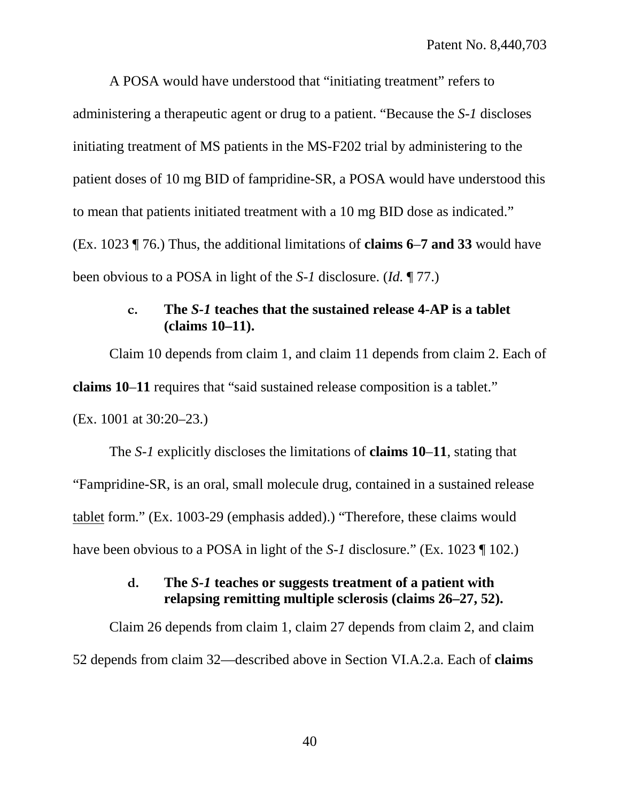A POSA would have understood that "initiating treatment" refers to administering a therapeutic agent or drug to a patient. "Because the *S-1* discloses initiating treatment of MS patients in the MS-F202 trial by administering to the patient doses of 10 mg BID of fampridine-SR, a POSA would have understood this to mean that patients initiated treatment with a 10 mg BID dose as indicated." (Ex. 1023 ¶ 76.) Thus, the additional limitations of **claims 6**–**7 and 33** would have been obvious to a POSA in light of the *S-1* disclosure. (*Id.* ¶ 77.)

## **c. The** *S-1* **teaches that the sustained release 4-AP is a tablet (claims 10–11).**

<span id="page-49-0"></span>Claim 10 depends from claim 1, and claim 11 depends from claim 2. Each of **claims 10**–**11** requires that "said sustained release composition is a tablet." (Ex. 1001 at 30:20–23.)

The *S-1* explicitly discloses the limitations of **claims 10**–**11**, stating that "Fampridine-SR, is an oral, small molecule drug, contained in a sustained release tablet form." (Ex. 1003-29 (emphasis added).) "Therefore, these claims would have been obvious to a POSA in light of the *S-1* disclosure." (Ex. 1023 ¶ 102.)

# **d. The** *S-1* **teaches or suggests treatment of a patient with relapsing remitting multiple sclerosis (claims 26–27, 52).**

<span id="page-49-1"></span>Claim 26 depends from claim 1, claim 27 depends from claim 2, and claim 52 depends from claim 32—described above in Section VI.A.2.a. Each of **claims**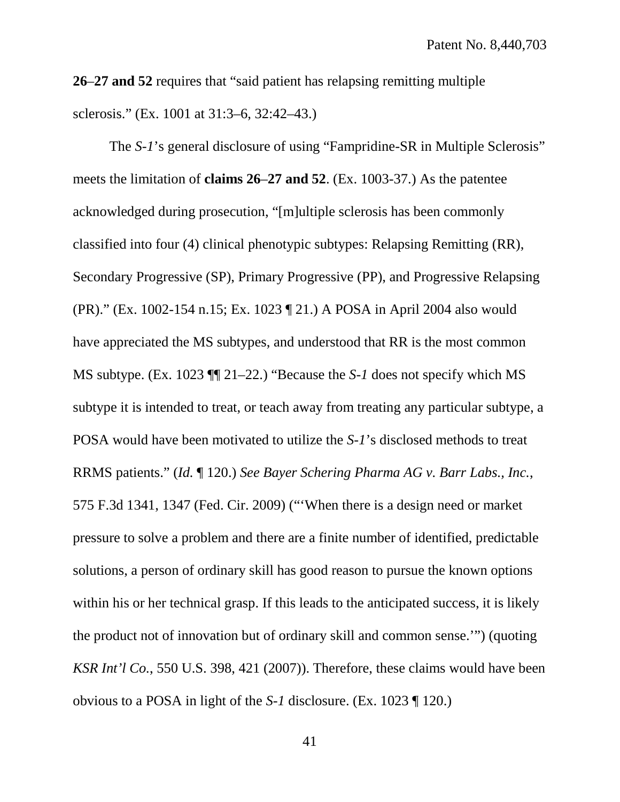**26**–**27 and 52** requires that "said patient has relapsing remitting multiple sclerosis." (Ex. 1001 at 31:3–6, 32:42–43.)

The *S-1*'s general disclosure of using "Fampridine-SR in Multiple Sclerosis" meets the limitation of **claims 26**–**27 and 52**. (Ex. 1003-37.) As the patentee acknowledged during prosecution, "[m]ultiple sclerosis has been commonly classified into four (4) clinical phenotypic subtypes: Relapsing Remitting (RR), Secondary Progressive (SP), Primary Progressive (PP), and Progressive Relapsing (PR)." (Ex. 1002-154 n.15; Ex. 1023 ¶ 21.) A POSA in April 2004 also would have appreciated the MS subtypes, and understood that RR is the most common MS subtype. (Ex. 1023 ¶¶ 21–22.) "Because the *S-1* does not specify which MS subtype it is intended to treat, or teach away from treating any particular subtype, a POSA would have been motivated to utilize the *S-1*'s disclosed methods to treat RRMS patients." (*Id.* ¶ 120.) *See Bayer Schering Pharma AG v. Barr Labs., Inc.*, 575 F.3d 1341, 1347 (Fed. Cir. 2009) ("'When there is a design need or market pressure to solve a problem and there are a finite number of identified, predictable solutions, a person of ordinary skill has good reason to pursue the known options within his or her technical grasp. If this leads to the anticipated success, it is likely the product not of innovation but of ordinary skill and common sense.'") (quoting *KSR Int'l Co.*, 550 U.S. 398, 421 (2007)). Therefore, these claims would have been obvious to a POSA in light of the *S-1* disclosure. (Ex. 1023 ¶ 120.)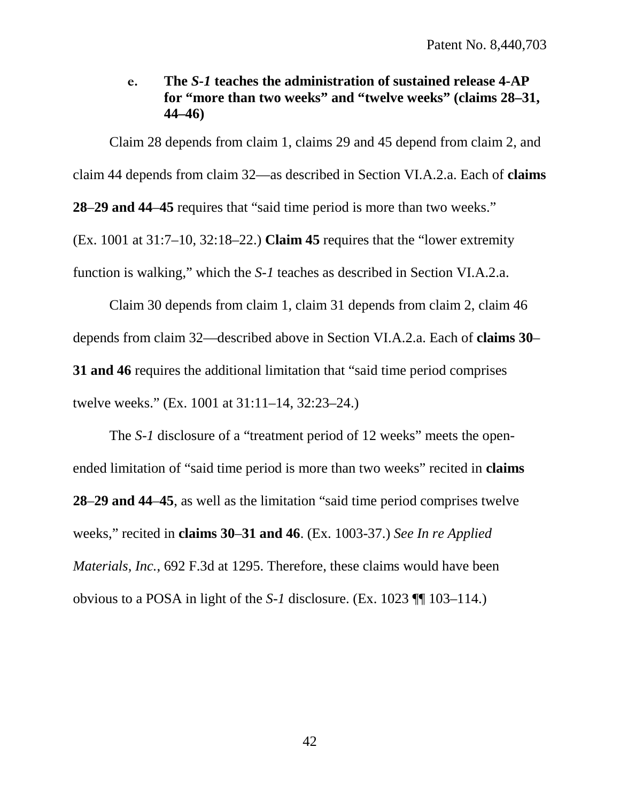<span id="page-51-0"></span>**e. The** *S-1* **teaches the administration of sustained release 4-AP for "more than two weeks" and "twelve weeks" (claims 28–31, 44–46)**

Claim 28 depends from claim 1, claims 29 and 45 depend from claim 2, and claim 44 depends from claim 32—as described in Section VI.A.2.a. Each of **claims 28**–**29 and 44**–**45** requires that "said time period is more than two weeks." (Ex. 1001 at 31:7–10, 32:18–22.) **Claim 45** requires that the "lower extremity function is walking," which the *S-1* teaches as described in Section VI.A.2.a.

Claim 30 depends from claim 1, claim 31 depends from claim 2, claim 46 depends from claim 32—described above in Section VI.A.2.a. Each of **claims 30**– **31 and 46** requires the additional limitation that "said time period comprises" twelve weeks." (Ex. 1001 at 31:11–14, 32:23–24.)

The *S-1* disclosure of a "treatment period of 12 weeks" meets the openended limitation of "said time period is more than two weeks" recited in **claims 28**–**29 and 44**–**45**, as well as the limitation "said time period comprises twelve weeks," recited in **claims 30**–**31 and 46**. (Ex. 1003-37.) *See In re Applied Materials, Inc.*, 692 F.3d at 1295. Therefore, these claims would have been obvious to a POSA in light of the *S-1* disclosure. (Ex. 1023 ¶¶ 103–114.)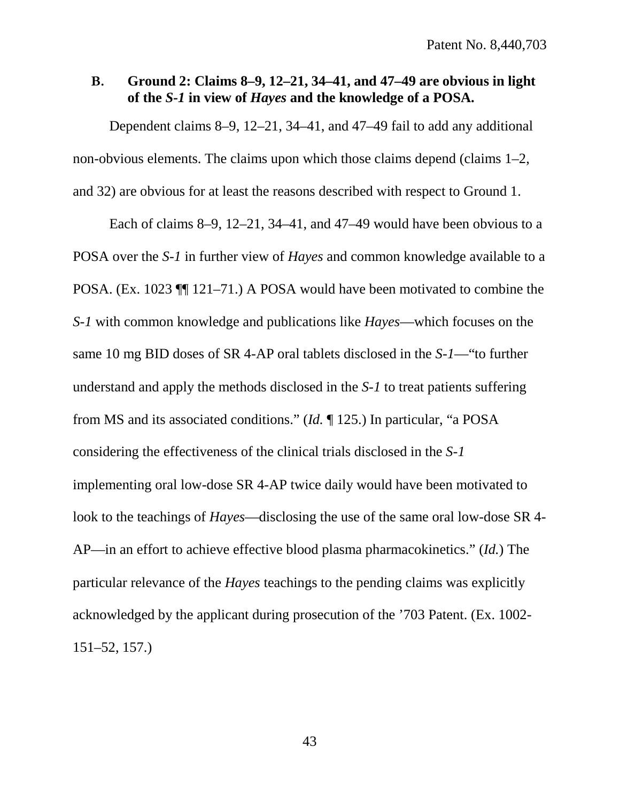## <span id="page-52-0"></span>**B. Ground 2: Claims 8–9, 12–21, 34–41, and 47–49 are obvious in light of the** *S-1* **in view of** *Hayes* **and the knowledge of a POSA.**

Dependent claims 8–9, 12–21, 34–41, and 47–49 fail to add any additional non-obvious elements. The claims upon which those claims depend (claims 1–2, and 32) are obvious for at least the reasons described with respect to Ground 1.

Each of claims 8–9, 12–21, 34–41, and 47–49 would have been obvious to a POSA over the *S-1* in further view of *Hayes* and common knowledge available to a POSA. (Ex. 1023 ¶¶ 121–71.) A POSA would have been motivated to combine the *S-1* with common knowledge and publications like *Hayes*—which focuses on the same 10 mg BID doses of SR 4-AP oral tablets disclosed in the *S-1*—"to further understand and apply the methods disclosed in the *S-1* to treat patients suffering from MS and its associated conditions." (*Id.* ¶ 125.) In particular, "a POSA considering the effectiveness of the clinical trials disclosed in the *S-1*  implementing oral low-dose SR 4-AP twice daily would have been motivated to look to the teachings of *Hayes*—disclosing the use of the same oral low-dose SR 4- AP—in an effort to achieve effective blood plasma pharmacokinetics." (*Id.*) The particular relevance of the *Hayes* teachings to the pending claims was explicitly acknowledged by the applicant during prosecution of the '703 Patent. (Ex. 1002- 151–52, 157.)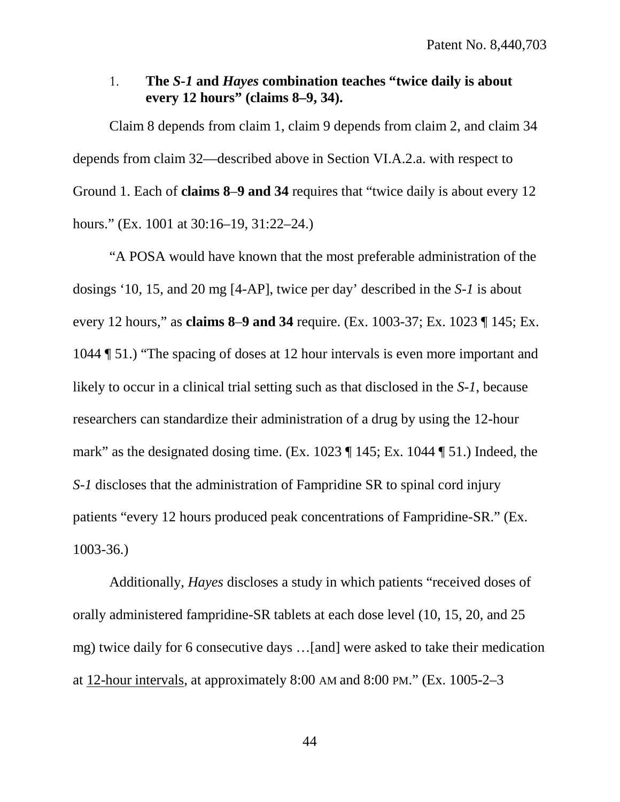## <span id="page-53-0"></span>1. **The** *S-1* **and** *Hayes* **combination teaches "twice daily is about every 12 hours" (claims 8–9, 34).**

Claim 8 depends from claim 1, claim 9 depends from claim 2, and claim 34 depends from claim 32—described above in Section VI.A.2.a. with respect to Ground 1. Each of **claims 8**–**9 and 34** requires that "twice daily is about every 12 hours." (Ex. 1001 at 30:16–19, 31:22–24.)

"A POSA would have known that the most preferable administration of the dosings '10, 15, and 20 mg [4-AP], twice per day' described in the *S-1* is about every 12 hours," as **claims 8**–**9 and 34** require. (Ex. 1003-37; Ex. 1023 ¶ 145; Ex. 1044 ¶ 51.) "The spacing of doses at 12 hour intervals is even more important and likely to occur in a clinical trial setting such as that disclosed in the *S-1*, because researchers can standardize their administration of a drug by using the 12-hour mark" as the designated dosing time. (Ex. 1023 ¶ 145; Ex. 1044 ¶ 51.) Indeed, the *S-1* discloses that the administration of Fampridine SR to spinal cord injury patients "every 12 hours produced peak concentrations of Fampridine-SR." (Ex. 1003-36.)

Additionally, *Hayes* discloses a study in which patients "received doses of orally administered fampridine-SR tablets at each dose level (10, 15, 20, and 25 mg) twice daily for 6 consecutive days …[and] were asked to take their medication at 12-hour intervals, at approximately 8:00 AM and 8:00 PM." (Ex. 1005-2–3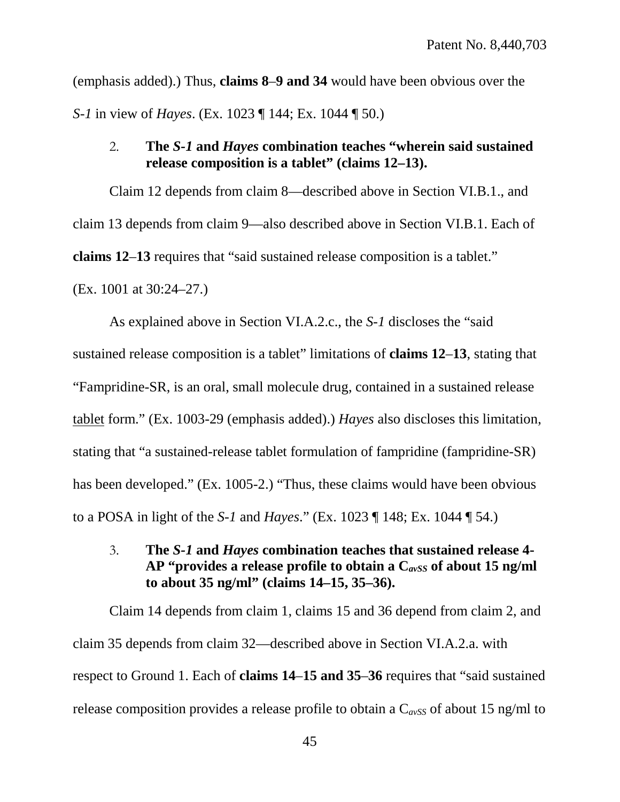(emphasis added).) Thus, **claims 8**–**9 and 34** would have been obvious over the *S-1* in view of *Hayes*. (Ex. 1023 ¶ 144; Ex. 1044 ¶ 50.)

## <span id="page-54-0"></span>2. **The** *S-1* **and** *Hayes* **combination teaches "wherein said sustained release composition is a tablet" (claims 12–13).**

Claim 12 depends from claim 8—described above in Section VI.B.1., and claim 13 depends from claim 9—also described above in Section VI.B.1. Each of **claims 12**–**13** requires that "said sustained release composition is a tablet."

(Ex. 1001 at 30:24–27.)

As explained above in Section VI.A.2.c., the *S-1* discloses the "said sustained release composition is a tablet" limitations of **claims 12**–**13**, stating that "Fampridine-SR, is an oral, small molecule drug, contained in a sustained release tablet form." (Ex. 1003-29 (emphasis added).) *Hayes* also discloses this limitation, stating that "a sustained-release tablet formulation of fampridine (fampridine-SR) has been developed." (Ex. 1005-2.) "Thus, these claims would have been obvious to a POSA in light of the *S-1* and *Hayes*." (Ex. 1023 ¶ 148; Ex. 1044 ¶ 54.)

<span id="page-54-1"></span>3. **The** *S-1* **and** *Hayes* **combination teaches that sustained release 4- AP "provides a release profile to obtain a C***avSS* **of about 15 ng/ml to about 35 ng/ml" (claims 14–15, 35–36).**

Claim 14 depends from claim 1, claims 15 and 36 depend from claim 2, and claim 35 depends from claim 32—described above in Section VI.A.2.a. with respect to Ground 1. Each of **claims 14**–**15 and 35**–**36** requires that "said sustained release composition provides a release profile to obtain a  $C_{avSS}$  of about 15 ng/ml to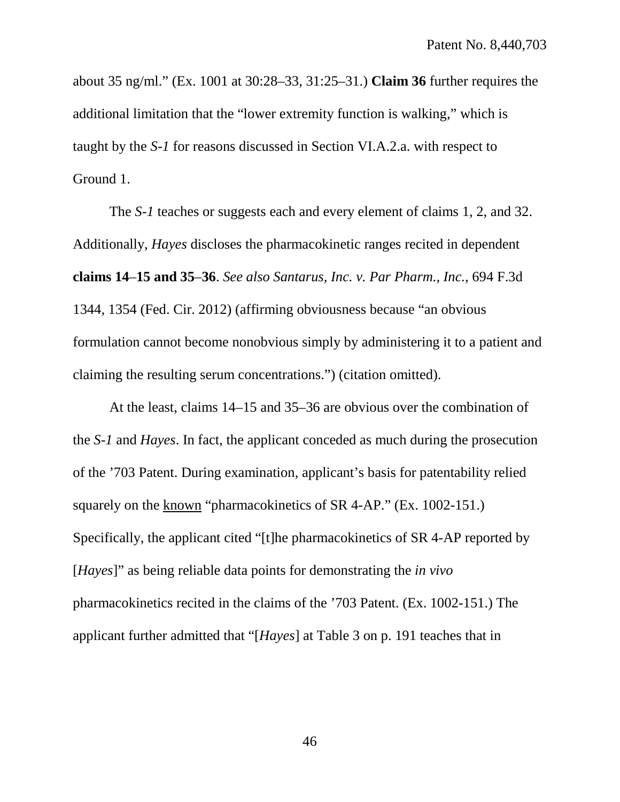about 35 ng/ml." (Ex. 1001 at 30:28–33, 31:25–31.) **Claim 36** further requires the additional limitation that the "lower extremity function is walking," which is taught by the *S-1* for reasons discussed in Section VI.A.2.a. with respect to Ground 1.

The *S-1* teaches or suggests each and every element of claims 1, 2, and 32. Additionally, *Hayes* discloses the pharmacokinetic ranges recited in dependent **claims 14**–**15 and 35**–**36**. *See also Santarus, Inc. v. Par Pharm., Inc.*, 694 F.3d 1344, 1354 (Fed. Cir. 2012) (affirming obviousness because "an obvious formulation cannot become nonobvious simply by administering it to a patient and claiming the resulting serum concentrations.") (citation omitted).

At the least, claims 14–15 and 35–36 are obvious over the combination of the *S-1* and *Hayes*. In fact, the applicant conceded as much during the prosecution of the '703 Patent. During examination, applicant's basis for patentability relied squarely on the known "pharmacokinetics of SR 4-AP." (Ex. 1002-151.) Specifically, the applicant cited "[t]he pharmacokinetics of SR 4-AP reported by [*Hayes*]" as being reliable data points for demonstrating the *in vivo* pharmacokinetics recited in the claims of the '703 Patent. (Ex. 1002-151.) The applicant further admitted that "[*Hayes*] at Table 3 on p. 191 teaches that in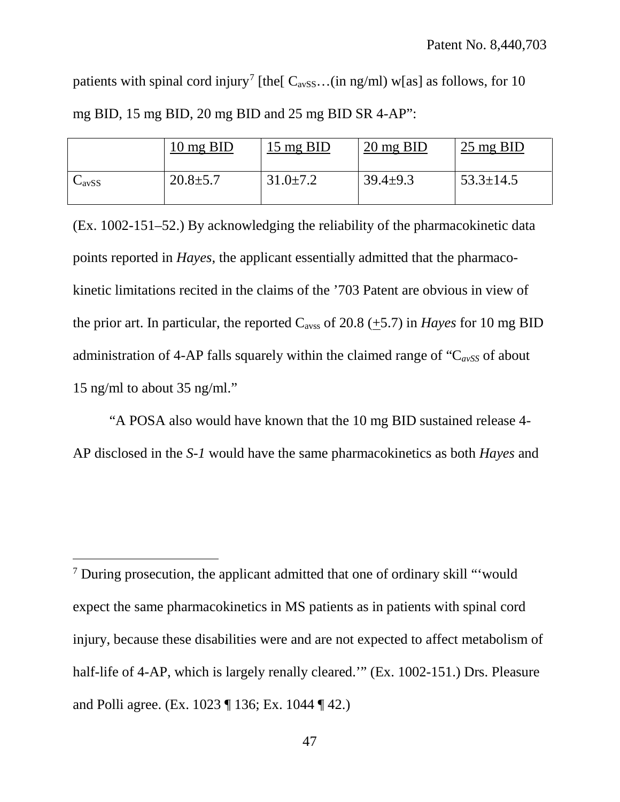patients with spinal cord injury<sup>[7](#page-56-0)</sup> [the  $C_{avSS}$ ...(in ng/ml) w[as] as follows, for 10 mg BID, 15 mg BID, 20 mg BID and 25 mg BID SR 4-AP":

|                   | $10 \text{ mg } BID$ | 15 mg BID      | $20 \text{ mg } BID$ | 25 mg BID       |
|-------------------|----------------------|----------------|----------------------|-----------------|
| $C_{\text{avSS}}$ | $20.8 \pm 5.7$       | $31.0 \pm 7.2$ | $39.4 \pm 9.3$       | $53.3 \pm 14.5$ |

(Ex. 1002-151–52.) By acknowledging the reliability of the pharmacokinetic data points reported in *Hayes*, the applicant essentially admitted that the pharmacokinetic limitations recited in the claims of the '703 Patent are obvious in view of the prior art. In particular, the reported  $C_{avss}$  of 20.8 (+5.7) in *Hayes* for 10 mg BID administration of 4-AP falls squarely within the claimed range of " $C_{avSS}$  of about 15 ng/ml to about 35 ng/ml."

"A POSA also would have known that the 10 mg BID sustained release 4- AP disclosed in the *S-1* would have the same pharmacokinetics as both *Hayes* and

 $\overline{a}$ 

<span id="page-56-0"></span><sup>7</sup> During prosecution, the applicant admitted that one of ordinary skill "'would expect the same pharmacokinetics in MS patients as in patients with spinal cord injury, because these disabilities were and are not expected to affect metabolism of half-life of 4-AP, which is largely renally cleared.'" (Ex. 1002-151.) Drs. Pleasure and Polli agree. (Ex. 1023 ¶ 136; Ex. 1044 ¶ 42.)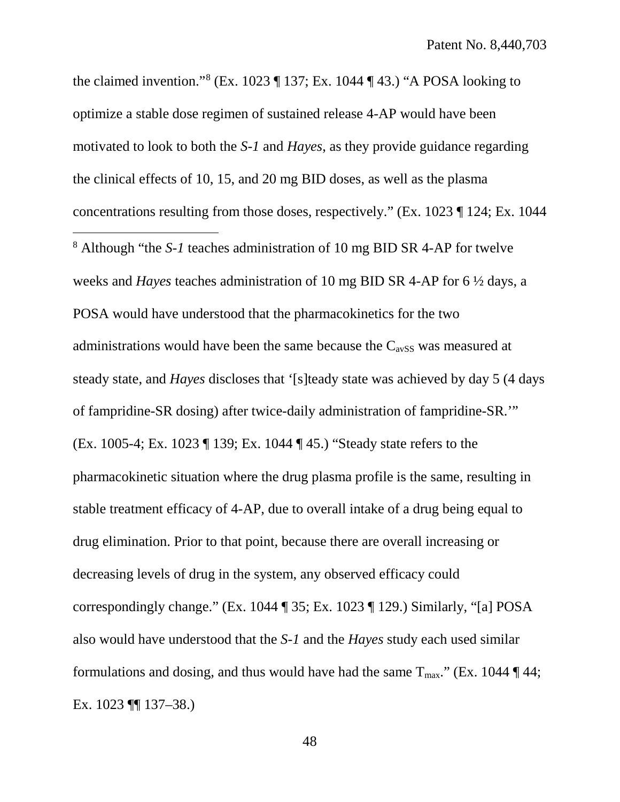<span id="page-57-0"></span>the claimed invention."<sup>[8](#page-57-0)</sup> (Ex. 1023 ¶ 137; Ex. 1044 ¶ 43.) "A POSA looking to optimize a stable dose regimen of sustained release 4-AP would have been motivated to look to both the *S-1* and *Hayes*, as they provide guidance regarding the clinical effects of 10, 15, and 20 mg BID doses, as well as the plasma concentrations resulting from those doses, respectively." (Ex. 1023 ¶ 124; Ex. 1044 <sup>8</sup> Although "the *S-1* teaches administration of 10 mg BID SR 4-AP for twelve weeks and *Hayes* teaches administration of 10 mg BID SR 4-AP for 6 ½ days, a POSA would have understood that the pharmacokinetics for the two administrations would have been the same because the  $C_{avSS}$  was measured at steady state, and *Hayes* discloses that '[s]teady state was achieved by day 5 (4 days of fampridine-SR dosing) after twice-daily administration of fampridine-SR.'" (Ex. 1005-4; Ex. 1023 ¶ 139; Ex. 1044 ¶ 45.) "Steady state refers to the pharmacokinetic situation where the drug plasma profile is the same, resulting in stable treatment efficacy of 4-AP, due to overall intake of a drug being equal to drug elimination. Prior to that point, because there are overall increasing or decreasing levels of drug in the system, any observed efficacy could correspondingly change." (Ex. 1044 ¶ 35; Ex. 1023 ¶ 129.) Similarly, "[a] POSA also would have understood that the *S-1* and the *Hayes* study each used similar formulations and dosing, and thus would have had the same  $T_{\text{max}}$ ." (Ex. 1044 ¶ 44; Ex. 1023 ¶¶ 137–38.)  $\overline{a}$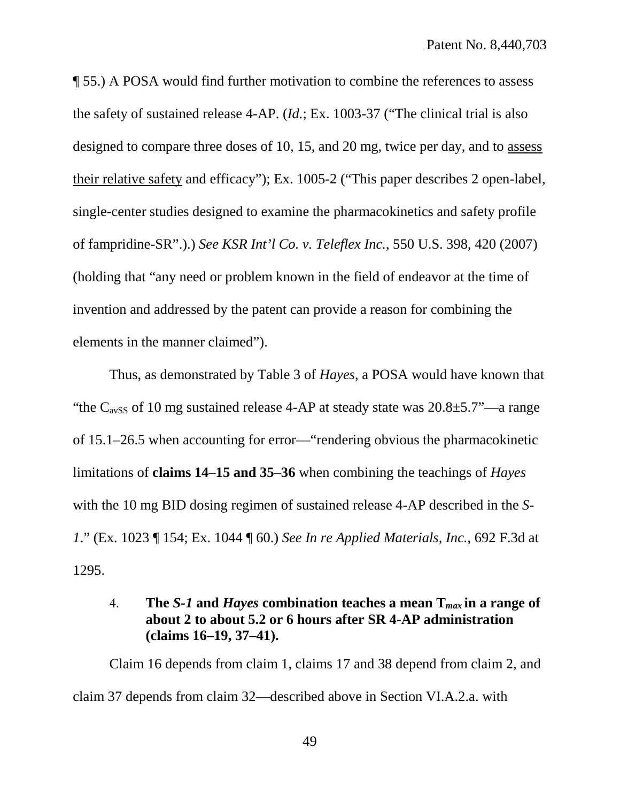¶ 55.) A POSA would find further motivation to combine the references to assess the safety of sustained release 4-AP. (*Id.*; Ex. 1003-37 ("The clinical trial is also designed to compare three doses of 10, 15, and 20 mg, twice per day, and to assess their relative safety and efficacy"); Ex. 1005-2 ("This paper describes 2 open-label, single-center studies designed to examine the pharmacokinetics and safety profile of fampridine-SR".).) *See KSR Int'l Co. v. Teleflex Inc.*, 550 U.S. 398, 420 (2007) (holding that "any need or problem known in the field of endeavor at the time of invention and addressed by the patent can provide a reason for combining the elements in the manner claimed").

Thus, as demonstrated by Table 3 of *Hayes*, a POSA would have known that "the  $C_{avSS}$  of 10 mg sustained release 4-AP at steady state was  $20.8 \pm 5.7$ "—a range of 15.1–26.5 when accounting for error—"rendering obvious the pharmacokinetic limitations of **claims 14**–**15 and 35**–**36** when combining the teachings of *Hayes*  with the 10 mg BID dosing regimen of sustained release 4-AP described in the *S-1*." (Ex. 1023 ¶ 154; Ex. 1044 ¶ 60.) *See In re Applied Materials, Inc.*, 692 F.3d at 1295.

# <span id="page-58-0"></span>4. **The** *S-1* **and** *Hayes* **combination teaches a mean T***max* **in a range of about 2 to about 5.2 or 6 hours after SR 4-AP administration (claims 16–19, 37–41).**

Claim 16 depends from claim 1, claims 17 and 38 depend from claim 2, and claim 37 depends from claim 32—described above in Section VI.A.2.a. with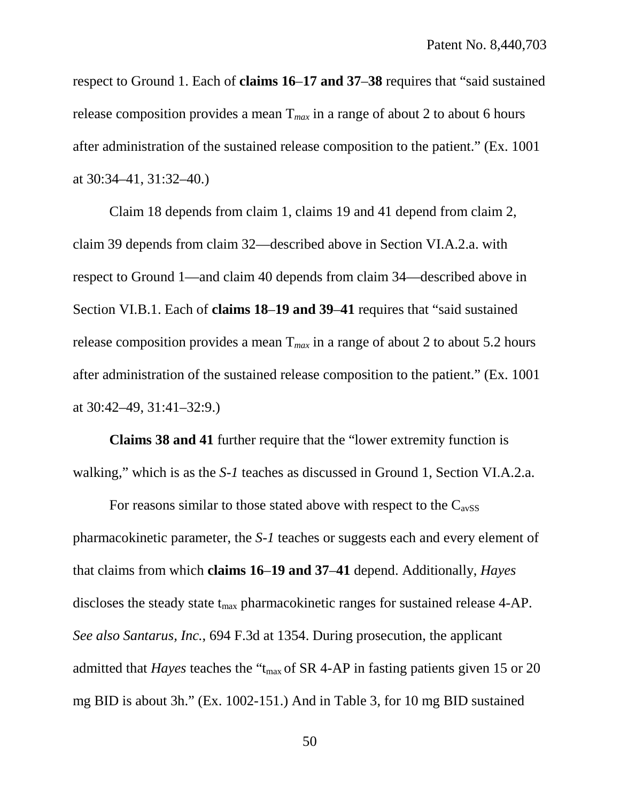respect to Ground 1. Each of **claims 16**–**17 and 37**–**38** requires that "said sustained release composition provides a mean  $T_{max}$  in a range of about 2 to about 6 hours after administration of the sustained release composition to the patient." (Ex. 1001 at 30:34–41, 31:32–40.)

Claim 18 depends from claim 1, claims 19 and 41 depend from claim 2, claim 39 depends from claim 32—described above in Section VI.A.2.a. with respect to Ground 1—and claim 40 depends from claim 34—described above in Section VI.B.1. Each of **claims 18**–**19 and 39**–**41** requires that "said sustained release composition provides a mean T*max* in a range of about 2 to about 5.2 hours after administration of the sustained release composition to the patient." (Ex. 1001 at 30:42–49, 31:41–32:9.)

**Claims 38 and 41** further require that the "lower extremity function is walking," which is as the *S-1* teaches as discussed in Ground 1, Section VI.A.2.a.

For reasons similar to those stated above with respect to the  $C_{avSS}$ pharmacokinetic parameter, the *S-1* teaches or suggests each and every element of that claims from which **claims 16**–**19 and 37**–**41** depend. Additionally, *Hayes* discloses the steady state  $t_{\text{max}}$  pharmacokinetic ranges for sustained release 4-AP. *See also Santarus, Inc.*, 694 F.3d at 1354. During prosecution, the applicant admitted that *Hayes* teaches the "t<sub>max</sub> of SR 4-AP in fasting patients given 15 or 20 mg BID is about 3h." (Ex. 1002-151.) And in Table 3, for 10 mg BID sustained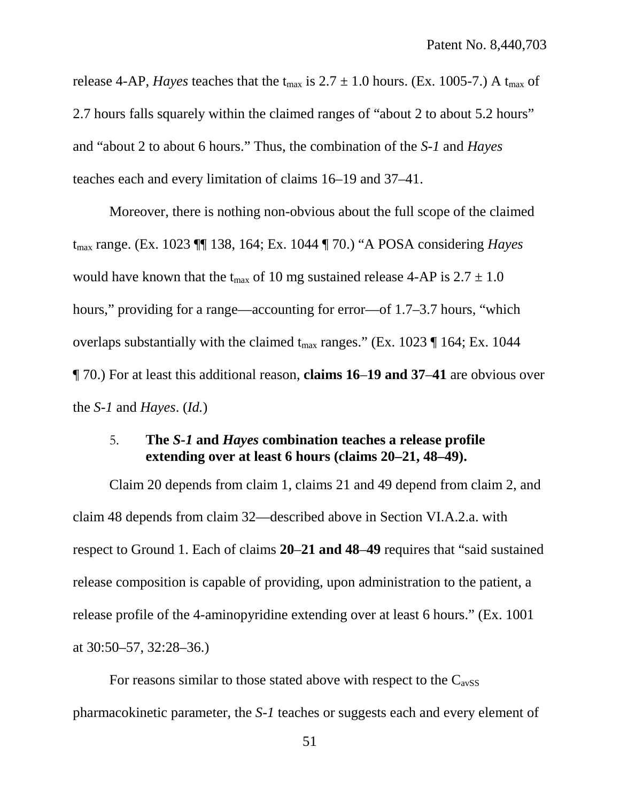release 4-AP, *Hayes* teaches that the t<sub>max</sub> is  $2.7 \pm 1.0$  hours. (Ex. 1005-7.) A t<sub>max</sub> of 2.7 hours falls squarely within the claimed ranges of "about 2 to about 5.2 hours" and "about 2 to about 6 hours." Thus, the combination of the *S-1* and *Hayes* teaches each and every limitation of claims 16–19 and 37–41.

Moreover, there is nothing non-obvious about the full scope of the claimed tmax range. (Ex. 1023 ¶¶ 138, 164; Ex. 1044 ¶ 70.) "A POSA considering *Hayes* would have known that the t<sub>max</sub> of 10 mg sustained release 4-AP is  $2.7 \pm 1.0$ hours," providing for a range—accounting for error—of 1.7–3.7 hours, "which overlaps substantially with the claimed  $t_{max}$  ranges." (Ex. 1023 ¶ 164; Ex. 1044 ¶ 70.) For at least this additional reason, **claims 16**–**19 and 37**–**41** are obvious over the *S-1* and *Hayes*. (*Id.*)

## <span id="page-60-0"></span>5. **The** *S-1* **and** *Hayes* **combination teaches a release profile extending over at least 6 hours (claims 20–21, 48–49).**

Claim 20 depends from claim 1, claims 21 and 49 depend from claim 2, and claim 48 depends from claim 32—described above in Section VI.A.2.a. with respect to Ground 1. Each of claims **20**–**21 and 48**–**49** requires that "said sustained release composition is capable of providing, upon administration to the patient, a release profile of the 4-aminopyridine extending over at least 6 hours." (Ex. 1001 at 30:50–57, 32:28–36.)

For reasons similar to those stated above with respect to the  $C_{avSS}$ pharmacokinetic parameter, the *S-1* teaches or suggests each and every element of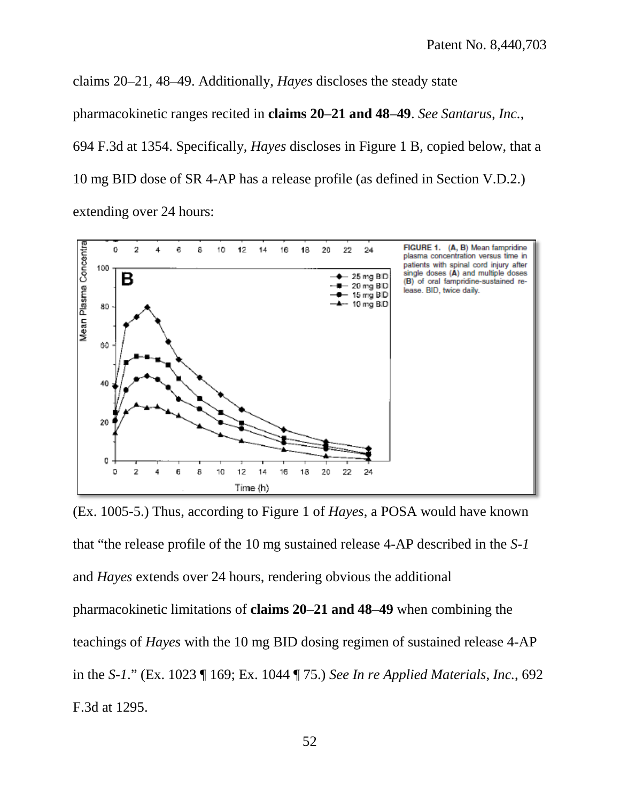claims 20–21, 48–49. Additionally, *Hayes* discloses the steady state

pharmacokinetic ranges recited in **claims 20**–**21 and 48**–**49**. *See Santarus, Inc.*,

694 F.3d at 1354. Specifically, *Hayes* discloses in Figure 1 B, copied below, that a

10 mg BID dose of SR 4-AP has a release profile (as defined in Section V.D.2.)

extending over 24 hours:



(Ex. 1005-5.) Thus, according to Figure 1 of *Hayes*, a POSA would have known that "the release profile of the 10 mg sustained release 4-AP described in the *S-1*  and *Hayes* extends over 24 hours, rendering obvious the additional pharmacokinetic limitations of **claims 20**–**21 and 48**–**49** when combining the teachings of *Hayes* with the 10 mg BID dosing regimen of sustained release 4-AP in the *S-1*." (Ex. 1023 ¶ 169; Ex. 1044 ¶ 75.) *See In re Applied Materials, Inc.*, 692 F.3d at 1295.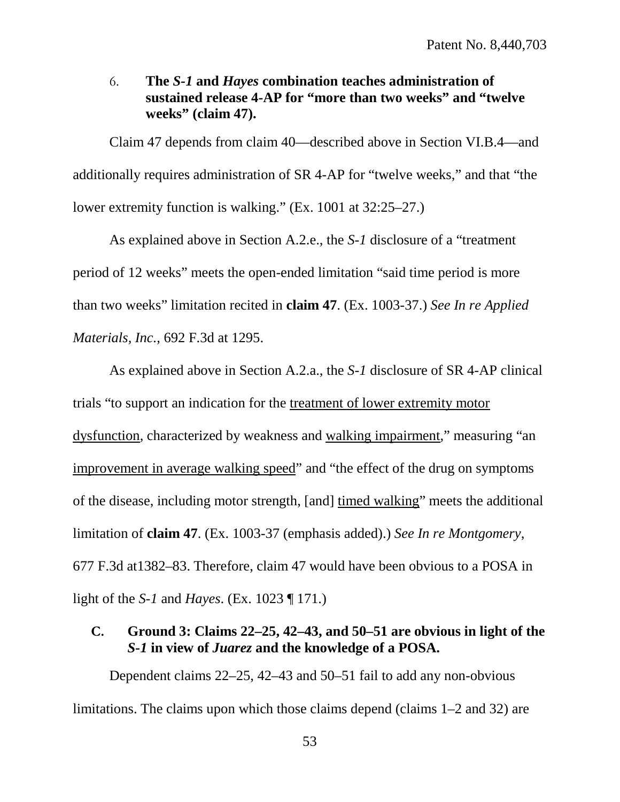<span id="page-62-0"></span>6. **The** *S-1* **and** *Hayes* **combination teaches administration of sustained release 4-AP for "more than two weeks" and "twelve weeks" (claim 47).**

Claim 47 depends from claim 40—described above in Section VI.B.4—and additionally requires administration of SR 4-AP for "twelve weeks," and that "the lower extremity function is walking." (Ex. 1001 at 32:25–27.)

As explained above in Section A.2.e., the *S-1* disclosure of a "treatment period of 12 weeks" meets the open-ended limitation "said time period is more than two weeks" limitation recited in **claim 47**. (Ex. 1003-37.) *See In re Applied Materials, Inc.*, 692 F.3d at 1295.

As explained above in Section A.2.a., the *S-1* disclosure of SR 4-AP clinical trials "to support an indication for the treatment of lower extremity motor dysfunction, characterized by weakness and walking impairment," measuring "an improvement in average walking speed" and "the effect of the drug on symptoms of the disease, including motor strength, [and] timed walking" meets the additional limitation of **claim 47**. (Ex. 1003-37 (emphasis added).) *See In re Montgomery*, 677 F.3d at1382–83. Therefore, claim 47 would have been obvious to a POSA in light of the *S-1* and *Hayes*. (Ex. 1023 ¶ 171.)

# <span id="page-62-1"></span>**C. Ground 3: Claims 22–25, 42–43, and 50–51 are obvious in light of the**  *S-1* **in view of** *Juarez* **and the knowledge of a POSA.**

Dependent claims 22–25, 42–43 and 50–51 fail to add any non-obvious limitations. The claims upon which those claims depend (claims 1–2 and 32) are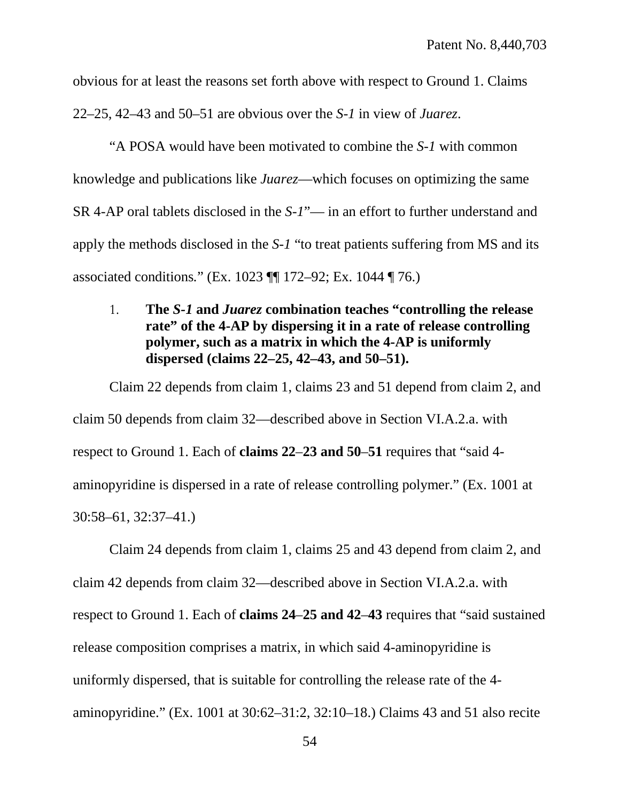obvious for at least the reasons set forth above with respect to Ground 1. Claims

22–25, 42–43 and 50–51 are obvious over the *S-1* in view of *Juarez*.

"A POSA would have been motivated to combine the *S-1* with common knowledge and publications like *Juarez*—which focuses on optimizing the same SR 4-AP oral tablets disclosed in the *S-1*"— in an effort to further understand and apply the methods disclosed in the *S-1* "to treat patients suffering from MS and its associated conditions*.*" (Ex. 1023 ¶¶ 172–92; Ex. 1044 ¶ 76.)

# <span id="page-63-0"></span>1. **The** *S-1* **and** *Juarez* **combination teaches "controlling the release rate" of the 4-AP by dispersing it in a rate of release controlling polymer, such as a matrix in which the 4-AP is uniformly dispersed (claims 22–25, 42–43, and 50–51).**

Claim 22 depends from claim 1, claims 23 and 51 depend from claim 2, and claim 50 depends from claim 32—described above in Section VI.A.2.a. with respect to Ground 1. Each of **claims 22**–**23 and 50**–**51** requires that "said 4 aminopyridine is dispersed in a rate of release controlling polymer." (Ex. 1001 at 30:58–61, 32:37–41.)

Claim 24 depends from claim 1, claims 25 and 43 depend from claim 2, and claim 42 depends from claim 32—described above in Section VI.A.2.a. with respect to Ground 1. Each of **claims 24**–**25 and 42**–**43** requires that "said sustained release composition comprises a matrix, in which said 4-aminopyridine is uniformly dispersed, that is suitable for controlling the release rate of the 4 aminopyridine." (Ex. 1001 at 30:62–31:2, 32:10–18.) Claims 43 and 51 also recite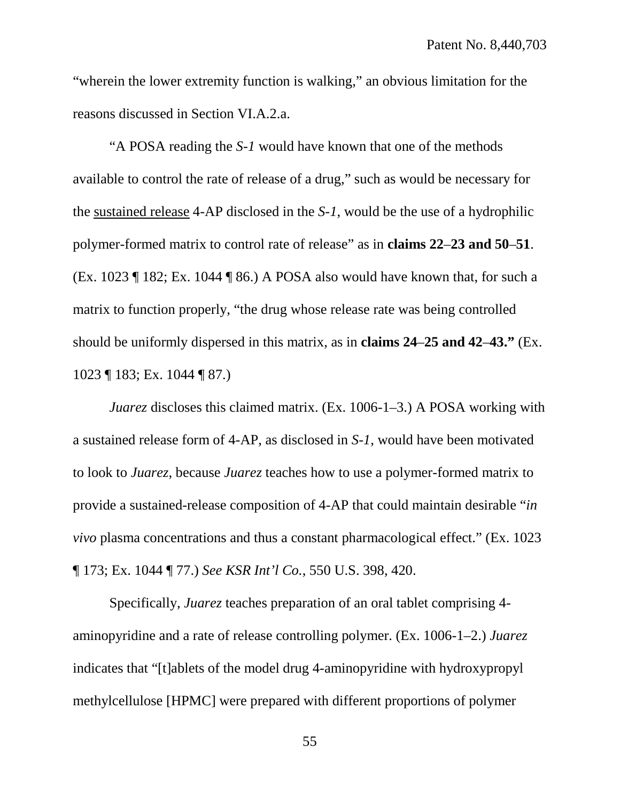"wherein the lower extremity function is walking," an obvious limitation for the reasons discussed in Section VI.A.2.a.

"A POSA reading the *S-1* would have known that one of the methods available to control the rate of release of a drug," such as would be necessary for the sustained release 4-AP disclosed in the *S-1*, would be the use of a hydrophilic polymer-formed matrix to control rate of release" as in **claims 22**–**23 and 50**–**51**. (Ex. 1023 ¶ 182; Ex. 1044 ¶ 86.) A POSA also would have known that, for such a matrix to function properly, "the drug whose release rate was being controlled should be uniformly dispersed in this matrix, as in **claims 24**–**25 and 42**–**43."** (Ex. 1023 ¶ 183; Ex. 1044 ¶ 87.)

*Juarez*, discloses this claimed matrix. (Ex. 1006-1–3.) A POSA working with a sustained release form of 4-AP, as disclosed in *S-1*, would have been motivated to look to *Juarez*, because *Juarez* teaches how to use a polymer-formed matrix to provide a sustained-release composition of 4-AP that could maintain desirable "*in vivo* plasma concentrations and thus a constant pharmacological effect." (Ex. 1023 ¶ 173; Ex. 1044 ¶ 77.) *See KSR Int'l Co.*, 550 U.S. 398, 420.

Specifically, *Juarez* teaches preparation of an oral tablet comprising 4 aminopyridine and a rate of release controlling polymer. (Ex. 1006-1–2.) *Juarez* indicates that "[t]ablets of the model drug 4-aminopyridine with hydroxypropyl methylcellulose [HPMC] were prepared with different proportions of polymer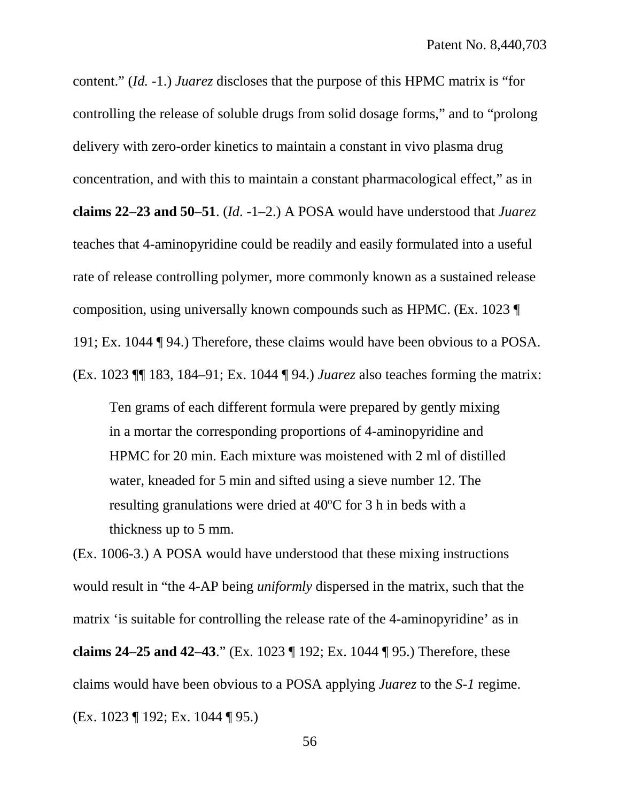content." (*Id.* -1.) *Juarez* discloses that the purpose of this HPMC matrix is "for controlling the release of soluble drugs from solid dosage forms," and to "prolong delivery with zero-order kinetics to maintain a constant in vivo plasma drug concentration, and with this to maintain a constant pharmacological effect," as in **claims 22**–**23 and 50**–**51**. (*Id*. -1–2.) A POSA would have understood that *Juarez* teaches that 4-aminopyridine could be readily and easily formulated into a useful rate of release controlling polymer, more commonly known as a sustained release composition, using universally known compounds such as HPMC. (Ex. 1023 ¶ 191; Ex. 1044 ¶ 94.) Therefore, these claims would have been obvious to a POSA. (Ex. 1023 ¶¶ 183, 184–91; Ex. 1044 ¶ 94.) *Juarez* also teaches forming the matrix:

Ten grams of each different formula were prepared by gently mixing in a mortar the corresponding proportions of 4-aminopyridine and HPMC for 20 min. Each mixture was moistened with 2 ml of distilled water, kneaded for 5 min and sifted using a sieve number 12. The resulting granulations were dried at 40°C for 3 h in beds with a thickness up to 5 mm.

(Ex. 1006-3.) A POSA would have understood that these mixing instructions would result in "the 4-AP being *uniformly* dispersed in the matrix, such that the matrix 'is suitable for controlling the release rate of the 4-aminopyridine' as in **claims 24**–**25 and 42**–**43**." (Ex. 1023 ¶ 192; Ex. 1044 ¶ 95.) Therefore, these claims would have been obvious to a POSA applying *Juarez* to the *S-1* regime. (Ex. 1023 ¶ 192; Ex. 1044 ¶ 95.)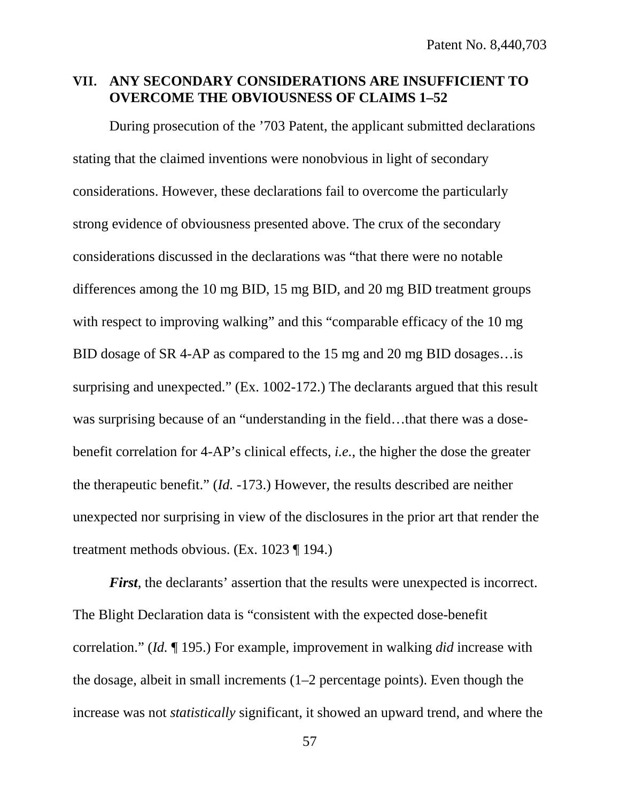## <span id="page-66-0"></span>**VII. ANY SECONDARY CONSIDERATIONS ARE INSUFFICIENT TO OVERCOME THE OBVIOUSNESS OF CLAIMS 1–52**

During prosecution of the '703 Patent, the applicant submitted declarations stating that the claimed inventions were nonobvious in light of secondary considerations. However, these declarations fail to overcome the particularly strong evidence of obviousness presented above. The crux of the secondary considerations discussed in the declarations was "that there were no notable differences among the 10 mg BID, 15 mg BID, and 20 mg BID treatment groups with respect to improving walking" and this "comparable efficacy of the 10 mg BID dosage of SR 4-AP as compared to the 15 mg and 20 mg BID dosages…is surprising and unexpected." (Ex. 1002-172.) The declarants argued that this result was surprising because of an "understanding in the field...that there was a dosebenefit correlation for 4-AP's clinical effects, *i.e.*, the higher the dose the greater the therapeutic benefit." (*Id.* -173.) However, the results described are neither unexpected nor surprising in view of the disclosures in the prior art that render the treatment methods obvious. (Ex. 1023 ¶ 194.)

*First*, the declarants' assertion that the results were unexpected is incorrect. The Blight Declaration data is "consistent with the expected dose-benefit correlation." (*Id.* ¶ 195.) For example, improvement in walking *did* increase with the dosage, albeit in small increments (1–2 percentage points). Even though the increase was not *statistically* significant, it showed an upward trend, and where the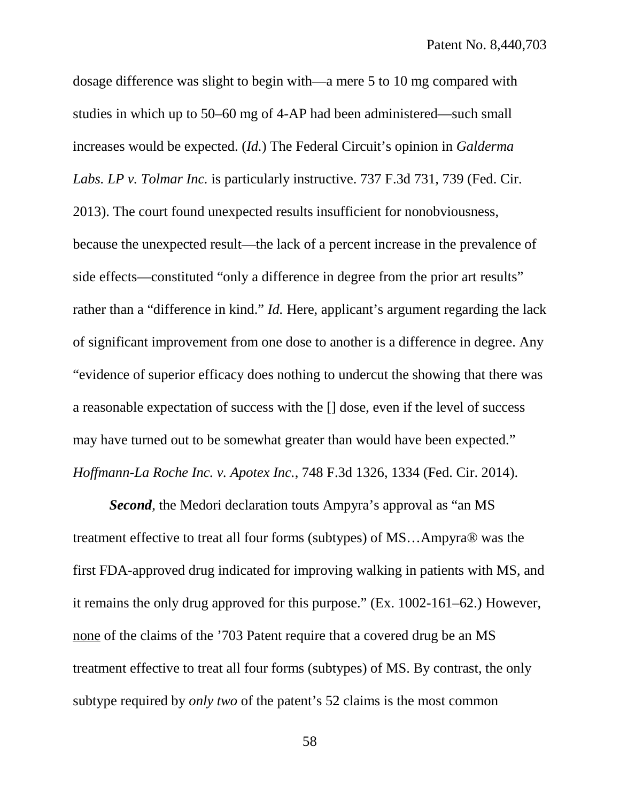dosage difference was slight to begin with—a mere 5 to 10 mg compared with studies in which up to 50–60 mg of 4-AP had been administered—such small increases would be expected. (*Id.*) The Federal Circuit's opinion in *Galderma Labs. LP v. Tolmar Inc.* is particularly instructive. 737 F.3d 731, 739 (Fed. Cir. 2013). The court found unexpected results insufficient for nonobviousness, because the unexpected result—the lack of a percent increase in the prevalence of side effects—constituted "only a difference in degree from the prior art results" rather than a "difference in kind." *Id.* Here, applicant's argument regarding the lack of significant improvement from one dose to another is a difference in degree. Any "evidence of superior efficacy does nothing to undercut the showing that there was a reasonable expectation of success with the [] dose, even if the level of success may have turned out to be somewhat greater than would have been expected." *Hoffmann-La Roche Inc. v. Apotex Inc.*, 748 F.3d 1326, 1334 (Fed. Cir. 2014).

*Second*, the Medori declaration touts Ampyra's approval as "an MS treatment effective to treat all four forms (subtypes) of MS…Ampyra® was the first FDA-approved drug indicated for improving walking in patients with MS, and it remains the only drug approved for this purpose." (Ex. 1002-161–62.) However, none of the claims of the '703 Patent require that a covered drug be an MS treatment effective to treat all four forms (subtypes) of MS. By contrast, the only subtype required by *only two* of the patent's 52 claims is the most common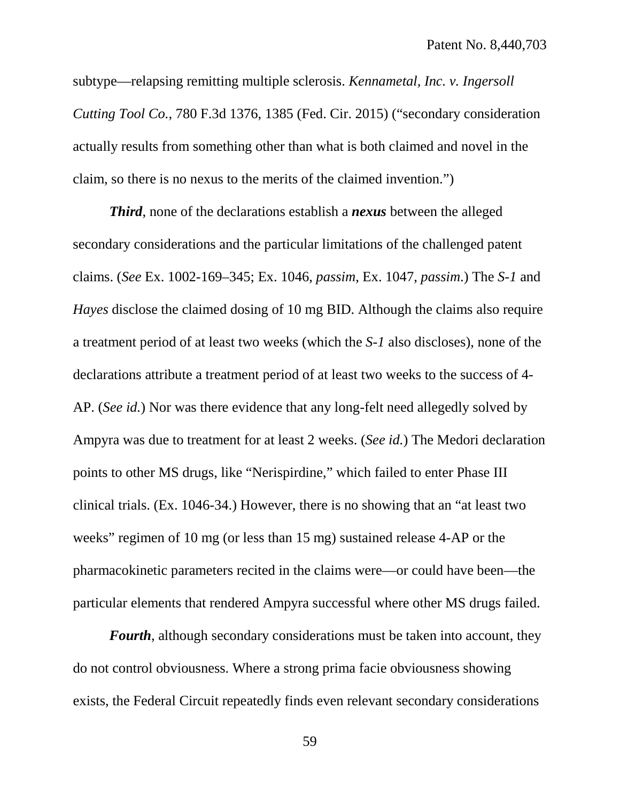subtype—relapsing remitting multiple sclerosis. *Kennametal, Inc. v. Ingersoll Cutting Tool Co.*, 780 F.3d 1376, 1385 (Fed. Cir. 2015) ("secondary consideration actually results from something other than what is both claimed and novel in the claim, so there is no nexus to the merits of the claimed invention.")

*Third*, none of the declarations establish a *nexus* between the alleged secondary considerations and the particular limitations of the challenged patent claims. (*See* Ex. 1002-169–345; Ex. 1046, *passim*, Ex. 1047, *passim*.) The *S-1* and *Hayes* disclose the claimed dosing of 10 mg BID. Although the claims also require a treatment period of at least two weeks (which the *S-1* also discloses), none of the declarations attribute a treatment period of at least two weeks to the success of 4- AP. (*See id.*) Nor was there evidence that any long-felt need allegedly solved by Ampyra was due to treatment for at least 2 weeks. (*See id.*) The Medori declaration points to other MS drugs, like "Nerispirdine," which failed to enter Phase III clinical trials. (Ex. 1046-34.) However, there is no showing that an "at least two weeks" regimen of 10 mg (or less than 15 mg) sustained release 4-AP or the pharmacokinetic parameters recited in the claims were—or could have been—the particular elements that rendered Ampyra successful where other MS drugs failed.

*Fourth*, although secondary considerations must be taken into account, they do not control obviousness. Where a strong prima facie obviousness showing exists, the Federal Circuit repeatedly finds even relevant secondary considerations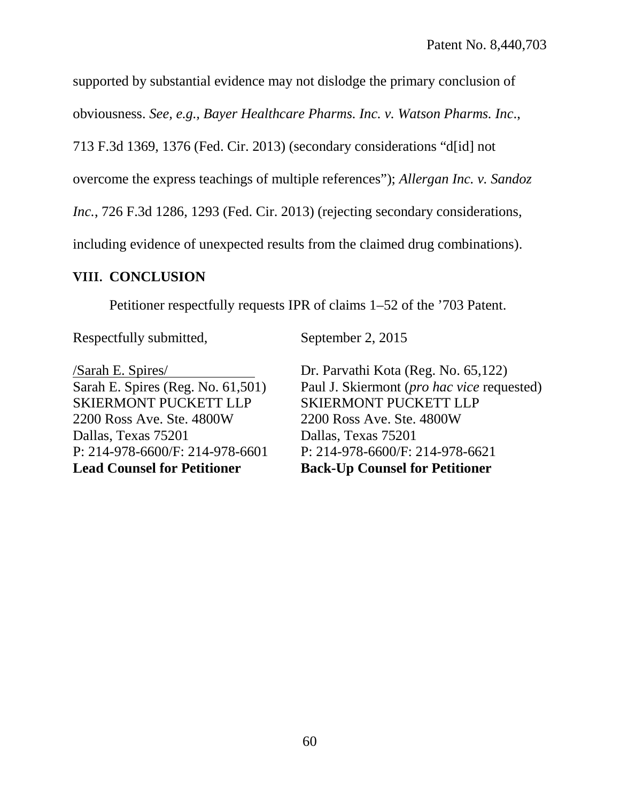supported by substantial evidence may not dislodge the primary conclusion of

obviousness. *See, e.g., Bayer Healthcare Pharms. Inc. v. Watson Pharms. Inc*.,

713 F.3d 1369, 1376 (Fed. Cir. 2013) (secondary considerations "d[id] not

overcome the express teachings of multiple references"); *Allergan Inc. v. Sandoz* 

*Inc.*, 726 F.3d 1286, 1293 (Fed. Cir. 2013) (rejecting secondary considerations,

including evidence of unexpected results from the claimed drug combinations).

# <span id="page-69-0"></span>**VIII. CONCLUSION**

Petitioner respectfully requests IPR of claims 1–52 of the '703 Patent.

Respectfully submitted,

/Sarah E. Spires/ Sarah E. Spires (Reg. No. 61,501) SKIERMONT PUCKETT LLP 2200 Ross Ave. Ste. 4800W Dallas, Texas 75201 P: 214-978-6600/F: 214-978-6601 **Lead Counsel for Petitioner**

September 2, 2015

Dr. Parvathi Kota (Reg. No. 65,122) Paul J. Skiermont (*pro hac vice* requested) SKIERMONT PUCKETT LLP 2200 Ross Ave. Ste. 4800W Dallas, Texas 75201 P: 214-978-6600/F: 214-978-6621 **Back-Up Counsel for Petitioner**